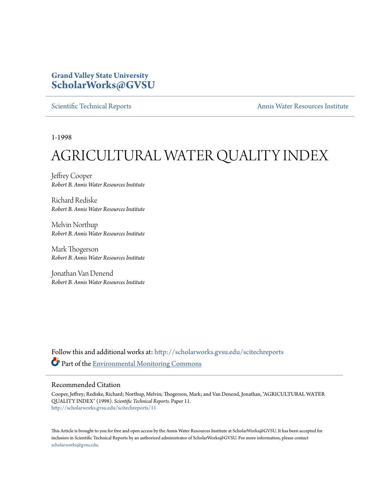#### **Grand Valley State University [ScholarWorks@GVSU](http://scholarworks.gvsu.edu?utm_source=scholarworks.gvsu.edu%2Fscitechreports%2F11&utm_medium=PDF&utm_campaign=PDFCoverPages)**

[Scientific Technical Reports](http://scholarworks.gvsu.edu/scitechreports?utm_source=scholarworks.gvsu.edu%2Fscitechreports%2F11&utm_medium=PDF&utm_campaign=PDFCoverPages) **[Annis Water Resources Institute](http://scholarworks.gvsu.edu/awri?utm_source=scholarworks.gvsu.edu%2Fscitechreports%2F11&utm_medium=PDF&utm_campaign=PDFCoverPages)** 

1-1998

# AGRICULTURAL WATER QUALITY INDEX

Jeffrey Cooper *Robert B. Annis Water Resources Institute*

Richard Rediske *Robert B. Annis Water Resources Institute*

Melvin Northup *Robert B. Annis Water Resources Institute*

Mark Thogerson *Robert B. Annis Water Resources Institute*

Jonathan Van Denend *Robert B. Annis Water Resources Institute*

Follow this and additional works at: [http://scholarworks.gvsu.edu/scitechreports](http://scholarworks.gvsu.edu/scitechreports?utm_source=scholarworks.gvsu.edu%2Fscitechreports%2F11&utm_medium=PDF&utm_campaign=PDFCoverPages) Part of the [Environmental Monitoring Commons](http://network.bepress.com/hgg/discipline/931?utm_source=scholarworks.gvsu.edu%2Fscitechreports%2F11&utm_medium=PDF&utm_campaign=PDFCoverPages)

#### Recommended Citation

Cooper, Jeffrey; Rediske, Richard; Northup, Melvin; Thogerson, Mark; and Van Denend, Jonathan, "AGRICULTURAL WATER QUALITY INDEX" (1998). *Scientific Technical Reports.* Paper 11. [http://scholarworks.gvsu.edu/scitechreports/11](http://scholarworks.gvsu.edu/scitechreports/11?utm_source=scholarworks.gvsu.edu%2Fscitechreports%2F11&utm_medium=PDF&utm_campaign=PDFCoverPages)

This Article is brought to you for free and open access by the Annis Water Resources Institute at ScholarWorks@GVSU. It has been accepted for inclusion in Scientific Technical Reports by an authorized administrator of ScholarWorks@GVSU. For more information, please contact [scholarworks@gvsu.edu](mailto:scholarworks@gvsu.edu).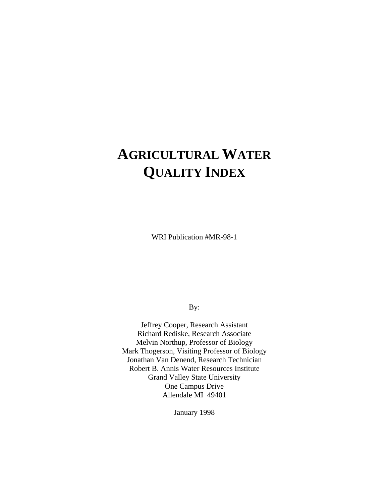# **AGRICULTURAL WATER QUALITY INDEX**

WRI Publication #MR-98-1

By:

Jeffrey Cooper, Research Assistant Richard Rediske, Research Associate Melvin Northup, Professor of Biology Mark Thogerson, Visiting Professor of Biology Jonathan Van Denend, Research Technician Robert B. Annis Water Resources Institute Grand Valley State University One Campus Drive Allendale MI 49401

January 1998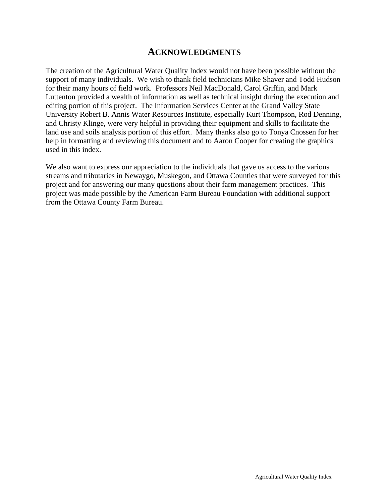#### **ACKNOWLEDGMENTS**

The creation of the Agricultural Water Quality Index would not have been possible without the support of many individuals. We wish to thank field technicians Mike Shaver and Todd Hudson for their many hours of field work. Professors Neil MacDonald, Carol Griffin, and Mark Luttenton provided a wealth of information as well as technical insight during the execution and editing portion of this project. The Information Services Center at the Grand Valley State University Robert B. Annis Water Resources Institute, especially Kurt Thompson, Rod Denning, and Christy Klinge, were very helpful in providing their equipment and skills to facilitate the land use and soils analysis portion of this effort. Many thanks also go to Tonya Cnossen for her help in formatting and reviewing this document and to Aaron Cooper for creating the graphics used in this index.

We also want to express our appreciation to the individuals that gave us access to the various streams and tributaries in Newaygo, Muskegon, and Ottawa Counties that were surveyed for this project and for answering our many questions about their farm management practices. This project was made possible by the American Farm Bureau Foundation with additional support from the Ottawa County Farm Bureau.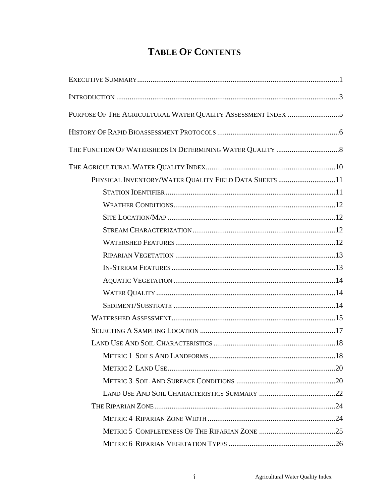# **TABLE OF CONTENTS**

| PURPOSE OF THE AGRICULTURAL WATER QUALITY ASSESSMENT INDEX 5 |  |
|--------------------------------------------------------------|--|
|                                                              |  |
|                                                              |  |
|                                                              |  |
| PHYSICAL INVENTORY/WATER QUALITY FIELD DATA SHEETS 11        |  |
|                                                              |  |
|                                                              |  |
|                                                              |  |
|                                                              |  |
|                                                              |  |
|                                                              |  |
|                                                              |  |
|                                                              |  |
|                                                              |  |
|                                                              |  |
|                                                              |  |
|                                                              |  |
|                                                              |  |
|                                                              |  |
|                                                              |  |
|                                                              |  |
|                                                              |  |
|                                                              |  |
|                                                              |  |
|                                                              |  |
|                                                              |  |
|                                                              |  |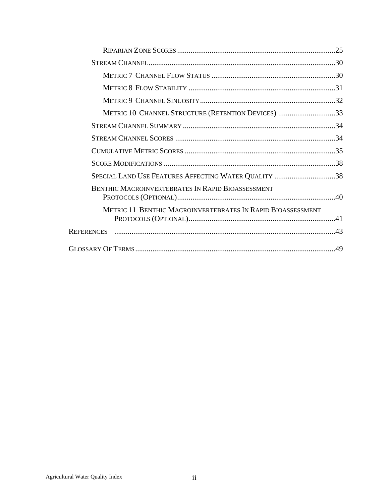| METRIC 10 CHANNEL STRUCTURE (RETENTION DEVICES) 33          |  |
|-------------------------------------------------------------|--|
|                                                             |  |
|                                                             |  |
|                                                             |  |
|                                                             |  |
| SPECIAL LAND USE FEATURES AFFECTING WATER QUALITY 38        |  |
| <b>BENTHIC MACROINVERTEBRATES IN RAPID BIOASSESSMENT</b>    |  |
| METRIC 11 BENTHIC MACROINVERTEBRATES IN RAPID BIOASSESSMENT |  |
|                                                             |  |
|                                                             |  |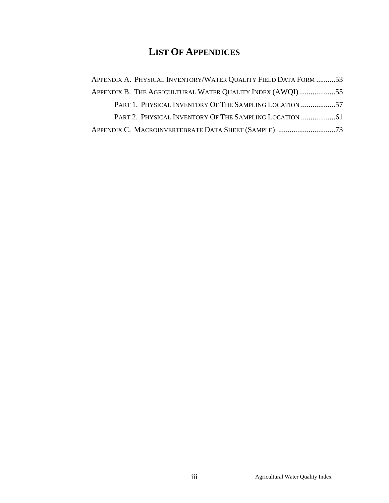# **LIST OF APPENDICES**

| APPENDIX A. PHYSICAL INVENTORY/WATER QUALITY FIELD DATA FORM 53 |  |
|-----------------------------------------------------------------|--|
| APPENDIX B. THE AGRICULTURAL WATER QUALITY INDEX (AWQI)55       |  |
| PART 1. PHYSICAL INVENTORY OF THE SAMPLING LOCATION 57          |  |
|                                                                 |  |
|                                                                 |  |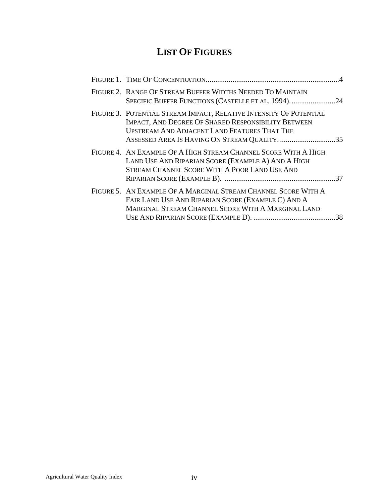# **LIST OF FIGURES**

| FIGURE 2. RANGE OF STREAM BUFFER WIDTHS NEEDED TO MAINTAIN<br>SPECIFIC BUFFER FUNCTIONS (CASTELLE ET AL. 1994)24                                                                                                                         |     |
|------------------------------------------------------------------------------------------------------------------------------------------------------------------------------------------------------------------------------------------|-----|
| FIGURE 3. POTENTIAL STREAM IMPACT, RELATIVE INTENSITY OF POTENTIAL<br><b>IMPACT, AND DEGREE OF SHARED RESPONSIBILITY BETWEEN</b><br><b>UPSTREAM AND ADJACENT LAND FEATURES THAT THE</b><br>ASSESSED AREA IS HAVING ON STREAM QUALITY. 35 |     |
| FIGURE 4. AN EXAMPLE OF A HIGH STREAM CHANNEL SCORE WITH A HIGH<br>LAND USE AND RIPARIAN SCORE (EXAMPLE A) AND A HIGH<br>STREAM CHANNEL SCORE WITH A POOR LAND USE AND                                                                   |     |
| FIGURE 5. AN EXAMPLE OF A MARGINAL STREAM CHANNEL SCORE WITH A<br>FAIR LAND USE AND RIPARIAN SCORE (EXAMPLE C) AND A<br>MARGINAL STREAM CHANNEL SCORE WITH A MARGINAL LAND                                                               | .38 |
|                                                                                                                                                                                                                                          |     |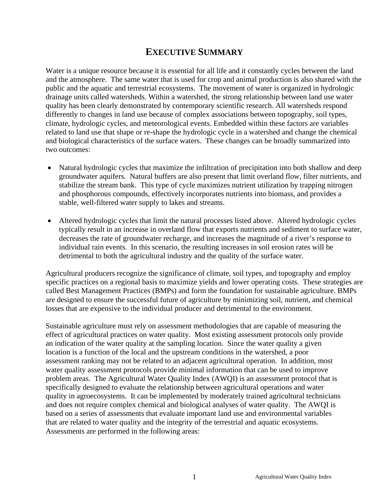# **EXECUTIVE SUMMARY**

Water is a unique resource because it is essential for all life and it constantly cycles between the land and the atmosphere. The same water that is used for crop and animal production is also shared with the public and the aquatic and terrestrial ecosystems. The movement of water is organized in hydrologic drainage units called watersheds. Within a watershed, the strong relationship between land use water quality has been clearly demonstrated by contemporary scientific research. All watersheds respond differently to changes in land use because of complex associations between topography, soil types, climate, hydrologic cycles, and meteorological events. Embedded within these factors are variables related to land use that shape or re-shape the hydrologic cycle in a watershed and change the chemical and biological characteristics of the surface waters. These changes can be broadly summarized into two outcomes:

- Natural hydrologic cycles that maximize the infiltration of precipitation into both shallow and deep groundwater aquifers. Natural buffers are also present that limit overland flow, filter nutrients, and stabilize the stream bank. This type of cycle maximizes nutrient utilization by trapping nitrogen and phosphorous compounds, effectively incorporates nutrients into biomass, and provides a stable, well-filtered water supply to lakes and streams.
- Altered hydrologic cycles that limit the natural processes listed above. Altered hydrologic cycles typically result in an increase in overland flow that exports nutrients and sediment to surface water, decreases the rate of groundwater recharge, and increases the magnitude of a river's response to individual rain events. In this scenario, the resulting increases in soil erosion rates will be detrimental to both the agricultural industry and the quality of the surface water.

Agricultural producers recognize the significance of climate, soil types, and topography and employ specific practices on a regional basis to maximize yields and lower operating costs. These strategies are called Best Management Practices (BMPs) and form the foundation for sustainable agriculture. BMPs are designed to ensure the successful future of agriculture by minimizing soil, nutrient, and chemical losses that are expensive to the individual producer and detrimental to the environment.

Sustainable agriculture must rely on assessment methodologies that are capable of measuring the effect of agricultural practices on water quality. Most existing assessment protocols only provide an indication of the water quality at the sampling location. Since the water quality a given location is a function of the local and the upstream conditions in the watershed, a poor assessment ranking may not be related to an adjacent agricultural operation. In addition, most water quality assessment protocols provide minimal information that can be used to improve problem areas. The Agricultural Water Quality Index (AWQI) is an assessment protocol that is specifically designed to evaluate the relationship between agricultural operations and water quality in agroecosystems. It can be implemented by moderately trained agricultural technicians and does not require complex chemical and biological analyses of water quality. The AWQI is based on a series of assessments that evaluate important land use and environmental variables that are related to water quality and the integrity of the terrestrial and aquatic ecosystems. Assessments are performed in the following areas: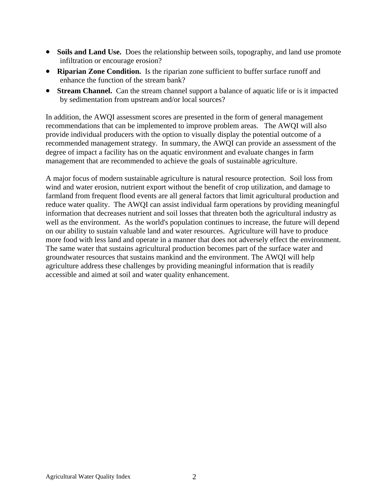- Soils and Land Use. Does the relationship between soils, topography, and land use promote infiltration or encourage erosion?
- **Riparian Zone Condition.** Is the riparian zone sufficient to buffer surface runoff and enhance the function of the stream bank?
- **Stream Channel.** Can the stream channel support a balance of aquatic life or is it impacted by sedimentation from upstream and/or local sources?

In addition, the AWQI assessment scores are presented in the form of general management recommendations that can be implemented to improve problem areas. The AWQI will also provide individual producers with the option to visually display the potential outcome of a recommended management strategy. In summary, the AWQI can provide an assessment of the degree of impact a facility has on the aquatic environment and evaluate changes in farm management that are recommended to achieve the goals of sustainable agriculture.

A major focus of modern sustainable agriculture is natural resource protection. Soil loss from wind and water erosion, nutrient export without the benefit of crop utilization, and damage to farmland from frequent flood events are all general factors that limit agricultural production and reduce water quality. The AWQI can assist individual farm operations by providing meaningful information that decreases nutrient and soil losses that threaten both the agricultural industry as well as the environment. As the world's population continues to increase, the future will depend on our ability to sustain valuable land and water resources. Agriculture will have to produce more food with less land and operate in a manner that does not adversely effect the environment. The same water that sustains agricultural production becomes part of the surface water and groundwater resources that sustains mankind and the environment. The AWQI will help agriculture address these challenges by providing meaningful information that is readily accessible and aimed at soil and water quality enhancement.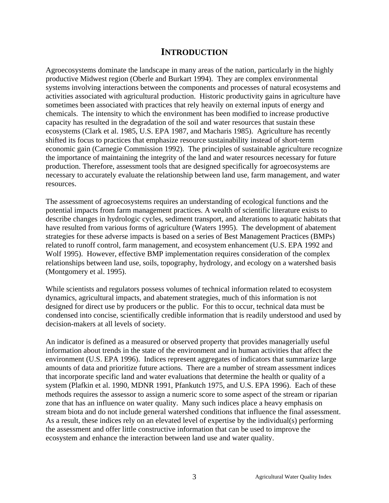### **INTRODUCTION**

Agroecosystems dominate the landscape in many areas of the nation, particularly in the highly productive Midwest region (Oberle and Burkart 1994). They are complex environmental systems involving interactions between the components and processes of natural ecosystems and activities associated with agricultural production. Historic productivity gains in agriculture have sometimes been associated with practices that rely heavily on external inputs of energy and chemicals. The intensity to which the environment has been modified to increase productive capacity has resulted in the degradation of the soil and water resources that sustain these ecosystems (Clark et al. 1985, U.S. EPA 1987, and Macharis 1985). Agriculture has recently shifted its focus to practices that emphasize resource sustainability instead of short-term economic gain (Carnegie Commission 1992). The principles of sustainable agriculture recognize the importance of maintaining the integrity of the land and water resources necessary for future production. Therefore, assessment tools that are designed specifically for agroecosystems are necessary to accurately evaluate the relationship between land use, farm management, and water resources.

The assessment of agroecosystems requires an understanding of ecological functions and the potential impacts from farm management practices. A wealth of scientific literature exists to describe changes in hydrologic cycles, sediment transport, and alterations to aquatic habitats that have resulted from various forms of agriculture (Waters 1995). The development of abatement strategies for these adverse impacts is based on a series of Best Management Practices (BMPs) related to runoff control, farm management, and ecosystem enhancement (U.S. EPA 1992 and Wolf 1995). However, effective BMP implementation requires consideration of the complex relationships between land use, soils, topography, hydrology, and ecology on a watershed basis (Montgomery et al. 1995).

While scientists and regulators possess volumes of technical information related to ecosystem dynamics, agricultural impacts, and abatement strategies, much of this information is not designed for direct use by producers or the public. For this to occur, technical data must be condensed into concise, scientifically credible information that is readily understood and used by decision-makers at all levels of society.

An indicator is defined as a measured or observed property that provides managerially useful information about trends in the state of the environment and in human activities that affect the environment (U.S. EPA 1996). Indices represent aggregates of indicators that summarize large amounts of data and prioritize future actions. There are a number of stream assessment indices that incorporate specific land and water evaluations that determine the health or quality of a system (Plafkin et al. 1990, MDNR 1991, Pfankutch 1975, and U.S. EPA 1996). Each of these methods requires the assessor to assign a numeric score to some aspect of the stream or riparian zone that has an influence on water quality. Many such indices place a heavy emphasis on stream biota and do not include general watershed conditions that influence the final assessment. As a result, these indices rely on an elevated level of expertise by the individual(s) performing the assessment and offer little constructive information that can be used to improve the ecosystem and enhance the interaction between land use and water quality.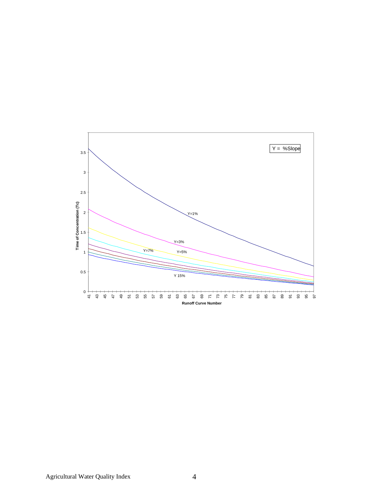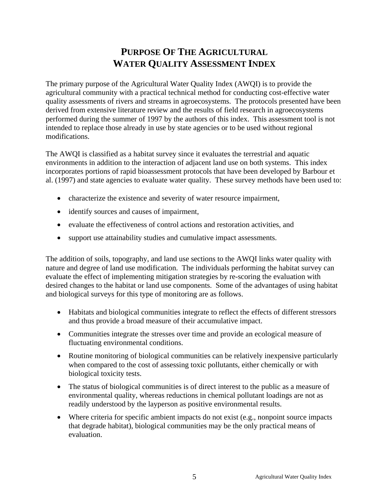# **PURPOSE OF THE AGRICULTURAL WATER QUALITY ASSESSMENT INDEX**

The primary purpose of the Agricultural Water Quality Index (AWQI) is to provide the agricultural community with a practical technical method for conducting cost-effective water quality assessments of rivers and streams in agroecosystems. The protocols presented have been derived from extensive literature review and the results of field research in agroecosystems performed during the summer of 1997 by the authors of this index. This assessment tool is not intended to replace those already in use by state agencies or to be used without regional modifications.

The AWQI is classified as a habitat survey since it evaluates the terrestrial and aquatic environments in addition to the interaction of adjacent land use on both systems. This index incorporates portions of rapid bioassessment protocols that have been developed by Barbour et al. (1997) and state agencies to evaluate water quality. These survey methods have been used to:

- characterize the existence and severity of water resource impairment,
- identify sources and causes of impairment,
- evaluate the effectiveness of control actions and restoration activities, and
- support use attainability studies and cumulative impact assessments.

The addition of soils, topography, and land use sections to the AWQI links water quality with nature and degree of land use modification. The individuals performing the habitat survey can evaluate the effect of implementing mitigation strategies by re-scoring the evaluation with desired changes to the habitat or land use components. Some of the advantages of using habitat and biological surveys for this type of monitoring are as follows.

- Habitats and biological communities integrate to reflect the effects of different stressors and thus provide a broad measure of their accumulative impact.
- Communities integrate the stresses over time and provide an ecological measure of fluctuating environmental conditions.
- Routine monitoring of biological communities can be relatively inexpensive particularly when compared to the cost of assessing toxic pollutants, either chemically or with biological toxicity tests.
- The status of biological communities is of direct interest to the public as a measure of environmental quality, whereas reductions in chemical pollutant loadings are not as readily understood by the layperson as positive environmental results.
- Where criteria for specific ambient impacts do not exist (e.g., nonpoint source impacts that degrade habitat), biological communities may be the only practical means of evaluation.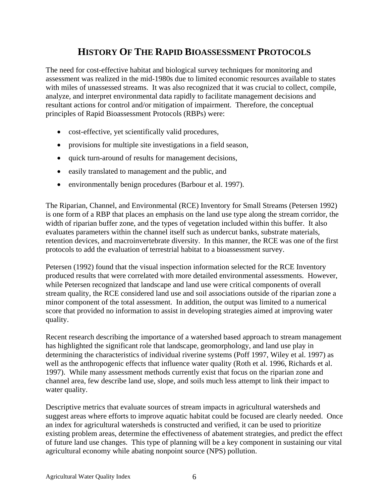### **HISTORY OF THE RAPID BIOASSESSMENT PROTOCOLS**

The need for cost-effective habitat and biological survey techniques for monitoring and assessment was realized in the mid-1980s due to limited economic resources available to states with miles of unassessed streams. It was also recognized that it was crucial to collect, compile, analyze, and interpret environmental data rapidly to facilitate management decisions and resultant actions for control and/or mitigation of impairment. Therefore, the conceptual principles of Rapid Bioassessment Protocols (RBPs) were:

- cost-effective, yet scientifically valid procedures,
- provisions for multiple site investigations in a field season,
- quick turn-around of results for management decisions,
- easily translated to management and the public, and
- environmentally benign procedures (Barbour et al. 1997).

The Riparian, Channel, and Environmental (RCE) Inventory for Small Streams (Petersen 1992) is one form of a RBP that places an emphasis on the land use type along the stream corridor, the width of riparian buffer zone, and the types of vegetation included within this buffer. It also evaluates parameters within the channel itself such as undercut banks, substrate materials, retention devices, and macroinvertebrate diversity. In this manner, the RCE was one of the first protocols to add the evaluation of terrestrial habitat to a bioassessment survey.

Petersen (1992) found that the visual inspection information selected for the RCE Inventory produced results that were correlated with more detailed environmental assessments. However, while Petersen recognized that landscape and land use were critical components of overall stream quality, the RCE considered land use and soil associations outside of the riparian zone a minor component of the total assessment. In addition, the output was limited to a numerical score that provided no information to assist in developing strategies aimed at improving water quality.

Recent research describing the importance of a watershed based approach to stream management has highlighted the significant role that landscape, geomorphology, and land use play in determining the characteristics of individual riverine systems (Poff 1997, Wiley et al. 1997) as well as the anthropogenic effects that influence water quality (Roth et al. 1996, Richards et al. 1997). While many assessment methods currently exist that focus on the riparian zone and channel area, few describe land use, slope, and soils much less attempt to link their impact to water quality.

Descriptive metrics that evaluate sources of stream impacts in agricultural watersheds and suggest areas where efforts to improve aquatic habitat could be focused are clearly needed. Once an index for agricultural watersheds is constructed and verified, it can be used to prioritize existing problem areas, determine the effectiveness of abatement strategies, and predict the effect of future land use changes. This type of planning will be a key component in sustaining our vital agricultural economy while abating nonpoint source (NPS) pollution.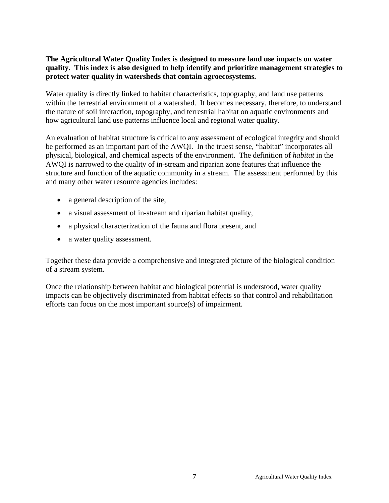#### **The Agricultural Water Quality Index is designed to measure land use impacts on water quality. This index is also designed to help identify and prioritize management strategies to protect water quality in watersheds that contain agroecosystems.**

Water quality is directly linked to habitat characteristics, topography, and land use patterns within the terrestrial environment of a watershed. It becomes necessary, therefore, to understand the nature of soil interaction, topography, and terrestrial habitat on aquatic environments and how agricultural land use patterns influence local and regional water quality.

An evaluation of habitat structure is critical to any assessment of ecological integrity and should be performed as an important part of the AWQI. In the truest sense, "habitat" incorporates all physical, biological, and chemical aspects of the environment. The definition of *habitat* in the AWQI is narrowed to the quality of in-stream and riparian zone features that influence the structure and function of the aquatic community in a stream. The assessment performed by this and many other water resource agencies includes:

- a general description of the site,
- a visual assessment of in-stream and riparian habitat quality,
- a physical characterization of the fauna and flora present, and
- a water quality assessment.

Together these data provide a comprehensive and integrated picture of the biological condition of a stream system.

Once the relationship between habitat and biological potential is understood, water quality impacts can be objectively discriminated from habitat effects so that control and rehabilitation efforts can focus on the most important source(s) of impairment.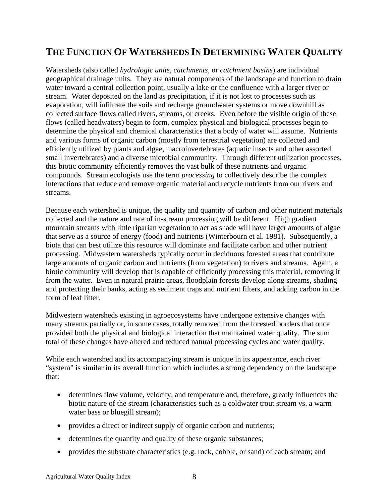# **THE FUNCTION OF WATERSHEDS IN DETERMINING WATER QUALITY**

Watersheds (also called *hydrologic units*, *catchments*, or *catchment basins*) are individual geographical drainage units. They are natural components of the landscape and function to drain water toward a central collection point, usually a lake or the confluence with a larger river or stream. Water deposited on the land as precipitation, if it is not lost to processes such as evaporation, will infiltrate the soils and recharge groundwater systems or move downhill as collected surface flows called rivers, streams, or creeks. Even before the visible origin of these flows (called headwaters) begin to form, complex physical and biological processes begin to determine the physical and chemical characteristics that a body of water will assume. Nutrients and various forms of organic carbon (mostly from terrestrial vegetation) are collected and efficiently utilized by plants and algae, macroinvertebrates (aquatic insects and other assorted small invertebrates) and a diverse microbial community. Through different utilization processes, this biotic community efficiently removes the vast bulk of these nutrients and organic compounds. Stream ecologists use the term *processing* to collectively describe the complex interactions that reduce and remove organic material and recycle nutrients from our rivers and streams.

Because each watershed is unique, the quality and quantity of carbon and other nutrient materials collected and the nature and rate of in-stream processing will be different. High gradient mountain streams with little riparian vegetation to act as shade will have larger amounts of algae that serve as a source of energy (food) and nutrients (Winterbourn et al. 1981). Subsequently, a biota that can best utilize this resource will dominate and facilitate carbon and other nutrient processing. Midwestern watersheds typically occur in deciduous forested areas that contribute large amounts of organic carbon and nutrients (from vegetation) to rivers and streams. Again, a biotic community will develop that is capable of efficiently processing this material, removing it from the water. Even in natural prairie areas, floodplain forests develop along streams, shading and protecting their banks, acting as sediment traps and nutrient filters, and adding carbon in the form of leaf litter.

Midwestern watersheds existing in agroecosystems have undergone extensive changes with many streams partially or, in some cases, totally removed from the forested borders that once provided both the physical and biological interaction that maintained water quality. The sum total of these changes have altered and reduced natural processing cycles and water quality.

While each watershed and its accompanying stream is unique in its appearance, each river "system" is similar in its overall function which includes a strong dependency on the landscape that:

- determines flow volume, velocity, and temperature and, therefore, greatly influences the biotic nature of the stream (characteristics such as a coldwater trout stream vs. a warm water bass or bluegill stream);
- provides a direct or indirect supply of organic carbon and nutrients;
- determines the quantity and quality of these organic substances;
- provides the substrate characteristics (e.g. rock, cobble, or sand) of each stream; and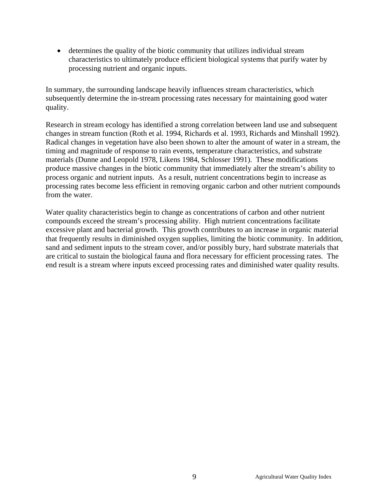• determines the quality of the biotic community that utilizes individual stream characteristics to ultimately produce efficient biological systems that purify water by processing nutrient and organic inputs.

In summary, the surrounding landscape heavily influences stream characteristics, which subsequently determine the in-stream processing rates necessary for maintaining good water quality.

Research in stream ecology has identified a strong correlation between land use and subsequent changes in stream function (Roth et al. 1994, Richards et al. 1993, Richards and Minshall 1992). Radical changes in vegetation have also been shown to alter the amount of water in a stream, the timing and magnitude of response to rain events, temperature characteristics, and substrate materials (Dunne and Leopold 1978, Likens 1984, Schlosser 1991). These modifications produce massive changes in the biotic community that immediately alter the stream's ability to process organic and nutrient inputs. As a result, nutrient concentrations begin to increase as processing rates become less efficient in removing organic carbon and other nutrient compounds from the water.

Water quality characteristics begin to change as concentrations of carbon and other nutrient compounds exceed the stream's processing ability. High nutrient concentrations facilitate excessive plant and bacterial growth. This growth contributes to an increase in organic material that frequently results in diminished oxygen supplies, limiting the biotic community. In addition, sand and sediment inputs to the stream cover, and/or possibly bury, hard substrate materials that are critical to sustain the biological fauna and flora necessary for efficient processing rates. The end result is a stream where inputs exceed processing rates and diminished water quality results.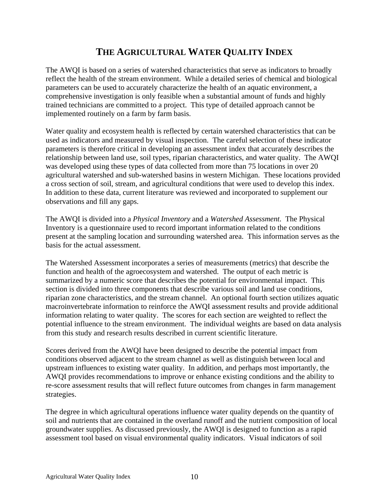# **THE AGRICULTURAL WATER QUALITY INDEX**

The AWQI is based on a series of watershed characteristics that serve as indicators to broadly reflect the health of the stream environment. While a detailed series of chemical and biological parameters can be used to accurately characterize the health of an aquatic environment, a comprehensive investigation is only feasible when a substantial amount of funds and highly trained technicians are committed to a project. This type of detailed approach cannot be implemented routinely on a farm by farm basis.

Water quality and ecosystem health is reflected by certain watershed characteristics that can be used as indicators and measured by visual inspection. The careful selection of these indicator parameters is therefore critical in developing an assessment index that accurately describes the relationship between land use, soil types, riparian characteristics, and water quality. The AWQI was developed using these types of data collected from more than 75 locations in over 20 agricultural watershed and sub-watershed basins in western Michigan. These locations provided a cross section of soil, stream, and agricultural conditions that were used to develop this index. In addition to these data, current literature was reviewed and incorporated to supplement our observations and fill any gaps.

The AWQI is divided into a *Physical Inventory* and a *Watershed Assessment*. The Physical Inventory is a questionnaire used to record important information related to the conditions present at the sampling location and surrounding watershed area. This information serves as the basis for the actual assessment.

The Watershed Assessment incorporates a series of measurements (metrics) that describe the function and health of the agroecosystem and watershed. The output of each metric is summarized by a numeric score that describes the potential for environmental impact. This section is divided into three components that describe various soil and land use conditions, riparian zone characteristics, and the stream channel. An optional fourth section utilizes aquatic macroinvertebrate information to reinforce the AWQI assessment results and provide additional information relating to water quality. The scores for each section are weighted to reflect the potential influence to the stream environment. The individual weights are based on data analysis from this study and research results described in current scientific literature.

Scores derived from the AWQI have been designed to describe the potential impact from conditions observed adjacent to the stream channel as well as distinguish between local and upstream influences to existing water quality. In addition, and perhaps most importantly, the AWQI provides recommendations to improve or enhance existing conditions and the ability to re-score assessment results that will reflect future outcomes from changes in farm management strategies.

The degree in which agricultural operations influence water quality depends on the quantity of soil and nutrients that are contained in the overland runoff and the nutrient composition of local groundwater supplies. As discussed previously, the AWQI is designed to function as a rapid assessment tool based on visual environmental quality indicators. Visual indicators of soil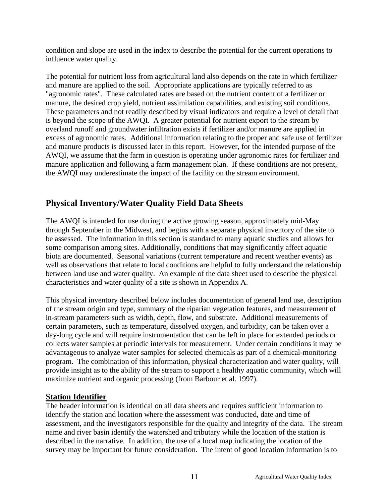condition and slope are used in the index to describe the potential for the current operations to influence water quality.

The potential for nutrient loss from agricultural land also depends on the rate in which fertilizer and manure are applied to the soil. Appropriate applications are typically referred to as "agronomic rates". These calculated rates are based on the nutrient content of a fertilizer or manure, the desired crop yield, nutrient assimilation capabilities, and existing soil conditions. These parameters and not readily described by visual indicators and require a level of detail that is beyond the scope of the AWQI. A greater potential for nutrient export to the stream by overland runoff and groundwater infiltration exists if fertilizer and/or manure are applied in excess of agronomic rates. Additional information relating to the proper and safe use of fertilizer and manure products is discussed later in this report. However, for the intended purpose of the AWQI, we assume that the farm in question is operating under agronomic rates for fertilizer and manure application and following a farm management plan. If these conditions are not present, the AWQI may underestimate the impact of the facility on the stream environment.

#### **Physical Inventory/Water Quality Field Data Sheets**

The AWQI is intended for use during the active growing season, approximately mid-May through September in the Midwest, and begins with a separate physical inventory of the site to be assessed. The information in this section is standard to many aquatic studies and allows for some comparison among sites. Additionally, conditions that may significantly affect aquatic biota are documented. Seasonal variations (current temperature and recent weather events) as well as observations that relate to local conditions are helpful to fully understand the relationship between land use and water quality. An example of the data sheet used to describe the physical characteristics and water quality of a site is shown in Appendix A.

This physical inventory described below includes documentation of general land use, description of the stream origin and type, summary of the riparian vegetation features, and measurement of in-stream parameters such as width, depth, flow, and substrate. Additional measurements of certain parameters, such as temperature, dissolved oxygen, and turbidity, can be taken over a day-long cycle and will require instrumentation that can be left in place for extended periods or collects water samples at periodic intervals for measurement. Under certain conditions it may be advantageous to analyze water samples for selected chemicals as part of a chemical-monitoring program. The combination of this information, physical characterization and water quality, will provide insight as to the ability of the stream to support a healthy aquatic community, which will maximize nutrient and organic processing (from Barbour et al. 1997).

#### **Station Identifier**

The header information is identical on all data sheets and requires sufficient information to identify the station and location where the assessment was conducted, date and time of assessment, and the investigators responsible for the quality and integrity of the data. The stream name and river basin identify the watershed and tributary while the location of the station is described in the narrative. In addition, the use of a local map indicating the location of the survey may be important for future consideration. The intent of good location information is to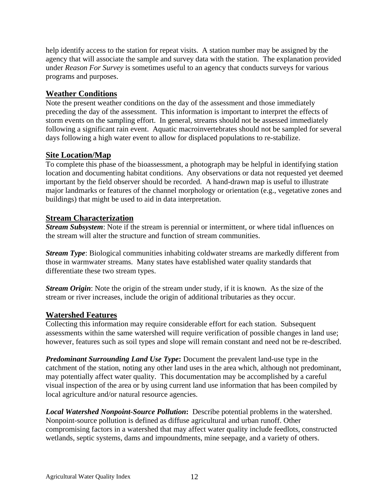help identify access to the station for repeat visits. A station number may be assigned by the agency that will associate the sample and survey data with the station. The explanation provided under *Reason For Survey* is sometimes useful to an agency that conducts surveys for various programs and purposes.

#### **Weather Conditions**

Note the present weather conditions on the day of the assessment and those immediately preceding the day of the assessment. This information is important to interpret the effects of storm events on the sampling effort. In general, streams should not be assessed immediately following a significant rain event. Aquatic macroinvertebrates should not be sampled for several days following a high water event to allow for displaced populations to re-stabilize.

#### **Site Location/Map**

To complete this phase of the bioassessment, a photograph may be helpful in identifying station location and documenting habitat conditions. Any observations or data not requested yet deemed important by the field observer should be recorded. A hand-drawn map is useful to illustrate major landmarks or features of the channel morphology or orientation (e.g., vegetative zones and buildings) that might be used to aid in data interpretation.

#### **Stream Characterization**

*Stream Subsystem*: Note if the stream is perennial or intermittent, or where tidal influences on the stream will alter the structure and function of stream communities.

*Stream Type*: Biological communities inhabiting coldwater streams are markedly different from those in warmwater streams. Many states have established water quality standards that differentiate these two stream types.

*Stream Origin*: Note the origin of the stream under study, if it is known. As the size of the stream or river increases, include the origin of additional tributaries as they occur.

#### **Watershed Features**

Collecting this information may require considerable effort for each station. Subsequent assessments within the same watershed will require verification of possible changes in land use; however, features such as soil types and slope will remain constant and need not be re-described.

*Predominant Surrounding Land Use Type***:** Document the prevalent land-use type in the catchment of the station, noting any other land uses in the area which, although not predominant, may potentially affect water quality. This documentation may be accomplished by a careful visual inspection of the area or by using current land use information that has been compiled by local agriculture and/or natural resource agencies.

*Local Watershed Nonpoint-Source Pollution***:** Describe potential problems in the watershed. Nonpoint-source pollution is defined as diffuse agricultural and urban runoff. Other compromising factors in a watershed that may affect water quality include feedlots, constructed wetlands, septic systems, dams and impoundments, mine seepage, and a variety of others.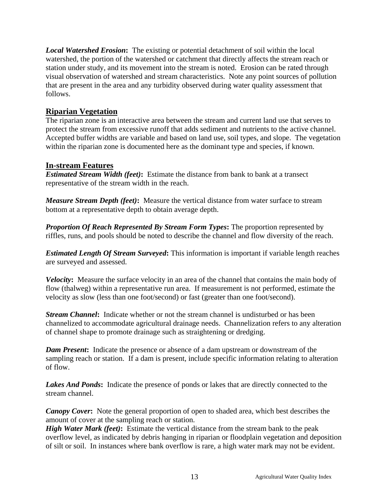*Local Watershed Erosion***:** The existing or potential detachment of soil within the local watershed, the portion of the watershed or catchment that directly affects the stream reach or station under study, and its movement into the stream is noted. Erosion can be rated through visual observation of watershed and stream characteristics. Note any point sources of pollution that are present in the area and any turbidity observed during water quality assessment that follows.

#### **Riparian Vegetation**

The riparian zone is an interactive area between the stream and current land use that serves to protect the stream from excessive runoff that adds sediment and nutrients to the active channel. Accepted buffer widths are variable and based on land use, soil types, and slope. The vegetation within the riparian zone is documented here as the dominant type and species, if known.

#### **In-stream Features**

*Estimated Stream Width (feet)***:** Estimate the distance from bank to bank at a transect representative of the stream width in the reach.

*Measure Stream Depth (feet)***:** Measure the vertical distance from water surface to stream bottom at a representative depth to obtain average depth.

*Proportion Of Reach Represented By Stream Form Types***:** The proportion represented by riffles, runs, and pools should be noted to describe the channel and flow diversity of the reach.

*Estimated Length Of Stream Surveyed***:** This information is important if variable length reaches are surveyed and assessed.

*Velocity***:** Measure the surface velocity in an area of the channel that contains the main body of flow (thalweg) within a representative run area. If measurement is not performed, estimate the velocity as slow (less than one foot/second) or fast (greater than one foot/second).

*Stream Channel***:** Indicate whether or not the stream channel is undisturbed or has been channelized to accommodate agricultural drainage needs. Channelization refers to any alteration of channel shape to promote drainage such as straightening or dredging.

*Dam Present***:** Indicate the presence or absence of a dam upstream or downstream of the sampling reach or station. If a dam is present, include specific information relating to alteration of flow.

*Lakes And Ponds***:** Indicate the presence of ponds or lakes that are directly connected to the stream channel.

*Canopy Cover***:** Note the general proportion of open to shaded area, which best describes the amount of cover at the sampling reach or station.

*High Water Mark (feet)*: Estimate the vertical distance from the stream bank to the peak overflow level, as indicated by debris hanging in riparian or floodplain vegetation and deposition of silt or soil. In instances where bank overflow is rare, a high water mark may not be evident.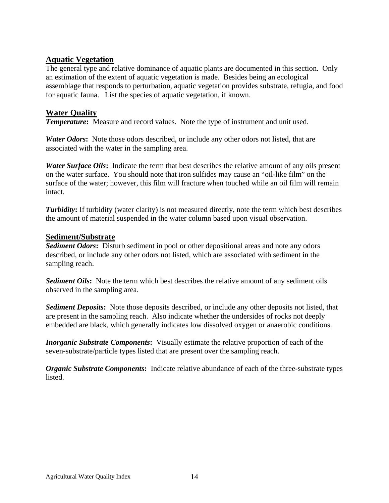#### **Aquatic Vegetation**

The general type and relative dominance of aquatic plants are documented in this section. Only an estimation of the extent of aquatic vegetation is made. Besides being an ecological assemblage that responds to perturbation, aquatic vegetation provides substrate, refugia, and food for aquatic fauna. List the species of aquatic vegetation, if known.

#### **Water Quality**

*Temperature***:** Measure and record values. Note the type of instrument and unit used.

*Water Odors***:** Note those odors described, or include any other odors not listed, that are associated with the water in the sampling area.

*Water Surface Oils***:** Indicate the term that best describes the relative amount of any oils present on the water surface. You should note that iron sulfides may cause an "oil-like film" on the surface of the water; however, this film will fracture when touched while an oil film will remain intact.

*Turbidity*: If turbidity (water clarity) is not measured directly, note the term which best describes the amount of material suspended in the water column based upon visual observation.

#### **Sediment/Substrate**

*Sediment Odors***:** Disturb sediment in pool or other depositional areas and note any odors described, or include any other odors not listed, which are associated with sediment in the sampling reach.

**Sediment Oils:** Note the term which best describes the relative amount of any sediment oils observed in the sampling area.

*Sediment Deposits***:** Note those deposits described, or include any other deposits not listed, that are present in the sampling reach. Also indicate whether the undersides of rocks not deeply embedded are black, which generally indicates low dissolved oxygen or anaerobic conditions.

*Inorganic Substrate Components***:** Visually estimate the relative proportion of each of the seven-substrate/particle types listed that are present over the sampling reach.

*Organic Substrate Components***:** Indicate relative abundance of each of the three-substrate types listed.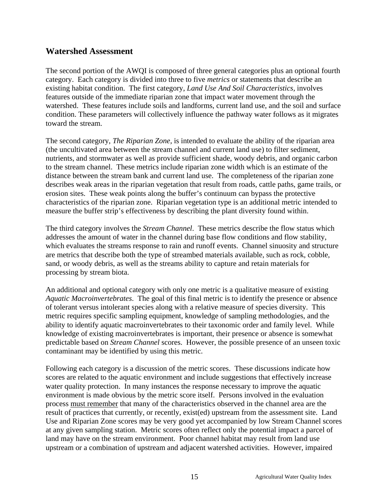#### **Watershed Assessment**

The second portion of the AWQI is composed of three general categories plus an optional fourth category. Each category is divided into three to five *metrics* or statements that describe an existing habitat condition. The first category, *Land Use And Soil Characteristics,* involves features outside of the immediate riparian zone that impact water movement through the watershed. These features include soils and landforms, current land use, and the soil and surface condition. These parameters will collectively influence the pathway water follows as it migrates toward the stream.

The second category, *The Riparian Zone,* is intended to evaluate the ability of the riparian area (the uncultivated area between the stream channel and current land use) to filter sediment, nutrients, and stormwater as well as provide sufficient shade, woody debris, and organic carbon to the stream channel. These metrics include riparian zone width which is an estimate of the distance between the stream bank and current land use. The completeness of the riparian zone describes weak areas in the riparian vegetation that result from roads, cattle paths, game trails, or erosion sites. These weak points along the buffer's continuum can bypass the protective characteristics of the riparian zone. Riparian vegetation type is an additional metric intended to measure the buffer strip's effectiveness by describing the plant diversity found within.

The third category involves the *Stream Channel*. These metrics describe the flow status which addresses the amount of water in the channel during base flow conditions and flow stability, which evaluates the streams response to rain and runoff events. Channel sinuosity and structure are metrics that describe both the type of streambed materials available, such as rock, cobble, sand, or woody debris, as well as the streams ability to capture and retain materials for processing by stream biota.

An additional and optional category with only one metric is a qualitative measure of existing *Aquatic Macroinvertebrates*. The goal of this final metric is to identify the presence or absence of tolerant versus intolerant species along with a relative measure of species diversity. This metric requires specific sampling equipment, knowledge of sampling methodologies, and the ability to identify aquatic macroinvertebrates to their taxonomic order and family level. While knowledge of existing macroinvertebrates is important, their presence or absence is somewhat predictable based on *Stream Channel* scores. However, the possible presence of an unseen toxic contaminant may be identified by using this metric.

Following each category is a discussion of the metric scores. These discussions indicate how scores are related to the aquatic environment and include suggestions that effectively increase water quality protection. In many instances the response necessary to improve the aquatic environment is made obvious by the metric score itself. Persons involved in the evaluation process must remember that many of the characteristics observed in the channel area are the result of practices that currently, or recently, exist(ed) upstream from the assessment site. Land Use and Riparian Zone scores may be very good yet accompanied by low Stream Channel scores at any given sampling station. Metric scores often reflect only the potential impact a parcel of land may have on the stream environment. Poor channel habitat may result from land use upstream or a combination of upstream and adjacent watershed activities. However, impaired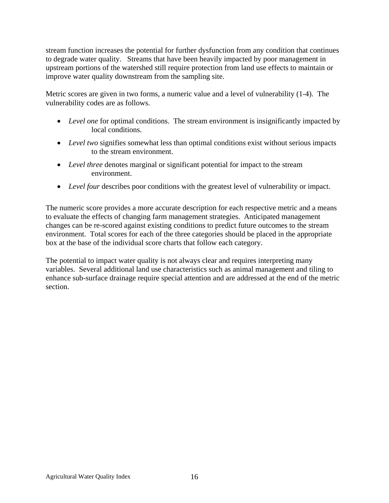stream function increases the potential for further dysfunction from any condition that continues to degrade water quality. Streams that have been heavily impacted by poor management in upstream portions of the watershed still require protection from land use effects to maintain or improve water quality downstream from the sampling site.

Metric scores are given in two forms, a numeric value and a level of vulnerability (1-4). The vulnerability codes are as follows.

- *Level one* for optimal conditions. The stream environment is insignificantly impacted by local conditions.
- *Level two* signifies somewhat less than optimal conditions exist without serious impacts to the stream environment.
- *Level three* denotes marginal or significant potential for impact to the stream environment.
- *Level four* describes poor conditions with the greatest level of vulnerability or impact.

The numeric score provides a more accurate description for each respective metric and a means to evaluate the effects of changing farm management strategies. Anticipated management changes can be re-scored against existing conditions to predict future outcomes to the stream environment. Total scores for each of the three categories should be placed in the appropriate box at the base of the individual score charts that follow each category.

The potential to impact water quality is not always clear and requires interpreting many variables. Several additional land use characteristics such as animal management and tiling to enhance sub-surface drainage require special attention and are addressed at the end of the metric section.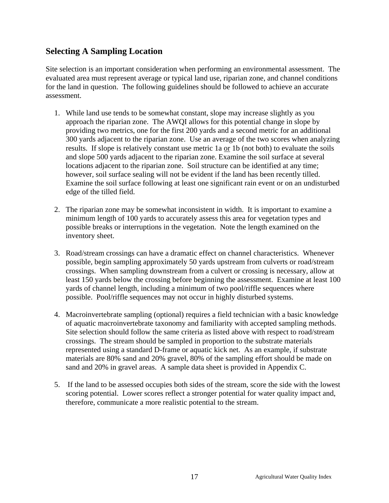#### **Selecting A Sampling Location**

Site selection is an important consideration when performing an environmental assessment. The evaluated area must represent average or typical land use, riparian zone, and channel conditions for the land in question. The following guidelines should be followed to achieve an accurate assessment.

- 1. While land use tends to be somewhat constant, slope may increase slightly as you approach the riparian zone. The AWQI allows for this potential change in slope by providing two metrics, one for the first 200 yards and a second metric for an additional 300 yards adjacent to the riparian zone. Use an average of the two scores when analyzing results. If slope is relatively constant use metric 1a or 1b (not both) to evaluate the soils and slope 500 yards adjacent to the riparian zone. Examine the soil surface at several locations adjacent to the riparian zone. Soil structure can be identified at any time; however, soil surface sealing will not be evident if the land has been recently tilled. Examine the soil surface following at least one significant rain event or on an undisturbed edge of the tilled field.
- 2. The riparian zone may be somewhat inconsistent in width. It is important to examine a minimum length of 100 yards to accurately assess this area for vegetation types and possible breaks or interruptions in the vegetation. Note the length examined on the inventory sheet.
- 3. Road/stream crossings can have a dramatic effect on channel characteristics. Whenever possible, begin sampling approximately 50 yards upstream from culverts or road/stream crossings. When sampling downstream from a culvert or crossing is necessary, allow at least 150 yards below the crossing before beginning the assessment. Examine at least 100 yards of channel length, including a minimum of two pool/riffle sequences where possible. Pool/riffle sequences may not occur in highly disturbed systems.
- 4. Macroinvertebrate sampling (optional) requires a field technician with a basic knowledge of aquatic macroinvertebrate taxonomy and familiarity with accepted sampling methods. Site selection should follow the same criteria as listed above with respect to road/stream crossings. The stream should be sampled in proportion to the substrate materials represented using a standard D-frame or aquatic kick net. As an example, if substrate materials are 80% sand and 20% gravel, 80% of the sampling effort should be made on sand and 20% in gravel areas. A sample data sheet is provided in Appendix C.
- 5. If the land to be assessed occupies both sides of the stream, score the side with the lowest scoring potential. Lower scores reflect a stronger potential for water quality impact and, therefore, communicate a more realistic potential to the stream.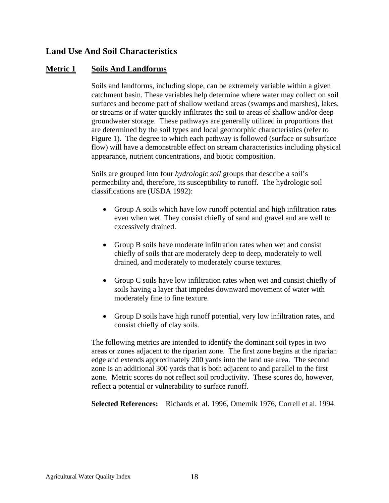#### **Land Use And Soil Characteristics**

#### **Metric 1 Soils And Landforms**

Soils and landforms, including slope, can be extremely variable within a given catchment basin. These variables help determine where water may collect on soil surfaces and become part of shallow wetland areas (swamps and marshes), lakes, or streams or if water quickly infiltrates the soil to areas of shallow and/or deep groundwater storage. These pathways are generally utilized in proportions that are determined by the soil types and local geomorphic characteristics (refer to Figure 1). The degree to which each pathway is followed (surface or subsurface flow) will have a demonstrable effect on stream characteristics including physical appearance, nutrient concentrations, and biotic composition.

Soils are grouped into four *hydrologic soil* groups that describe a soil's permeability and, therefore, its susceptibility to runoff. The hydrologic soil classifications are (USDA 1992):

- Group A soils which have low runoff potential and high infiltration rates even when wet. They consist chiefly of sand and gravel and are well to excessively drained.
- Group B soils have moderate infiltration rates when wet and consist chiefly of soils that are moderately deep to deep, moderately to well drained, and moderately to moderately course textures.
- Group C soils have low infiltration rates when wet and consist chiefly of soils having a layer that impedes downward movement of water with moderately fine to fine texture.
- Group D soils have high runoff potential, very low infiltration rates, and consist chiefly of clay soils.

The following metrics are intended to identify the dominant soil types in two areas or zones adjacent to the riparian zone. The first zone begins at the riparian edge and extends approximately 200 yards into the land use area. The second zone is an additional 300 yards that is both adjacent to and parallel to the first zone. Metric scores do not reflect soil productivity. These scores do, however, reflect a potential or vulnerability to surface runoff.

**Selected References:** Richards et al. 1996, Omernik 1976, Correll et al. 1994.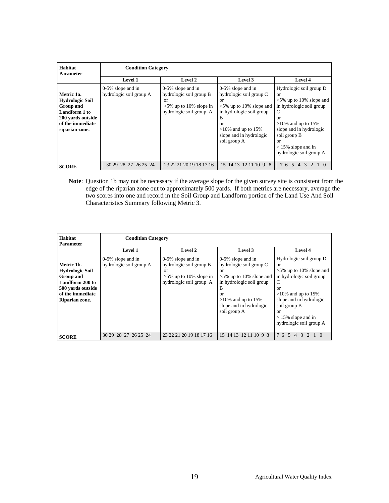| Habitat<br><b>Parameter</b>                                                                                                          |                                              | <b>Condition Category</b>                                                                                     |                                                                                                                                                                                                |                                                                                                                                                                                                                                             |  |  |  |  |  |  |  |  |  |  |  |
|--------------------------------------------------------------------------------------------------------------------------------------|----------------------------------------------|---------------------------------------------------------------------------------------------------------------|------------------------------------------------------------------------------------------------------------------------------------------------------------------------------------------------|---------------------------------------------------------------------------------------------------------------------------------------------------------------------------------------------------------------------------------------------|--|--|--|--|--|--|--|--|--|--|--|
|                                                                                                                                      | Level 1                                      | Level 2                                                                                                       | Level 3                                                                                                                                                                                        | <b>Level 4</b>                                                                                                                                                                                                                              |  |  |  |  |  |  |  |  |  |  |  |
| Metric 1a.<br><b>Hydrologic Soil</b><br><b>Group and</b><br>Landform 1 to<br>200 yards outside<br>of the immediate<br>riparian zone. | 0-5% slope and in<br>hydrologic soil group A | $0-5\%$ slope and in<br>hydrologic soil group B<br>or<br>$>5\%$ up to 10% slope in<br>hydrologic soil group A | $0-5\%$ slope and in<br>hydrologic soil group C<br>or<br>$>5\%$ up to 10% slope and<br>in hydrologic soil group<br>В<br>or<br>$>10\%$ and up to 15%<br>slope and in hydrologic<br>soil group A | Hydrologic soil group D<br><sub>or</sub><br>$>5\%$ up to 10% slope and<br>in hydrologic soil group<br>С<br>or<br>$>10\%$ and up to 15%<br>slope and in hydrologic<br>soil group B<br>or<br>$> 15\%$ slope and in<br>hydrologic soil group A |  |  |  |  |  |  |  |  |  |  |  |
| <b>SCORE</b>                                                                                                                         | 30 29 28 27 26 25 24                         | 23 22 21 20 19 18 17 16                                                                                       | 15 14 13 12 11 10 9 8                                                                                                                                                                          | 7<br>$\overline{5}$<br>3<br>6<br>$\Delta$                                                                                                                                                                                                   |  |  |  |  |  |  |  |  |  |  |  |

Note: Question 1b may not be necessary if the average slope for the given survey site is consistent from the edge of the riparian zone out to approximately 500 yards. If both metrics are necessary, average the two scores into one and record in the Soil Group and Landform portion of the Land Use And Soil Characteristics Summary following Metric 3.

| Habitat<br><b>Parameter</b>                                                                                                     |                                                 | <b>Condition Category</b>                                                                                     |                                                                                                                                                                                                                   |                                                                                                                                                                                                                                              |  |  |  |  |  |  |  |  |  |  |
|---------------------------------------------------------------------------------------------------------------------------------|-------------------------------------------------|---------------------------------------------------------------------------------------------------------------|-------------------------------------------------------------------------------------------------------------------------------------------------------------------------------------------------------------------|----------------------------------------------------------------------------------------------------------------------------------------------------------------------------------------------------------------------------------------------|--|--|--|--|--|--|--|--|--|--|
|                                                                                                                                 | <b>Level 1</b>                                  | <b>Level 2</b>                                                                                                | Level 3                                                                                                                                                                                                           | <b>Level 4</b>                                                                                                                                                                                                                               |  |  |  |  |  |  |  |  |  |  |
| Metric 1b.<br><b>Hydrologic Soil</b><br>Group and<br>Landform 200 to<br>500 yards outside<br>of the immediate<br>Riparian zone. | $0-5\%$ slope and in<br>hydrologic soil group A | $0-5\%$ slope and in<br>hydrologic soil group B<br>or<br>$>5\%$ up to 10% slope in<br>hydrologic soil group A | $0-5\%$ slope and in<br>hydrologic soil group C<br>or<br>$>5\%$ up to 10% slope and<br>in hydrologic soil group<br>B<br>$\alpha$ <sup>r</sup><br>$>10\%$ and up to 15%<br>slope and in hydrologic<br>soil group A | Hydrologic soil group D<br>or<br>$>5\%$ up to 10% slope and<br>in hydrologic soil group<br>C<br>$\alpha$<br>$>10\%$ and up to 15%<br>slope and in hydrologic<br>soil group B<br>$\alpha$<br>$> 15\%$ slope and in<br>hydrologic soil group A |  |  |  |  |  |  |  |  |  |  |
| <b>SCORE</b>                                                                                                                    | 30 29 28 27 26 25 24                            | 23 22 21 20 19 18 17 16                                                                                       | 15 14 13 12 11 10 9 8                                                                                                                                                                                             | 7654<br>$\mathcal{R}$<br>$2 \t1 \t0$                                                                                                                                                                                                         |  |  |  |  |  |  |  |  |  |  |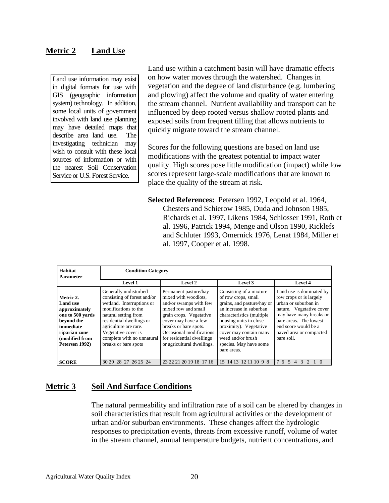#### **Metric 2 Land Use**

Land use information may exist in digital formats for use with GIS (geographic information system) technology. In addition, some local units of government involved with land use planning may have detailed maps that describe area land use. The investigating technician may wish to consult with these local sources of information or with the nearest Soil Conservation Service or U.S. Forest Service.

Land use within a catchment basin will have dramatic effects on how water moves through the watershed. Changes in vegetation and the degree of land disturbance (e.g. lumbering and plowing) affect the volume and quality of water entering the stream channel. Nutrient availability and transport can be influenced by deep rooted versus shallow rooted plants and exposed soils from frequent tilling that allows nutrients to quickly migrate toward the stream channel.

Scores for the following questions are based on land use modifications with the greatest potential to impact water quality. High scores pose little modification (impact) while low scores represent large-scale modifications that are known to place the quality of the stream at risk.

**Selected References:** Petersen 1992, Leopold et al. 1964, Chesters and Schierow 1985, Duda and Johnson 1985, Richards et al. 1997, Likens 1984, Schlosser 1991, Roth et al. 1996, Patrick 1994, Menge and Olson 1990, Ricklefs and Schluter 1993, Omernick 1976, Lenat 1984, Miller et al. 1997, Cooper et al. 1998.

| Habitat<br><b>Parameter</b>                                                                                                                       | <b>Condition Category</b>                                                                                                                                                                                                                                           |                                                                                                                                                                                                                                                                   |                                                                                                                                                                                                                                                                                   |                                                                                                                                                                                                                               |  |  |  |  |  |  |  |  |  |  |  |
|---------------------------------------------------------------------------------------------------------------------------------------------------|---------------------------------------------------------------------------------------------------------------------------------------------------------------------------------------------------------------------------------------------------------------------|-------------------------------------------------------------------------------------------------------------------------------------------------------------------------------------------------------------------------------------------------------------------|-----------------------------------------------------------------------------------------------------------------------------------------------------------------------------------------------------------------------------------------------------------------------------------|-------------------------------------------------------------------------------------------------------------------------------------------------------------------------------------------------------------------------------|--|--|--|--|--|--|--|--|--|--|--|
|                                                                                                                                                   | Level 1                                                                                                                                                                                                                                                             | Level 2                                                                                                                                                                                                                                                           | Level 3                                                                                                                                                                                                                                                                           | Level 4                                                                                                                                                                                                                       |  |  |  |  |  |  |  |  |  |  |  |
| Metric 2.<br><b>Land</b> use<br>approximately<br>one to 500 yards<br>beyond the<br>immediate<br>riparian zone<br>(modified from<br>Petersen 1992) | Generally undisturbed<br>consisting of forest and/or<br>wetland. Interruptions or<br>modifications to the<br>natural setting from<br>residential dwellings or<br>agriculture are rare.<br>Vegetative cover is<br>complete with no unnatural<br>breaks or bare spots | Permanent pasture/hay<br>mixed with woodlots.<br>and/or swamps with few<br>mixed row and small<br>grain crops. Vegetative<br>cover may have a few<br>breaks or bare spots.<br>Occasional modifications<br>for residential dwellings<br>or agricultural dwellings. | Consisting of a mixture<br>of row crops, small<br>grains, and pasture/hay or<br>an increase in suburban<br>characteristics (multiple)<br>housing units in close<br>proximity). Vegetative<br>cover may contain many<br>weed and/or brush<br>species. May have some<br>bare areas. | Land use is dominated by<br>row crops or is largely<br>urban or suburban in<br>nature. Vegetative cover<br>may have many breaks or<br>bare areas. The lowest<br>end score would be a<br>paved area or compacted<br>bare soil. |  |  |  |  |  |  |  |  |  |  |  |
| <b>SCORE</b>                                                                                                                                      | 30 29 28 27 26 25 24                                                                                                                                                                                                                                                | 23 22 21 20 19 18 17 16                                                                                                                                                                                                                                           | 15 14 13 12 11 10 9 8                                                                                                                                                                                                                                                             | 7654<br>$\overline{3}$<br>2 1 0                                                                                                                                                                                               |  |  |  |  |  |  |  |  |  |  |  |

#### **Metric 3 Soil And Surface Conditions**

The natural permeability and infiltration rate of a soil can be altered by changes in soil characteristics that result from agricultural activities or the development of urban and/or suburban environments. These changes affect the hydrologic responses to precipitation events, threats from excessive runoff, volume of water in the stream channel, annual temperature budgets, nutrient concentrations, and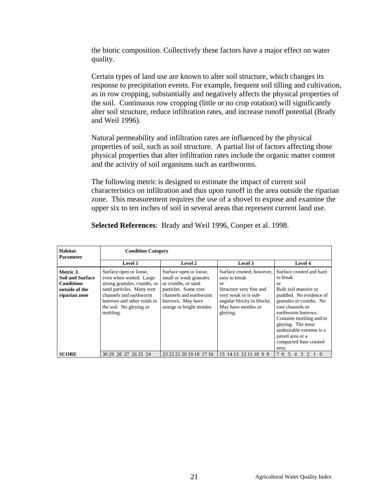the biotic composition. Collectively these factors have a major effect on water quality.

Certain types of land use are known to alter soil structure, which changes its response to precipitation events. For example, frequent soil tilling and cultivation, as in row cropping, substantially and negatively affects the physical properties of the soil. Continuous row cropping (little or no crop rotation) will significantly alter soil structure, reduce infiltration rates, and increase runoff potential (Brady and Weil 1996).

Natural permeability and infiltration rates are influenced by the physical properties of soil, such as soil structure. A partial list of factors affecting those physical properties that alter infiltration rates include the organic matter content and the activity of soil organisms such as earthworms.

The following metric is designed to estimate the impact of current soil characteristics on infiltration and thus upon runoff in the area outside the riparian zone. This measurement requires the use of a shovel to expose and examine the upper six to ten inches of soil in several areas that represent current land use.

**Selected References**: Brady and Weil 1996, Cooper et al. 1998.

| Habitat<br><b>Parameter</b>                                                                  | <b>Condition Category</b>                                                                                                                                                                                     |                                                                                                                                                                           |                                                                                                                                                                     |                                                                                                                                                                                                                                                                                                                 |  |  |  |  |  |  |  |  |  |
|----------------------------------------------------------------------------------------------|---------------------------------------------------------------------------------------------------------------------------------------------------------------------------------------------------------------|---------------------------------------------------------------------------------------------------------------------------------------------------------------------------|---------------------------------------------------------------------------------------------------------------------------------------------------------------------|-----------------------------------------------------------------------------------------------------------------------------------------------------------------------------------------------------------------------------------------------------------------------------------------------------------------|--|--|--|--|--|--|--|--|--|
|                                                                                              | <b>Level 1</b>                                                                                                                                                                                                | Level 2                                                                                                                                                                   | Level 3                                                                                                                                                             | <b>Level 4</b>                                                                                                                                                                                                                                                                                                  |  |  |  |  |  |  |  |  |  |
| Metric 3.<br><b>Soil and Surface</b><br><b>Conditions</b><br>outside of the<br>riparian zone | Surface open or loose,<br>even when wetted. Large<br>strong granules, crumbs, or<br>sand particles. Many root<br>channels and earthworm<br>burrows and other voids in<br>the soil. No gleying or<br>mottling. | Surface open or loose,<br>small or weak granules<br>or crumbs, or sand<br>particles. Some root<br>channels and earthworm<br>burrows. May have<br>orange or bright mottles | Surface crusted; however,<br>easy to break<br>0r<br>Structure very fine and<br>very weak or is sub-<br>angular blocky to blocky.<br>May have mottles or<br>gleying. | Surface crusted and hard<br>to break<br><sub>or</sub><br>Bulk soil massive or<br>puddled. No evidence of<br>granules or crumbs. No<br>root channels or<br>earthworm burrows.<br>Contains mottling and/or<br>gleying. The most<br>undesirable extreme is a<br>paved area or a<br>compacted bare crusted<br>area. |  |  |  |  |  |  |  |  |  |
| <b>SCORE</b>                                                                                 | 30 29 28 27 26 25 24                                                                                                                                                                                          | 23 22 21 20 19 18 17 16                                                                                                                                                   | 15 14 13 12 11 10<br>98                                                                                                                                             | 7654<br>3<br>2                                                                                                                                                                                                                                                                                                  |  |  |  |  |  |  |  |  |  |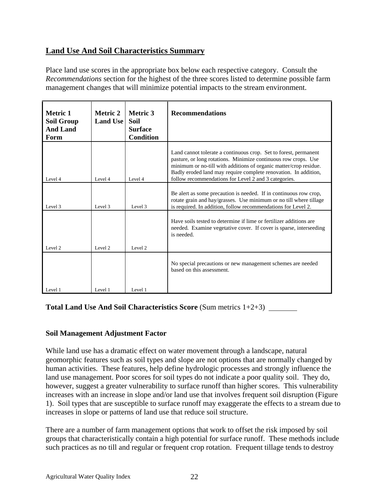#### **Land Use And Soil Characteristics Summary**

Place land use scores in the appropriate box below each respective category. Consult the *Recommendations* section for the highest of the three scores listed to determine possible farm management changes that will minimize potential impacts to the stream environment.

| <b>Metric 1</b><br><b>Soil Group</b><br><b>And Land</b><br>Form | <b>Metric 2</b><br><b>Land Use</b> | <b>Recommendations</b> |                                                                                                                                                                                                                                                                                                                                    |
|-----------------------------------------------------------------|------------------------------------|------------------------|------------------------------------------------------------------------------------------------------------------------------------------------------------------------------------------------------------------------------------------------------------------------------------------------------------------------------------|
| Level 4                                                         | Level 4                            | Level 4                | Land cannot tolerate a continuous crop. Set to forest, permanent<br>pasture, or long rotations. Minimize continuous row crops. Use<br>minimum or no-till with additions of organic matter/crop residue.<br>Badly eroded land may require complete renovation. In addition,<br>follow recommendations for Level 2 and 3 categories. |
| Level 3                                                         | Level 3                            | Level 3                | Be alert as some precaution is needed. If in continuous row crop,<br>rotate grain and hay/grasses. Use minimum or no till where tillage<br>is required. In addition, follow recommendations for Level 2.                                                                                                                           |
| Level <sub>2</sub>                                              | Level 2                            | Level 2                | Have soils tested to determine if lime or fertilizer additions are<br>needed. Examine vegetative cover. If cover is sparse, interseeding<br>is needed.                                                                                                                                                                             |
|                                                                 |                                    |                        | No special precautions or new management schemes are needed<br>based on this assessment.                                                                                                                                                                                                                                           |
| Level 1                                                         | Level 1                            | Level 1                |                                                                                                                                                                                                                                                                                                                                    |

**Total Land Use And Soil Characteristics Score** (Sum metrics 1+2+3)

#### **Soil Management Adjustment Factor**

While land use has a dramatic effect on water movement through a landscape, natural geomorphic features such as soil types and slope are not options that are normally changed by human activities. These features, help define hydrologic processes and strongly influence the land use management. Poor scores for soil types do not indicate a poor quality soil. They do, however, suggest a greater vulnerability to surface runoff than higher scores. This vulnerability increases with an increase in slope and/or land use that involves frequent soil disruption (Figure 1). Soil types that are susceptible to surface runoff may exaggerate the effects to a stream due to increases in slope or patterns of land use that reduce soil structure.

There are a number of farm management options that work to offset the risk imposed by soil groups that characteristically contain a high potential for surface runoff. These methods include such practices as no till and regular or frequent crop rotation. Frequent tillage tends to destroy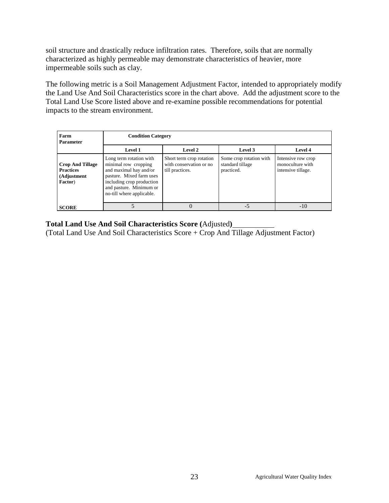soil structure and drastically reduce infiltration rates. Therefore, soils that are normally characterized as highly permeable may demonstrate characteristics of heavier, more impermeable soils such as clay.

The following metric is a Soil Management Adjustment Factor, intended to appropriately modify the Land Use And Soil Characteristics score in the chart above. Add the adjustment score to the Total Land Use Score listed above and re-examine possible recommendations for potential impacts to the stream environment.

| Farm<br><b>Parameter</b>                                              |                                                                                                                                                                                            | <b>Condition Category</b>                                              |                                                           |                                                              |  |  |  |  |  |  |  |  |  |  |
|-----------------------------------------------------------------------|--------------------------------------------------------------------------------------------------------------------------------------------------------------------------------------------|------------------------------------------------------------------------|-----------------------------------------------------------|--------------------------------------------------------------|--|--|--|--|--|--|--|--|--|--|
|                                                                       | <b>Level 1</b>                                                                                                                                                                             | Level 2                                                                | Level 3                                                   | Level 4                                                      |  |  |  |  |  |  |  |  |  |  |
| <b>Crop And Tillage</b><br><b>Practices</b><br>(Adjustment<br>Factor) | Long term rotation with<br>minimal row cropping<br>and maximal hay and/or<br>pasture. Mixed farm uses<br>including crop production<br>and pasture. Minimum or<br>no-till where applicable. | Short term crop rotation<br>with conservation or no<br>till practices. | Some crop rotation with<br>standard tillage<br>practiced. | Intensive row crop<br>monoculture with<br>intensive tillage. |  |  |  |  |  |  |  |  |  |  |
| <b>SCORE</b>                                                          |                                                                                                                                                                                            | $\theta$                                                               | $-5$                                                      | $-10$                                                        |  |  |  |  |  |  |  |  |  |  |

#### **Total Land Use And Soil Characteristics Score (**Adjusted**)**

(Total Land Use And Soil Characteristics Score + Crop And Tillage Adjustment Factor)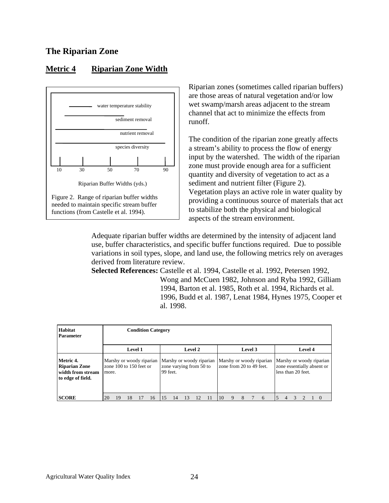#### **The Riparian Zone**

#### **Metric 4 Riparian Zone Width**



Riparian zones (sometimes called riparian buffers) are those areas of natural vegetation and/or low wet swamp/marsh areas adjacent to the stream channel that act to minimize the effects from runoff.

The condition of the riparian zone greatly affects a stream's ability to process the flow of energy input by the watershed. The width of the riparian zone must provide enough area for a sufficient quantity and diversity of vegetation to act as a sediment and nutrient filter (Figure 2). Vegetation plays an active role in water quality by providing a continuous source of materials that act to stabilize both the physical and biological aspects of the stream environment.

Adequate riparian buffer widths are determined by the intensity of adjacent land use, buffer characteristics, and specific buffer functions required. Due to possible variations in soil types, slope, and land use, the following metrics rely on averages derived from literature review.

**Selected References:** Castelle et al. 1994, Castelle et al. 1992, Petersen 1992, Wong and McCuen 1982, Johnson and Ryba 1992, Gilliam 1994, Barton et al. 1985, Roth et al. 1994, Richards et al. 1996, Budd et al. 1987, Lenat 1984, Hynes 1975, Cooper et al. 1998.

| <b>Habitat</b><br><b>Parameter</b>                                          |                                                                                    |    |    |  | <b>Condition Category</b> |  |                                                                 |    |    |  |    |                                                      |   |         |   |                |                                                                              |  |  |  |                    |  |  |
|-----------------------------------------------------------------------------|------------------------------------------------------------------------------------|----|----|--|---------------------------|--|-----------------------------------------------------------------|----|----|--|----|------------------------------------------------------|---|---------|---|----------------|------------------------------------------------------------------------------|--|--|--|--------------------|--|--|
|                                                                             |                                                                                    |    |    |  |                           |  | Level 2                                                         |    |    |  |    |                                                      |   | Level 3 |   | <b>Level 4</b> |                                                                              |  |  |  |                    |  |  |
| Metric 4.<br><b>Riparian Zone</b><br>width from stream<br>to edge of field. | <b>Level 1</b><br>Marshy or woody riparian<br>zone $100$ to $150$ feet or<br>more. |    |    |  |                           |  | Marshy or woody riparian<br>zone varying from 50 to<br>99 feet. |    |    |  |    | Marshy or woody riparian<br>zone from 20 to 49 feet. |   |         |   |                | Marshy or woody riparian<br>zone essentially absent or<br>less than 20 feet. |  |  |  |                    |  |  |
| <b>SCORE</b>                                                                | 20                                                                                 | 19 | 18 |  | 16                        |  | 14                                                              | 13 | 12 |  | 10 | 9                                                    | 8 |         | 6 | 15             | 4                                                                            |  |  |  | $\left($ $\right)$ |  |  |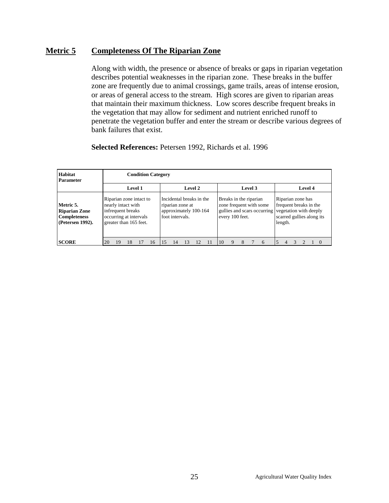#### **Metric 5 Completeness Of The Riparian Zone**

Along with width, the presence or absence of breaks or gaps in riparian vegetation describes potential weaknesses in the riparian zone. These breaks in the buffer zone are frequently due to animal crossings, game trails, areas of intense erosion, or areas of general access to the stream. High scores are given to riparian areas that maintain their maximum thickness. Low scores describe frequent breaks in the vegetation that may allow for sediment and nutrient enriched runoff to penetrate the vegetation buffer and enter the stream or describe various degrees of bank failures that exist.

#### **Selected References:** Petersen 1992, Richards et al. 1996

| <b>Habitat</b><br><b>Parameter</b>                                           | <b>Condition Category</b>                                                                                              |    |         |    |                                                                                          |    |    |  |  |         |                                           |  |  |                         |                                                                                                                                           |                |  |  |  |          |  |  |
|------------------------------------------------------------------------------|------------------------------------------------------------------------------------------------------------------------|----|---------|----|------------------------------------------------------------------------------------------|----|----|--|--|---------|-------------------------------------------|--|--|-------------------------|-------------------------------------------------------------------------------------------------------------------------------------------|----------------|--|--|--|----------|--|--|
|                                                                              |                                                                                                                        |    | Level 1 |    | Level 2                                                                                  |    |    |  |  | Level 3 |                                           |  |  |                         |                                                                                                                                           | Level 4        |  |  |  |          |  |  |
| Metric 5.<br><b>Riparian Zone</b><br><b>Completeness</b><br>(Petersen 1992). | Riparian zone intact to<br>nearly intact with<br>infrequent breaks<br>occurring at intervals<br>greater than 165 feet. |    |         |    | Incidental breaks in the<br>riparian zone at<br>approximately 100-164<br>foot intervals. |    |    |  |  |         | Breaks in the riparian<br>every 100 feet. |  |  | zone frequent with some | Riparian zone has<br>frequent breaks in the<br>gullies and scars occurring vegetation with deeply<br>scarred gullies along its<br>length. |                |  |  |  |          |  |  |
| <b>SCORE</b>                                                                 | 20<br>19                                                                                                               | 18 |         | 16 | 15                                                                                       | 14 | 13 |  |  | 10      | 9                                         |  |  | 6                       |                                                                                                                                           | $\overline{4}$ |  |  |  | $\theta$ |  |  |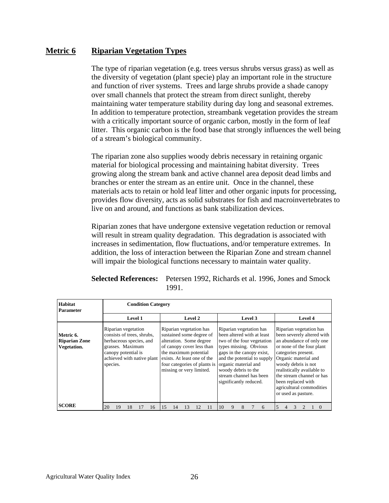#### **Metric 6 Riparian Vegetation Types**

The type of riparian vegetation (e.g. trees versus shrubs versus grass) as well as the diversity of vegetation (plant specie) play an important role in the structure and function of river systems. Trees and large shrubs provide a shade canopy over small channels that protect the stream from direct sunlight, thereby maintaining water temperature stability during day long and seasonal extremes. In addition to temperature protection, streambank vegetation provides the stream with a critically important source of organic carbon, mostly in the form of leaf litter. This organic carbon is the food base that strongly influences the well being of a stream's biological community.

The riparian zone also supplies woody debris necessary in retaining organic material for biological processing and maintaining habitat diversity. Trees growing along the stream bank and active channel area deposit dead limbs and branches or enter the stream as an entire unit. Once in the channel, these materials acts to retain or hold leaf litter and other organic inputs for processing, provides flow diversity, acts as solid substrates for fish and macroinvertebrates to live on and around, and functions as bank stabilization devices.

Riparian zones that have undergone extensive vegetation reduction or removal will result in stream quality degradation. This degradation is associated with increases in sedimentation, flow fluctuations, and/or temperature extremes. In addition, the loss of interaction between the Riparian Zone and stream channel will impair the biological functions necessary to maintain water quality.

| Habitat<br><b>Parameter</b>                      | <b>Condition Category</b>                                                                                                                                         |                                                                                                                                                                                                                                 |                                                                                                                                                                                                                                                                               |                                                                                                                                                                                                                                                                                                                          |
|--------------------------------------------------|-------------------------------------------------------------------------------------------------------------------------------------------------------------------|---------------------------------------------------------------------------------------------------------------------------------------------------------------------------------------------------------------------------------|-------------------------------------------------------------------------------------------------------------------------------------------------------------------------------------------------------------------------------------------------------------------------------|--------------------------------------------------------------------------------------------------------------------------------------------------------------------------------------------------------------------------------------------------------------------------------------------------------------------------|
|                                                  | Level 1                                                                                                                                                           | <b>Level 2</b>                                                                                                                                                                                                                  | Level 3                                                                                                                                                                                                                                                                       | <b>Level 4</b>                                                                                                                                                                                                                                                                                                           |
| Metric 6.<br><b>Riparian Zone</b><br>Vegetation. | Riparian vegetation<br>consists of trees, shrubs,<br>herbaceous species, and<br>grasses. Maximum<br>canopy potential is<br>achieved with native plant<br>species. | Riparian vegetation has<br>sustained some degree of<br>alteration. Some degree<br>of canopy cover less than<br>the maximum potential<br>exists. At least one of the<br>four categories of plants is<br>missing or very limited. | Riparian vegetation has<br>been altered with at least<br>two of the four vegetation<br>types missing. Obvious<br>gaps in the canopy exist,<br>and the potential to supply<br>organic material and<br>woody debris to the<br>stream channel has been<br>significantly reduced. | Riparian vegetation has<br>been severely altered with<br>an abundance of only one<br>or none of the four plant<br>categories present.<br>Organic material and<br>woody debris is not<br>realistically available to<br>the stream channel or has<br>been replaced with<br>agricultural commodities<br>or used as pasture. |
| <b>SCORE</b>                                     | 20<br>18<br>16<br>19                                                                                                                                              | 15<br>13<br>12<br>14<br>11                                                                                                                                                                                                      | 10<br>9<br>6<br>8                                                                                                                                                                                                                                                             | 5<br>3<br>4                                                                                                                                                                                                                                                                                                              |

**Selected References:** Petersen 1992, Richards et al. 1996, Jones and Smock 1991.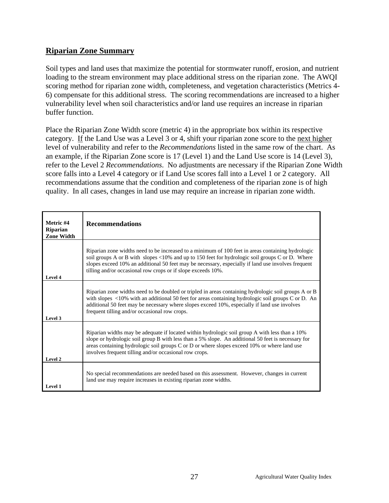#### **Riparian Zone Summary**

Soil types and land uses that maximize the potential for stormwater runoff, erosion, and nutrient loading to the stream environment may place additional stress on the riparian zone. The AWQI scoring method for riparian zone width, completeness, and vegetation characteristics (Metrics 4- 6) compensate for this additional stress. The scoring recommendations are increased to a higher vulnerability level when soil characteristics and/or land use requires an increase in riparian buffer function.

Place the Riparian Zone Width score (metric 4) in the appropriate box within its respective category. If the Land Use was a Level 3 or 4, shift your riparian zone score to the next higher level of vulnerability and refer to the *Recommendations* listed in the same row of the chart. As an example, if the Riparian Zone score is 17 (Level 1) and the Land Use score is 14 (Level 3), refer to the Level 2 *Recommendations*. No adjustments are necessary if the Riparian Zone Width score falls into a Level 4 category or if Land Use scores fall into a Level 1 or 2 category. All recommendations assume that the condition and completeness of the riparian zone is of high quality. In all cases, changes in land use may require an increase in riparian zone width.

| Metric #4<br><b>Riparian</b><br><b>Zone Width</b> | <b>Recommendations</b>                                                                                                                                                                                                                                                                                                                                                        |
|---------------------------------------------------|-------------------------------------------------------------------------------------------------------------------------------------------------------------------------------------------------------------------------------------------------------------------------------------------------------------------------------------------------------------------------------|
| Level 4                                           | Riparian zone widths need to be increased to a minimum of 100 feet in areas containing hydrologic<br>soil groups A or B with slopes <10% and up to 150 feet for hydrologic soil groups C or D. Where<br>slopes exceed 10% an additional 50 feet may be necessary, especially if land use involves frequent<br>tilling and/or occasional row crops or if slope exceeds 10%.    |
| Level 3                                           | Riparian zone widths need to be doubled or tripled in areas containing hydrologic soil groups A or B<br>with slopes $\langle 10\% \text{ with an additional 50 feet for areas containing hydrologic soil groups C or D. An}$<br>additional 50 feet may be necessary where slopes exceed 10%, especially if land use involves<br>frequent tilling and/or occasional row crops. |
| Level 2                                           | Riparian widths may be adequate if located within hydrologic soil group A with less than a 10%<br>slope or hydrologic soil group B with less than a 5% slope. An additional 50 feet is necessary for<br>areas containing hydrologic soil groups C or D or where slopes exceed 10% or where land use<br>involves frequent tilling and/or occasional row crops.                 |
| Level 1                                           | No special recommendations are needed based on this assessment. However, changes in current<br>land use may require increases in existing riparian zone widths.                                                                                                                                                                                                               |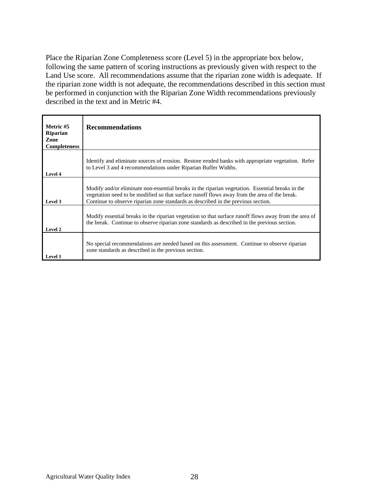Place the Riparian Zone Completeness score (Level 5) in the appropriate box below, following the same pattern of scoring instructions as previously given with respect to the Land Use score. All recommendations assume that the riparian zone width is adequate. If the riparian zone width is not adequate, the recommendations described in this section must be performed in conjunction with the Riparian Zone Width recommendations previously described in the text and in Metric #4.

| Metric #5<br>Riparian<br>Zone<br><b>Completeness</b> | <b>Recommendations</b>                                                                                                                                                                                                                                                                |
|------------------------------------------------------|---------------------------------------------------------------------------------------------------------------------------------------------------------------------------------------------------------------------------------------------------------------------------------------|
| Level 4                                              | Identify and eliminate sources of erosion. Restore eroded banks with appropriate vegetation. Refer<br>to Level 3 and 4 recommendations under Riparian Buffer Widths.                                                                                                                  |
| Level 3                                              | Modify and/or eliminate non-essential breaks in the riparian vegetation. Essential breaks in the<br>vegetation need to be modified so that surface runoff flows away from the area of the break.<br>Continue to observe riparian zone standards as described in the previous section. |
| Level 2                                              | Modify essential breaks in the riparian vegetation so that surface runoff flows away from the area of<br>the break. Continue to observe riparian zone standards as described in the previous section.                                                                                 |
| Level 1                                              | No special recommendations are needed based on this assessment. Continue to observe riparian<br>zone standards as described in the previous section.                                                                                                                                  |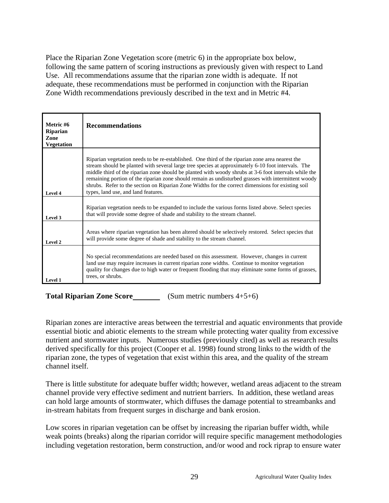Place the Riparian Zone Vegetation score (metric 6) in the appropriate box below, following the same pattern of scoring instructions as previously given with respect to Land Use. All recommendations assume that the riparian zone width is adequate. If not adequate, these recommendations must be performed in conjunction with the Riparian Zone Width recommendations previously described in the text and in Metric #4.

| Metric #6<br><b>Riparian</b><br>Zone<br><b>Vegetation</b> | <b>Recommendations</b>                                                                                                                                                                                                                                                                                                                                                                                                                                                                                                                                            |
|-----------------------------------------------------------|-------------------------------------------------------------------------------------------------------------------------------------------------------------------------------------------------------------------------------------------------------------------------------------------------------------------------------------------------------------------------------------------------------------------------------------------------------------------------------------------------------------------------------------------------------------------|
| Level 4                                                   | Riparian vegetation needs to be re-established. One third of the riparian zone area nearest the<br>stream should be planted with several large tree species at approximately 6-10 foot intervals. The<br>middle third of the riparian zone should be planted with woody shrubs at 3-6 foot intervals while the<br>remaining portion of the riparian zone should remain as undisturbed grasses with intermittent woody<br>shrubs. Refer to the section on Riparian Zone Widths for the correct dimensions for existing soil<br>types, land use, and land features. |
| Level 3                                                   | Riparian vegetation needs to be expanded to include the various forms listed above. Select species<br>that will provide some degree of shade and stability to the stream channel.                                                                                                                                                                                                                                                                                                                                                                                 |
| Level 2                                                   | Areas where riparian vegetation has been altered should be selectively restored. Select species that<br>will provide some degree of shade and stability to the stream channel.                                                                                                                                                                                                                                                                                                                                                                                    |
| Level 1                                                   | No special recommendations are needed based on this assessment. However, changes in current<br>land use may require increases in current riparian zone widths. Continue to monitor vegetation<br>quality for changes due to high water or frequent flooding that may eliminate some forms of grasses,<br>trees, or shrubs.                                                                                                                                                                                                                                        |

**Total Riparian Zone Score** (Sum metric numbers 4+5+6)

Riparian zones are interactive areas between the terrestrial and aquatic environments that provide essential biotic and abiotic elements to the stream while protecting water quality from excessive nutrient and stormwater inputs. Numerous studies (previously cited) as well as research results derived specifically for this project (Cooper et al. 1998) found strong links to the width of the riparian zone, the types of vegetation that exist within this area, and the quality of the stream channel itself.

There is little substitute for adequate buffer width; however, wetland areas adjacent to the stream channel provide very effective sediment and nutrient barriers. In addition, these wetland areas can hold large amounts of stormwater, which diffuses the damage potential to streambanks and in-stream habitats from frequent surges in discharge and bank erosion.

Low scores in riparian vegetation can be offset by increasing the riparian buffer width, while weak points (breaks) along the riparian corridor will require specific management methodologies including vegetation restoration, berm construction, and/or wood and rock riprap to ensure water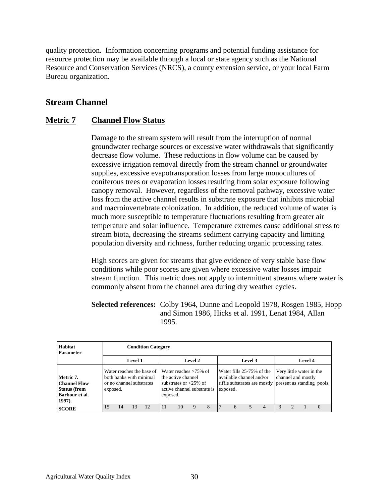quality protection. Information concerning programs and potential funding assistance for resource protection may be available through a local or state agency such as the National Resource and Conservation Services (NRCS), a county extension service, or your local Farm Bureau organization.

## **Stream Channel**

### **Metric 7 Channel Flow Status**

Damage to the stream system will result from the interruption of normal groundwater recharge sources or excessive water withdrawals that significantly decrease flow volume. These reductions in flow volume can be caused by excessive irrigation removal directly from the stream channel or groundwater supplies, excessive evapotransporation losses from large monocultures of coniferous trees or evaporation losses resulting from solar exposure following canopy removal. However, regardless of the removal pathway, excessive water loss from the active channel results in substrate exposure that inhibits microbial and macroinvertebrate colonization. In addition, the reduced volume of water is much more susceptible to temperature fluctuations resulting from greater air temperature and solar influence. Temperature extremes cause additional stress to stream biota, decreasing the streams sediment carrying capacity and limiting population diversity and richness, further reducing organic processing rates.

High scores are given for streams that give evidence of very stable base flow conditions while poor scores are given where excessive water losses impair stream function. This metric does not apply to intermittent streams where water is commonly absent from the channel area during dry weather cycles.

### **Selected references:** Colby 1964, Dunne and Leopold 1978, Rosgen 1985, Hopp and Simon 1986, Hicks et al. 1991, Lenat 1984, Allan 1995.

| Habitat<br><b>Parameter</b>                                                      |          | <b>Condition Category</b>                   |  |                                                                                  |          |                                                                                                           |   |   |  |                                                                                                                              |  |         |  |  |                                                |          |
|----------------------------------------------------------------------------------|----------|---------------------------------------------|--|----------------------------------------------------------------------------------|----------|-----------------------------------------------------------------------------------------------------------|---|---|--|------------------------------------------------------------------------------------------------------------------------------|--|---------|--|--|------------------------------------------------|----------|
|                                                                                  |          | <b>Level 2</b><br>Level 3<br><b>Level 1</b> |  |                                                                                  |          |                                                                                                           |   |   |  |                                                                                                                              |  | Level 4 |  |  |                                                |          |
| Metric 7.<br>l Channel Flow<br><b>Status (from</b><br>  Barbour et al.<br>1997). | exposed. |                                             |  | Water reaches the base of<br>both banks with minimal<br>or no channel substrates | exposed. | Water reaches $>75\%$ of<br>the active channel<br>substrates or $<$ 25% of<br>active channel substrate is |   |   |  | Water fills 25-75% of the<br>available channel and/or<br>riffle substrates are mostly present as standing pools.<br>exposed. |  |         |  |  | Very little water in the<br>channel and mostly |          |
| <b>SCORE</b>                                                                     | 15       | 14                                          |  | 12                                                                               |          | 10                                                                                                        | Q | 8 |  | 6                                                                                                                            |  | 4       |  |  |                                                | $\Omega$ |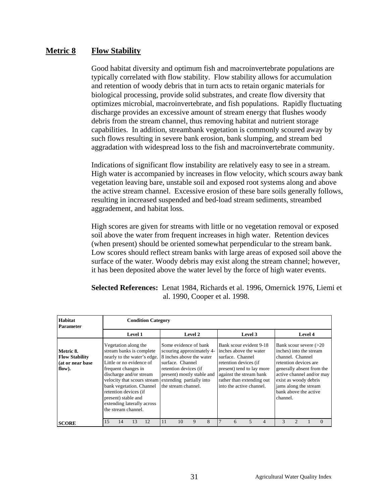### **Metric 8 Flow Stability**

Good habitat diversity and optimum fish and macroinvertebrate populations are typically correlated with flow stability. Flow stability allows for accumulation and retention of woody debris that in turn acts to retain organic materials for biological processing, provide solid substrates, and create flow diversity that optimizes microbial, macroinvertebrate, and fish populations. Rapidly fluctuating discharge provides an excessive amount of stream energy that flushes woody debris from the stream channel, thus removing habitat and nutrient storage capabilities. In addition, streambank vegetation is commonly scoured away by such flows resulting in severe bank erosion, bank slumping, and stream bed aggradation with widespread loss to the fish and macroinvertebrate community.

Indications of significant flow instability are relatively easy to see in a stream. High water is accompanied by increases in flow velocity, which scours away bank vegetation leaving bare, unstable soil and exposed root systems along and above the active stream channel. Excessive erosion of these bare soils generally follows, resulting in increased suspended and bed-load stream sediments, streambed aggradement, and habitat loss.

High scores are given for streams with little or no vegetation removal or exposed soil above the water from frequent increases in high water. Retention devices (when present) should be oriented somewhat perpendicular to the stream bank. Low scores should reflect stream banks with large areas of exposed soil above the surface of the water. Woody debris may exist along the stream channel; however, it has been deposited above the water level by the force of high water events.

| <b>Habitat</b><br><b>Parameter</b>                               |    | <b>Condition Category</b> |                                                                                                                    |                                                                                                                                                                                                         |    |                                                                                                                                                                                                              |         |   |  |                                                                                                                                                                                                                 |         |                |                                                                                                                                                                                                                                                   |         |          |
|------------------------------------------------------------------|----|---------------------------|--------------------------------------------------------------------------------------------------------------------|---------------------------------------------------------------------------------------------------------------------------------------------------------------------------------------------------------|----|--------------------------------------------------------------------------------------------------------------------------------------------------------------------------------------------------------------|---------|---|--|-----------------------------------------------------------------------------------------------------------------------------------------------------------------------------------------------------------------|---------|----------------|---------------------------------------------------------------------------------------------------------------------------------------------------------------------------------------------------------------------------------------------------|---------|----------|
|                                                                  |    |                           | <b>Level 1</b>                                                                                                     |                                                                                                                                                                                                         |    |                                                                                                                                                                                                              | Level 2 |   |  |                                                                                                                                                                                                                 | Level 3 |                |                                                                                                                                                                                                                                                   | Level 4 |          |
| Metric 8.<br><b>Flow Stability</b><br>(at or near base<br>flow). |    |                           | Vegetation along the<br>frequent changes in<br>retention devices (if<br>present) stable and<br>the stream channel. | stream banks is complete<br>nearly to the water's edge.<br>Little or no evidence of<br>discharge and/or stream<br>velocity that scours stream<br>bank vegetation. Channel<br>extending laterally across |    | Some evidence of bank<br>scouring approximately 4-<br>8 inches above the water<br>surface. Channel<br>retention devices (if<br>present) mostly stable and<br>extending partially into<br>the stream channel. |         |   |  | Bank scour evident 9-18<br>inches above the water<br>surface. Channel<br>retention devices (if<br>present) tend to lay more<br>against the stream bank<br>rather than extending out<br>into the active channel. |         |                | Bank scour severe $(>20$<br>inches) into the stream<br>channel. Channel<br>retention devices are<br>generally absent from the<br>active channel and/or may<br>exist as woody debris<br>jams along the stream<br>bank above the active<br>channel. |         |          |
| <b>SCORE</b>                                                     | 15 | 14                        | 13                                                                                                                 | 12                                                                                                                                                                                                      | 11 | 10                                                                                                                                                                                                           | 9       | 8 |  | 6                                                                                                                                                                                                               | 5       | $\overline{4}$ | $\mathbf{3}$                                                                                                                                                                                                                                      |         | $\Omega$ |

**Selected References:** Lenat 1984, Richards et al. 1996, Omernick 1976, Liemi et al. 1990, Cooper et al. 1998.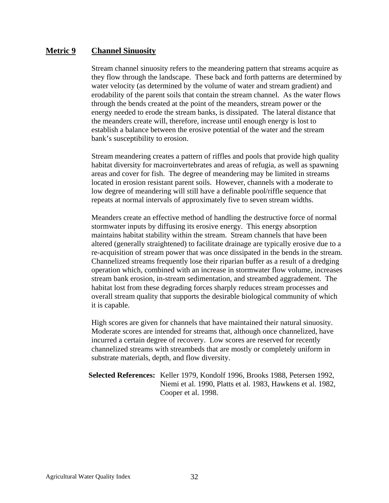### **Metric 9 Channel Sinuosity**

Stream channel sinuosity refers to the meandering pattern that streams acquire as they flow through the landscape. These back and forth patterns are determined by water velocity (as determined by the volume of water and stream gradient) and erodability of the parent soils that contain the stream channel. As the water flows through the bends created at the point of the meanders, stream power or the energy needed to erode the stream banks, is dissipated. The lateral distance that the meanders create will, therefore, increase until enough energy is lost to establish a balance between the erosive potential of the water and the stream bank's susceptibility to erosion.

Stream meandering creates a pattern of riffles and pools that provide high quality habitat diversity for macroinvertebrates and areas of refugia, as well as spawning areas and cover for fish. The degree of meandering may be limited in streams located in erosion resistant parent soils. However, channels with a moderate to low degree of meandering will still have a definable pool/riffle sequence that repeats at normal intervals of approximately five to seven stream widths.

Meanders create an effective method of handling the destructive force of normal stormwater inputs by diffusing its erosive energy. This energy absorption maintains habitat stability within the stream. Stream channels that have been altered (generally straightened) to facilitate drainage are typically erosive due to a re-acquisition of stream power that was once dissipated in the bends in the stream. Channelized streams frequently lose their riparian buffer as a result of a dredging operation which, combined with an increase in stormwater flow volume, increases stream bank erosion, in-stream sedimentation, and streambed aggradement. The habitat lost from these degrading forces sharply reduces stream processes and overall stream quality that supports the desirable biological community of which it is capable.

High scores are given for channels that have maintained their natural sinuosity. Moderate scores are intended for streams that, although once channelized, have incurred a certain degree of recovery. Low scores are reserved for recently channelized streams with streambeds that are mostly or completely uniform in substrate materials, depth, and flow diversity.

### **Selected References:** Keller 1979, Kondolf 1996, Brooks 1988, Petersen 1992, Niemi et al. 1990, Platts et al. 1983, Hawkens et al. 1982, Cooper et al. 1998.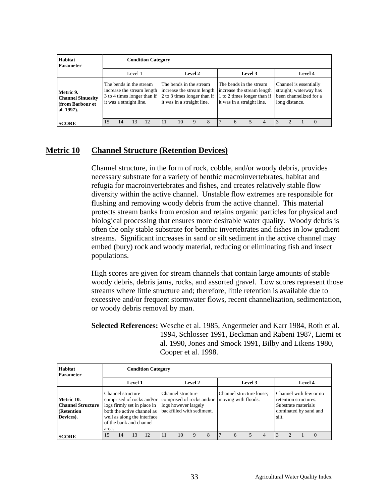| Habitat<br><b>Parameter</b>                                             |                         | <b>Condition Category</b> |                         |                                                           |  |                                                                                                                    |         |   |  |                                                       |         |                                                           |  |                |                        |                                                  |
|-------------------------------------------------------------------------|-------------------------|---------------------------|-------------------------|-----------------------------------------------------------|--|--------------------------------------------------------------------------------------------------------------------|---------|---|--|-------------------------------------------------------|---------|-----------------------------------------------------------|--|----------------|------------------------|--------------------------------------------------|
|                                                                         |                         |                           | Level 1                 |                                                           |  |                                                                                                                    | Level 2 |   |  |                                                       | Level 3 |                                                           |  |                | Level 4                |                                                  |
| Metric 9.<br><b>Channel Sinuosity</b><br>ffrom Barbour et<br>al. 1997). | it was a straight line. |                           | The bends in the stream | increase the stream length<br>3 to 4 times longer than if |  | The bends in the stream<br>increase the stream length<br>2 to 3 times longer than if<br>it was in a straight line. |         |   |  | The bends in the stream<br>it was in a straight line. |         | increase the stream length<br>1 to 2 times longer than if |  | long distance. | Channel is essentially | straight; waterway has<br>been channelized for a |
| <b>SCORE</b>                                                            | 15                      | 14                        | 13                      | 12                                                        |  | 10                                                                                                                 | Q       | 8 |  |                                                       |         | $\overline{4}$                                            |  | $\mathcal{L}$  |                        | $\Omega$                                         |

### **Metric 10 Channel Structure (Retention Devices)**

Channel structure, in the form of rock, cobble, and/or woody debris, provides necessary substrate for a variety of benthic macroinvertebrates, habitat and refugia for macroinvertebrates and fishes, and creates relatively stable flow diversity within the active channel. Unstable flow extremes are responsible for flushing and removing woody debris from the active channel. This material protects stream banks from erosion and retains organic particles for physical and biological processing that ensures more desirable water quality. Woody debris is often the only stable substrate for benthic invertebrates and fishes in low gradient streams. Significant increases in sand or silt sediment in the active channel may embed (bury) rock and woody material, reducing or eliminating fish and insect populations.

High scores are given for stream channels that contain large amounts of stable woody debris, debris jams, rocks, and assorted gravel. Low scores represent those streams where little structure and; therefore, little retention is available due to excessive and/or frequent stormwater flows, recent channelization, sedimentation, or woody debris removal by man.

**Selected References:** Wesche et al. 1985, Angermeier and Karr 1984, Roth et al. 1994, Schlosser 1991, Beckman and Rabeni 1987, Liemi et al. 1990, Jones and Smock 1991, Bilby and Likens 1980, Cooper et al. 1998.

| Habitat<br><b>Parameter</b>                                        |       | <b>Condition Category</b> |         |                                                                                                                                                                                                             |  |                                           |         |  |  |                                                 |         |   |       |                                              |                                                 |
|--------------------------------------------------------------------|-------|---------------------------|---------|-------------------------------------------------------------------------------------------------------------------------------------------------------------------------------------------------------------|--|-------------------------------------------|---------|--|--|-------------------------------------------------|---------|---|-------|----------------------------------------------|-------------------------------------------------|
|                                                                    |       |                           | Level 1 |                                                                                                                                                                                                             |  |                                           | Level 2 |  |  |                                                 | Level 3 |   |       | Level 4                                      |                                                 |
| Metric 10.<br><b>Channel Structure</b><br>(Retention)<br>Devices). | area. | Channel structure         |         | comprised of rocks and/or comprised of rocks and/or<br>logs firmly set in place in<br>both the active channel as <b>backfilled</b> with sediment.<br>well as along the interface<br>of the bank and channel |  | Channel structure<br>logs however largely |         |  |  | Channel structure loose;<br>moving with floods. |         |   | silt. | retention structures.<br>Substrate materials | Channel with few or no<br>dominated by sand and |
| <b>SCORE</b>                                                       | 15    | 14                        |         | 12                                                                                                                                                                                                          |  | 10                                        | Q       |  |  | 6                                               |         | 4 |       |                                              |                                                 |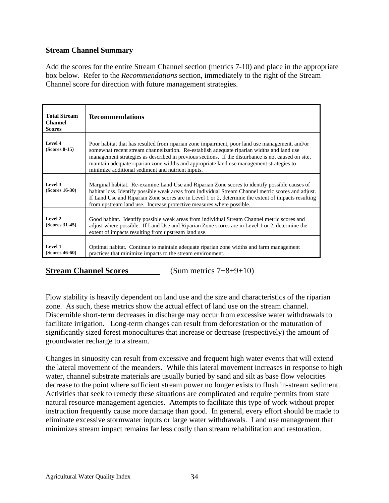### **Stream Channel Summary**

Add the scores for the entire Stream Channel section (metrics 7-10) and place in the appropriate box below. Refer to the *Recommendations* section, immediately to the right of the Stream Channel score for direction with future management strategies.

| <b>Total Stream</b><br><b>Channel</b><br><b>Scores</b> | <b>Recommendations</b>                                                                                                                                                                                                                                                                                                                                                                                                                             |
|--------------------------------------------------------|----------------------------------------------------------------------------------------------------------------------------------------------------------------------------------------------------------------------------------------------------------------------------------------------------------------------------------------------------------------------------------------------------------------------------------------------------|
| Level 4<br>$(Scores 0-15)$                             | Poor habitat that has resulted from riparian zone impairment, poor land use management, and/or<br>somewhat recent stream channelization. Re-establish adequate riparian widths and land use<br>management strategies as described in previous sections. If the disturbance is not caused on site,<br>maintain adequate riparian zone widths and appropriate land use management strategies to<br>minimize additional sediment and nutrient inputs. |
| Level 3<br>$(Scores 16-30)$                            | Marginal habitat. Re-examine Land Use and Riparian Zone scores to identify possible causes of<br>habitat loss. Identify possible weak areas from individual Stream Channel metric scores and adjust.<br>If Land Use and Riparian Zone scores are in Level 1 or 2, determine the extent of impacts resulting<br>from upstream land use. Increase protective measures where possible.                                                                |
| Level 2<br>$(Scores 31-45)$                            | Good habitat. Identify possible weak areas from individual Stream Channel metric scores and<br>adjust where possible. If Land Use and Riparian Zone scores are in Level 1 or 2, determine the<br>extent of impacts resulting from upstream land use.                                                                                                                                                                                               |
| Level 1<br>$(Scores 46-60)$                            | Optimal habitat. Continue to maintain adequate riparian zone widths and farm management<br>practices that minimize impacts to the stream environment.                                                                                                                                                                                                                                                                                              |

**Stream Channel Scores** (Sum metrics 7+8+9+10)

Flow stability is heavily dependent on land use and the size and characteristics of the riparian zone. As such, these metrics show the actual effect of land use on the stream channel. Discernible short-term decreases in discharge may occur from excessive water withdrawals to facilitate irrigation. Long-term changes can result from deforestation or the maturation of significantly sized forest monocultures that increase or decrease (respectively) the amount of groundwater recharge to a stream.

Changes in sinuosity can result from excessive and frequent high water events that will extend the lateral movement of the meanders. While this lateral movement increases in response to high water, channel substrate materials are usually buried by sand and silt as base flow velocities decrease to the point where sufficient stream power no longer exists to flush in-stream sediment. Activities that seek to remedy these situations are complicated and require permits from state natural resource management agencies. Attempts to facilitate this type of work without proper instruction frequently cause more damage than good. In general, every effort should be made to eliminate excessive stormwater inputs or large water withdrawals. Land use management that minimizes stream impact remains far less costly than stream rehabilitation and restoration.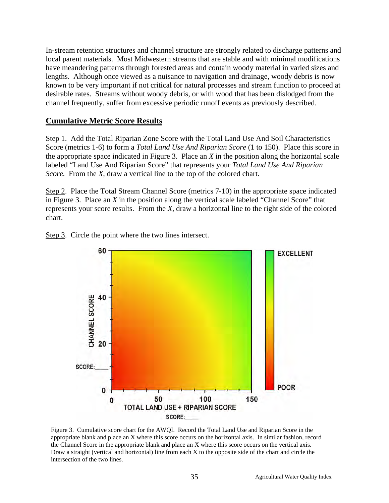In-stream retention structures and channel structure are strongly related to discharge patterns and local parent materials. Most Midwestern streams that are stable and with minimal modifications have meandering patterns through forested areas and contain woody material in varied sizes and lengths. Although once viewed as a nuisance to navigation and drainage, woody debris is now known to be very important if not critical for natural processes and stream function to proceed at desirable rates. Streams without woody debris, or with wood that has been dislodged from the channel frequently, suffer from excessive periodic runoff events as previously described.

### **Cumulative Metric Score Results**

Step 1. Add the Total Riparian Zone Score with the Total Land Use And Soil Characteristics Score (metrics 1-6) to form a *Total Land Use And Riparian Score* (1 to 150). Place this score in the appropriate space indicated in Figure 3. Place an *X* in the position along the horizontal scale labeled "Land Use And Riparian Score" that represents your *Total Land Use And Riparian Score.* From the *X*, draw a vertical line to the top of the colored chart.

Step 2. Place the Total Stream Channel Score (metrics 7-10) in the appropriate space indicated in Figure 3. Place an *X* in the position along the vertical scale labeled "Channel Score" that represents your score results. From the *X,* draw a horizontal line to the right side of the colored chart.



Step 3. Circle the point where the two lines intersect.

Figure 3. Cumulative score chart for the AWQI. Record the Total Land Use and Riparian Score in the appropriate blank and place an X where this score occurs on the horizontal axis. In similar fashion, record the Channel Score in the appropriate blank and place an X where this score occurs on the vertical axis. Draw a straight (vertical and horizontal) line from each X to the opposite side of the chart and circle the intersection of the two lines.

TOTAL LAND USE + RIPARIAN SCORE SCORE: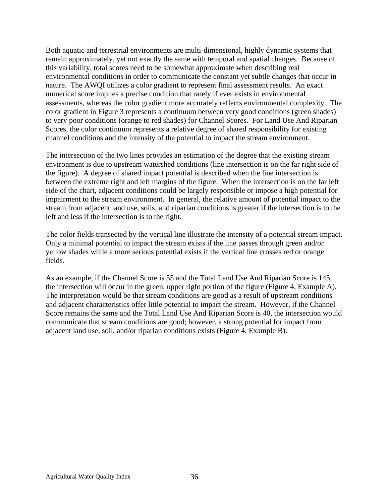Both aquatic and terrestrial environments are multi-dimensional, highly dynamic systems that remain approximately, yet not exactly the same with temporal and spatial changes. Because of this variability, total scores need to be somewhat approximate when describing real environmental conditions in order to communicate the constant yet subtle changes that occur in nature. The AWQI utilizes a color gradient to represent final assessment results. An exact numerical score implies a precise condition that rarely if ever exists in environmental assessments, whereas the color gradient more accurately reflects environmental complexity. The color gradient in Figure 3 represents a continuum between very good conditions (green shades) to very poor conditions (orange to red shades) for Channel Scores. For Land Use And Riparian Scores, the color continuum represents a relative degree of shared responsibility for existing channel conditions and the intensity of the potential to impact the stream environment.

The intersection of the two lines provides an estimation of the degree that the existing stream environment is due to upstream watershed conditions (line intersection is on the far right side of the figure). A degree of shared impact potential is described when the line intersection is between the extreme right and left margins of the figure. When the intersection is on the far left side of the chart, adjacent conditions could be largely responsible or impose a high potential for impairment to the stream environment. In general, the relative amount of potential impact to the stream from adjacent land use, soils, and riparian conditions is greater if the intersection is to the left and less if the intersection is to the right.

The color fields transected by the vertical line illustrate the intensity of a potential stream impact. Only a minimal potential to impact the stream exists if the line passes through green and/or yellow shades while a more serious potential exists if the vertical line crosses red or orange fields.

As an example, if the Channel Score is 55 and the Total Land Use And Riparian Score is 145, the intersection will occur in the green, upper right portion of the figure (Figure 4, Example A). The interpretation would be that stream conditions are good as a result of upstream conditions and adjacent characteristics offer little potential to impact the stream. However, if the Channel Score remains the same and the Total Land Use And Riparian Score is 40, the intersection would communicate that stream conditions are good; however, a strong potential for impact from adjacent land use, soil, and/or riparian conditions exists (Figure 4, Example B).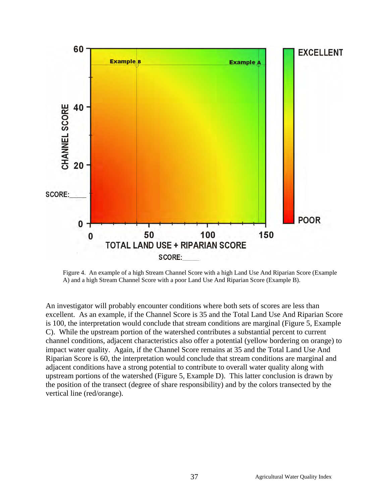

Figure 4. An example of a high Stream Channel Score with a high Land Use And Riparian Score (Example A) and a high Stream Channel Score with a poor Land Use And Riparian Score (Example B).

An investigator will probably encounter conditions where both sets of scores are less than excellent. As an example, if the Channel Score is 35 and the Total Land Use And Riparian Score is 100, the interpretation would conclude that stream conditions are marginal (Figure 5, Example C). While the upstream portion of the watershed contributes a substantial percent to current channel conditions, adjacent characteristics also offer a potential (yellow bordering on orange) to impact water quality. Again, if the Channel Score remains at 35 and the Total Land Use And Riparian Score is 60, the interpretation would conclude that stream conditions are marginal and adjacent conditions have a strong potential to contribute to overall water quality along with upstream portions of the watershed (Figure 5, Example D). This latter conclusion is drawn by the position of the transect (degree of share responsibility) and by the colors transected by the vertical line (red/orange).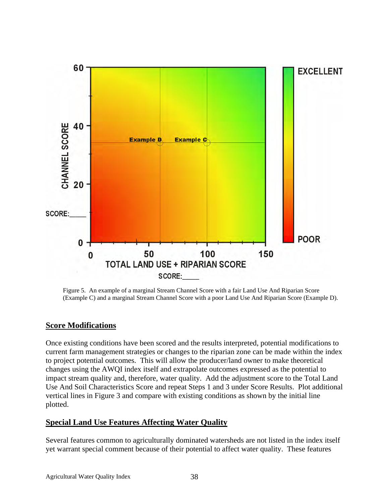

Figure 5. An example of a marginal Stream Channel Score with a fair Land Use And Riparian Score (Example C) and a marginal Stream Channel Score with a poor Land Use And Riparian Score (Example D).

### **Score Modifications**

Once existing conditions have been scored and the results interpreted, potential modifications to current farm management strategies or changes to the riparian zone can be made within the index to project potential outcomes. This will allow the producer/land owner to make theoretical changes using the AWQI index itself and extrapolate outcomes expressed as the potential to impact stream quality and, therefore, water quality. Add the adjustment score to the Total Land Use And Soil Characteristics Score and repeat Steps 1 and 3 under Score Results. Plot additional vertical lines in Figure 3 and compare with existing conditions as shown by the initial line plotted.

### **Special Land Use Features Affecting Water Quality**

Several features common to agriculturally dominated watersheds are not listed in the index itself yet warrant special comment because of their potential to affect water quality. These features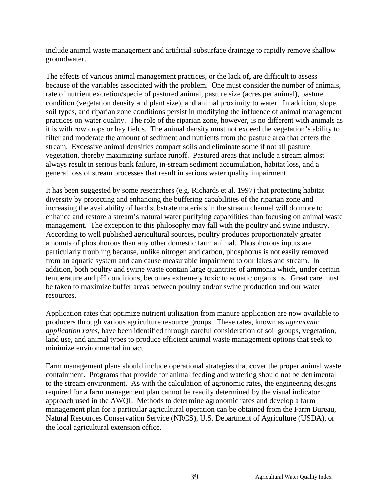include animal waste management and artificial subsurface drainage to rapidly remove shallow groundwater.

The effects of various animal management practices, or the lack of, are difficult to assess because of the variables associated with the problem. One must consider the number of animals, rate of nutrient excretion/specie of pastured animal, pasture size (acres per animal), pasture condition (vegetation density and plant size), and animal proximity to water. In addition, slope, soil types, and riparian zone conditions persist in modifying the influence of animal management practices on water quality. The role of the riparian zone, however, is no different with animals as it is with row crops or hay fields. The animal density must not exceed the vegetation's ability to filter and moderate the amount of sediment and nutrients from the pasture area that enters the stream. Excessive animal densities compact soils and eliminate some if not all pasture vegetation, thereby maximizing surface runoff. Pastured areas that include a stream almost always result in serious bank failure, in-stream sediment accumulation, habitat loss, and a general loss of stream processes that result in serious water quality impairment.

It has been suggested by some researchers (e.g. Richards et al. 1997) that protecting habitat diversity by protecting and enhancing the buffering capabilities of the riparian zone and increasing the availability of hard substrate materials in the stream channel will do more to enhance and restore a stream's natural water purifying capabilities than focusing on animal waste management. The exception to this philosophy may fall with the poultry and swine industry. According to well published agricultural sources, poultry produces proportionately greater amounts of phosphorous than any other domestic farm animal. Phosphorous inputs are particularly troubling because, unlike nitrogen and carbon, phosphorus is not easily removed from an aquatic system and can cause measurable impairment to our lakes and stream. In addition, both poultry and swine waste contain large quantities of ammonia which, under certain temperature and pH conditions, becomes extremely toxic to aquatic organisms. Great care must be taken to maximize buffer areas between poultry and/or swine production and our water resources.

Application rates that optimize nutrient utilization from manure application are now available to producers through various agriculture resource groups. These rates, known as *agronomic application rates,* have been identified through careful consideration of soil groups, vegetation, land use, and animal types to produce efficient animal waste management options that seek to minimize environmental impact.

Farm management plans should include operational strategies that cover the proper animal waste containment. Programs that provide for animal feeding and watering should not be detrimental to the stream environment. As with the calculation of agronomic rates, the engineering designs required for a farm management plan cannot be readily determined by the visual indicator approach used in the AWQI. Methods to determine agronomic rates and develop a farm management plan for a particular agricultural operation can be obtained from the Farm Bureau, Natural Resources Conservation Service (NRCS), U.S. Department of Agriculture (USDA), or the local agricultural extension office.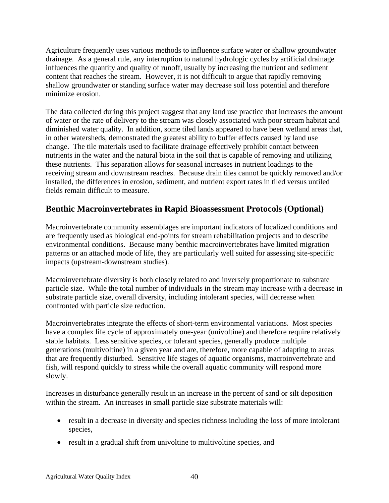Agriculture frequently uses various methods to influence surface water or shallow groundwater drainage. As a general rule, any interruption to natural hydrologic cycles by artificial drainage influences the quantity and quality of runoff, usually by increasing the nutrient and sediment content that reaches the stream. However, it is not difficult to argue that rapidly removing shallow groundwater or standing surface water may decrease soil loss potential and therefore minimize erosion.

The data collected during this project suggest that any land use practice that increases the amount of water or the rate of delivery to the stream was closely associated with poor stream habitat and diminished water quality. In addition, some tiled lands appeared to have been wetland areas that, in other watersheds, demonstrated the greatest ability to buffer effects caused by land use change. The tile materials used to facilitate drainage effectively prohibit contact between nutrients in the water and the natural biota in the soil that is capable of removing and utilizing these nutrients. This separation allows for seasonal increases in nutrient loadings to the receiving stream and downstream reaches. Because drain tiles cannot be quickly removed and/or installed, the differences in erosion, sediment, and nutrient export rates in tiled versus untiled fields remain difficult to measure.

## **Benthic Macroinvertebrates in Rapid Bioassessment Protocols (Optional)**

Macroinvertebrate community assemblages are important indicators of localized conditions and are frequently used as biological end-points for stream rehabilitation projects and to describe environmental conditions. Because many benthic macroinvertebrates have limited migration patterns or an attached mode of life, they are particularly well suited for assessing site-specific impacts (upstream-downstream studies).

Macroinvertebrate diversity is both closely related to and inversely proportionate to substrate particle size. While the total number of individuals in the stream may increase with a decrease in substrate particle size, overall diversity, including intolerant species, will decrease when confronted with particle size reduction.

Macroinvertebrates integrate the effects of short-term environmental variations. Most species have a complex life cycle of approximately one-year (univoltine) and therefore require relatively stable habitats. Less sensitive species, or tolerant species, generally produce multiple generations (multivoltine) in a given year and are, therefore, more capable of adapting to areas that are frequently disturbed. Sensitive life stages of aquatic organisms, macroinvertebrate and fish, will respond quickly to stress while the overall aquatic community will respond more slowly.

Increases in disturbance generally result in an increase in the percent of sand or silt deposition within the stream. An increases in small particle size substrate materials will:

- result in a decrease in diversity and species richness including the loss of more intolerant species,
- result in a gradual shift from univoltine to multivoltine species, and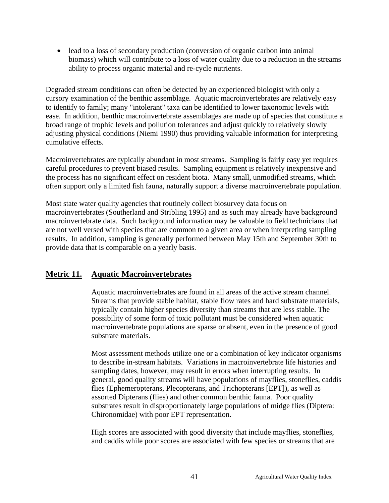• lead to a loss of secondary production (conversion of organic carbon into animal biomass) which will contribute to a loss of water quality due to a reduction in the streams ability to process organic material and re-cycle nutrients.

Degraded stream conditions can often be detected by an experienced biologist with only a cursory examination of the benthic assemblage. Aquatic macroinvertebrates are relatively easy to identify to family; many "intolerant" taxa can be identified to lower taxonomic levels with ease. In addition, benthic macroinvertebrate assemblages are made up of species that constitute a broad range of trophic levels and pollution tolerances and adjust quickly to relatively slowly adjusting physical conditions (Niemi 1990) thus providing valuable information for interpreting cumulative effects.

Macroinvertebrates are typically abundant in most streams. Sampling is fairly easy yet requires careful procedures to prevent biased results. Sampling equipment is relatively inexpensive and the process has no significant effect on resident biota. Many small, unmodified streams, which often support only a limited fish fauna, naturally support a diverse macroinvertebrate population.

Most state water quality agencies that routinely collect biosurvey data focus on macroinvertebrates (Southerland and Stribling 1995) and as such may already have background macroinvertebrate data. Such background information may be valuable to field technicians that are not well versed with species that are common to a given area or when interpreting sampling results. In addition, sampling is generally performed between May 15th and September 30th to provide data that is comparable on a yearly basis.

## **Metric 11. Aquatic Macroinvertebrates**

Aquatic macroinvertebrates are found in all areas of the active stream channel. Streams that provide stable habitat, stable flow rates and hard substrate materials, typically contain higher species diversity than streams that are less stable. The possibility of some form of toxic pollutant must be considered when aquatic macroinvertebrate populations are sparse or absent, even in the presence of good substrate materials.

Most assessment methods utilize one or a combination of key indicator organisms to describe in-stream habitats. Variations in macroinvertebrate life histories and sampling dates, however, may result in errors when interrupting results. In general, good quality streams will have populations of mayflies, stoneflies, caddis flies (Ephemeropterans, Plecopterans, and Trichopterans [EPT]), as well as assorted Dipterans (flies) and other common benthic fauna. Poor quality substrates result in disproportionately large populations of midge flies (Diptera: Chironomidae) with poor EPT representation.

High scores are associated with good diversity that include mayflies, stoneflies, and caddis while poor scores are associated with few species or streams that are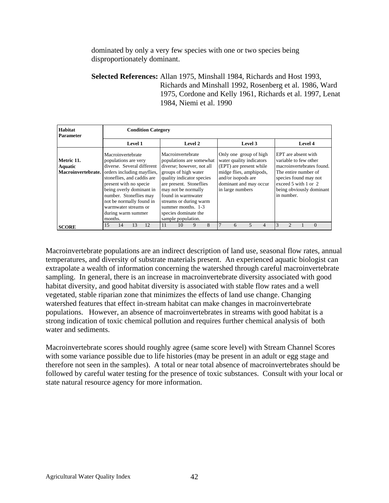dominated by only a very few species with one or two species being disproportionately dominant.

**Selected References:** Allan 1975, Minshall 1984, Richards and Host 1993, Richards and Minshall 1992, Rosenberg et al. 1986, Ward 1975, Cordone and Kelly 1961, Richards et al. 1997, Lenat 1984, Niemi et al. 1990

| Habitat<br><b>Parameter</b>                        |                                 | <b>Condition Category</b>                                       |                                                                                                                                                                                                    |    |                                                                                                                                                                                                                                                                                                       |         |   |  |                                                                                                                                                                              |                          |   |   |                                                                                                            |         |                                                                                |
|----------------------------------------------------|---------------------------------|-----------------------------------------------------------------|----------------------------------------------------------------------------------------------------------------------------------------------------------------------------------------------------|----|-------------------------------------------------------------------------------------------------------------------------------------------------------------------------------------------------------------------------------------------------------------------------------------------------------|---------|---|--|------------------------------------------------------------------------------------------------------------------------------------------------------------------------------|--------------------------|---|---|------------------------------------------------------------------------------------------------------------|---------|--------------------------------------------------------------------------------|
|                                                    |                                 |                                                                 | Level 1                                                                                                                                                                                            |    |                                                                                                                                                                                                                                                                                                       | Level 2 |   |  |                                                                                                                                                                              | Level 3                  |   |   |                                                                                                            | Level 4 |                                                                                |
| Metric 11.<br><b>Aquatic</b><br>Macroinvertebrate. | populations are very<br>months. | Macroinvertebrate<br>warmwater streams or<br>during warm summer | diverse. Several different<br>orders including mayflies,<br>stoneflies, and caddis are<br>present with no specie<br>being overly dominant in<br>number. Stoneflies may<br>not be normally found in |    | Macroinvertebrate<br>populations are somewhat<br>diverse; however, not all<br>groups of high water<br>quality indicator species<br>are present. Stoneflies<br>may not be normally<br>found in warmwater<br>streams or during warm<br>summer months. 1-3<br>species dominate the<br>sample population. |         |   |  | Only one group of high<br>water quality indicators<br>(EPT) are present while<br>midge flies, amphipods,<br>and/or isopods are<br>dominant and may occur<br>in large numbers |                          |   |   | EPT are absent with<br>variable to few other<br>The entire number of<br>exceed 5 with 1 or 2<br>in number. |         | macroinvertebrates found.<br>species found may not<br>being obviously dominant |
| <b>SCORE</b>                                       | 15                              | 14                                                              | 12<br>13                                                                                                                                                                                           | 11 | 10                                                                                                                                                                                                                                                                                                    | 9       | 8 |  | 6                                                                                                                                                                            | $\overline{\phantom{0}}$ | 4 | 3 |                                                                                                            |         | $\Omega$                                                                       |

Macroinvertebrate populations are an indirect description of land use, seasonal flow rates, annual temperatures, and diversity of substrate materials present. An experienced aquatic biologist can extrapolate a wealth of information concerning the watershed through careful macroinvertebrate sampling. In general, there is an increase in macroinvertebrate diversity associated with good habitat diversity, and good habitat diversity is associated with stable flow rates and a well vegetated, stable riparian zone that minimizes the effects of land use change. Changing watershed features that effect in-stream habitat can make changes in macroinvertebrate populations. However, an absence of macroinvertebrates in streams with good habitat is a strong indication of toxic chemical pollution and requires further chemical analysis of both water and sediments.

Macroinvertebrate scores should roughly agree (same score level) with Stream Channel Scores with some variance possible due to life histories (may be present in an adult or egg stage and therefore not seen in the samples). A total or near total absence of macroinvertebrates should be followed by careful water testing for the presence of toxic substances. Consult with your local or state natural resource agency for more information.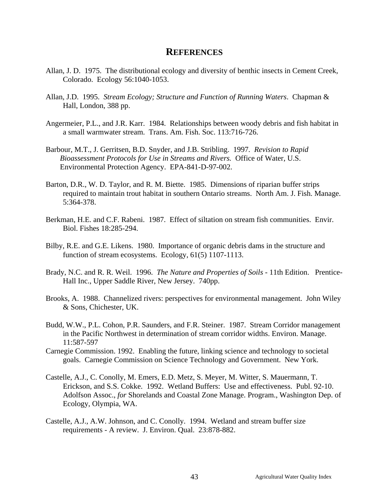### **REFERENCES**

- Allan, J. D. 1975. The distributional ecology and diversity of benthic insects in Cement Creek, Colorado. Ecology 56:1040-1053.
- Allan, J.D. 1995. *Stream Ecology; Structure and Function of Running Waters*. Chapman & Hall, London, 388 pp.
- Angermeier, P.L., and J.R. Karr. 1984. Relationships between woody debris and fish habitat in a small warmwater stream. Trans. Am. Fish. Soc. 113:716-726.
- Barbour, M.T., J. Gerritsen, B.D. Snyder, and J.B. Stribling. 1997*. Revision to Rapid Bioassessment Protocols for Use in Streams and Rivers.* Office of Water, U.S. Environmental Protection Agency. EPA-841-D-97-002.
- Barton, D.R., W. D. Taylor, and R. M. Biette. 1985. Dimensions of riparian buffer strips required to maintain trout habitat in southern Ontario streams. North Am. J. Fish. Manage. 5:364-378.
- Berkman, H.E. and C.F. Rabeni. 1987. Effect of siltation on stream fish communities. Envir. Biol. Fishes 18:285-294.
- Bilby, R.E. and G.E. Likens. 1980. Importance of organic debris dams in the structure and function of stream ecosystems. Ecology, 61(5) 1107-1113.
- Brady, N.C. and R. R. Weil. 1996. *The Nature and Properties of Soils* 11th Edition. Prentice-Hall Inc., Upper Saddle River, New Jersey. 740pp.
- Brooks, A. 1988. Channelized rivers: perspectives for environmental management. John Wiley & Sons, Chichester, UK.
- Budd, W.W., P.L. Cohon, P.R. Saunders, and F.R. Steiner. 1987. Stream Corridor management in the Pacific Northwest in determination of stream corridor widths. Environ. Manage. 11:587-597
- Carnegie Commission. 1992. Enabling the future, linking science and technology to societal goals. Carnegie Commission on Science Technology and Government. New York.
- Castelle, A.J., C. Conolly, M. Emers, E.D. Metz, S. Meyer, M. Witter, S. Mauermann, T. Erickson, and S.S. Cokke. 1992. Wetland Buffers: Use and effectiveness. Publ. 92-10. Adolfson Assoc., *for* Shorelands and Coastal Zone Manage. Program., Washington Dep. of Ecology, Olympia, WA.
- Castelle, A.J., A.W. Johnson, and C. Conolly. 1994. Wetland and stream buffer size requirements - A review. J. Environ. Qual. 23:878-882.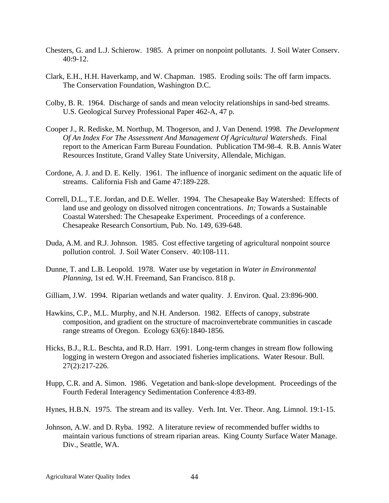- Chesters, G. and L.J. Schierow. 1985. A primer on nonpoint pollutants. J. Soil Water Conserv.  $40:9-12.$
- Clark, E.H., H.H. Haverkamp, and W. Chapman. 1985. Eroding soils: The off farm impacts. The Conservation Foundation, Washington D.C.
- Colby, B. R. 1964. Discharge of sands and mean velocity relationships in sand-bed streams. U.S. Geological Survey Professional Paper 462-A, 47 p.
- Cooper J., R. Rediske, M. Northup, M. Thogerson, and J. Van Denend. 1998. *The Development Of An Index For The Assessment And Management Of Agricultural Watersheds*. Final report to the American Farm Bureau Foundation. Publication TM-98-4. R.B. Annis Water Resources Institute, Grand Valley State University, Allendale, Michigan.
- Cordone, A. J. and D. E. Kelly. 1961. The influence of inorganic sediment on the aquatic life of streams. California Fish and Game 47:189-228.
- Correll, D.L., T.E. Jordan, and D.E. Weller. 1994. The Chesapeake Bay Watershed: Effects of land use and geology on dissolved nitrogen concentrations. *In;* Towards a Sustainable Coastal Watershed: The Chesapeake Experiment. Proceedings of a conference. Chesapeake Research Consortium, Pub. No. 149, 639-648.
- Duda, A.M. and R.J. Johnson. 1985. Cost effective targeting of agricultural nonpoint source pollution control. J. Soil Water Conserv. 40:108-111.
- Dunne, T. and L.B. Leopold. 1978. Water use by vegetation in *Water in Environmental Planning*, 1st ed. W.H. Freemand, San Francisco. 818 p.
- Gilliam, J.W. 1994. Riparian wetlands and water quality. J. Environ. Qual. 23:896-900.
- Hawkins, C.P., M.L. Murphy, and N.H. Anderson. 1982. Effects of canopy, substrate composition, and gradient on the structure of macroinvertebrate communities in cascade range streams of Oregon. Ecology 63(6):1840-1856.
- Hicks, B.J., R.L. Beschta, and R.D. Harr. 1991. Long-term changes in stream flow following logging in western Oregon and associated fisheries implications. Water Resour. Bull. 27(2):217-226.
- Hupp, C.R. and A. Simon. 1986. Vegetation and bank-slope development. Proceedings of the Fourth Federal Interagency Sedimentation Conference 4:83-89.
- Hynes, H.B.N. 1975. The stream and its valley. Verh. Int. Ver. Theor. Ang. Limnol. 19:1-15.
- Johnson, A.W. and D. Ryba. 1992. A literature review of recommended buffer widths to maintain various functions of stream riparian areas. King County Surface Water Manage. Div., Seattle, WA.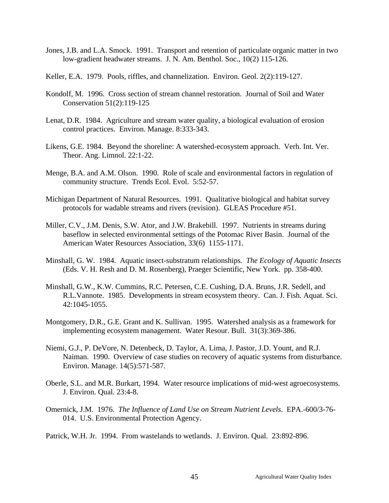- Jones, J.B. and L.A. Smock. 1991. Transport and retention of particulate organic matter in two low-gradient headwater streams. J. N. Am. Benthol. Soc., 10(2) 115-126.
- Keller, E.A. 1979. Pools, riffles, and channelization. Environ. Geol. 2(2):119-127.
- Kondolf, M. 1996. Cross section of stream channel restoration. Journal of Soil and Water Conservation 51(2):119-125
- Lenat, D.R. 1984. Agriculture and stream water quality, a biological evaluation of erosion control practices. Environ. Manage. 8:333-343.
- Likens, G.E. 1984. Beyond the shoreline: A watershed-ecosystem approach. Verh. Int. Ver. Theor. Ang. Limnol. 22:1-22.
- Menge, B.A. and A.M. Olson. 1990. Role of scale and environmental factors in regulation of community structure. Trends Ecol. Evol. 5:52-57.
- Michigan Department of Natural Resources. 1991. Qualitative biological and habitat survey protocols for wadable streams and rivers (revision). GLEAS Procedure #51.
- Miller, C.V., J.M. Denis, S.W. Ator, and J.W. Brakebill. 1997. Nutrients in streams during baseflow in selected environmental settings of the Potomac River Basin. Journal of the American Water Resources Association, 33(6) 1155-1171.
- Minshall, G. W. 1984. Aquatic insect-substratum relationships*. The Ecology of Aquatic Insects* (Eds. V. H. Resh and D. M. Rosenberg), Praeger Scientific, New York. pp. 358-400.
- Minshall, G.W., K.W. Cummins, R.C. Petersen, C.E. Cushing, D.A. Bruns, J.R. Sedell, and R.L.Vannote. 1985. Developments in stream ecosystem theory. Can. J. Fish. Aquat. Sci. 42:1045-1055.
- Montgomery, D.R., G.E. Grant and K. Sullivan. 1995. Watershed analysis as a framework for implementing ecosystem management. Water Resour. Bull. 31(3):369-386.
- Niemi, G.J., P. DeVore, N. Detenbeck, D. Taylor, A. Lima, J. Pastor, J.D. Yount, and R.J. Naiman. 1990. Overview of case studies on recovery of aquatic systems from disturbance. Environ. Manage. 14(5):571-587.
- Oberle, S.L. and M.R. Burkart, 1994. Water resource implications of mid-west agroecosystems. J. Environ. Qual. 23:4-8.
- Omernick, J.M. 1976. *The Influence of Land Use on Stream Nutrient Levels*. EPA.-600/3-76- 014. U.S. Environmental Protection Agency.
- Patrick, W.H. Jr. 1994. From wastelands to wetlands. J. Environ. Qual. 23:892-896.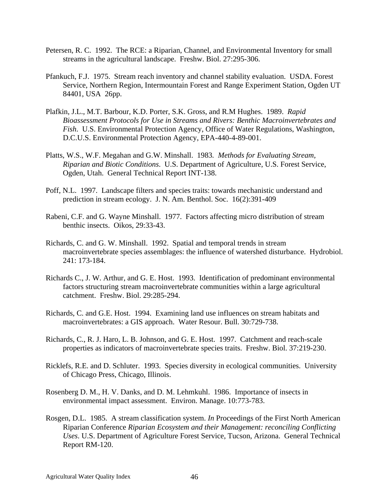- Petersen, R. C. 1992. The RCE: a Riparian, Channel, and Environmental Inventory for small streams in the agricultural landscape. Freshw. Biol. 27:295-306.
- Pfankuch, F.J. 1975. Stream reach inventory and channel stability evaluation. USDA. Forest Service, Northern Region, Intermountain Forest and Range Experiment Station, Ogden UT 84401, USA 26pp.
- Plafkin, J.L., M.T. Barbour, K.D. Porter, S.K. Gross, and R.M Hughes. 1989. *Rapid Bioassessment Protocols for Use in Streams and Rivers: Benthic Macroinvertebrates and Fish*. U.S. Environmental Protection Agency, Office of Water Regulations, Washington, D.C.U.S. Environmental Protection Agency, EPA-440-4-89-001.
- Platts, W.S., W.F. Megahan and G.W. Minshall. 1983*. Methods for Evaluating Stream, Riparian and Biotic Conditions*. U.S. Department of Agriculture, U.S. Forest Service, Ogden, Utah. General Technical Report INT-138.
- Poff, N.L. 1997. Landscape filters and species traits: towards mechanistic understand and prediction in stream ecology. J. N. Am. Benthol. Soc. 16(2):391-409
- Rabeni, C.F. and G. Wayne Minshall. 1977. Factors affecting micro distribution of stream benthic insects. Oikos, 29:33-43.
- Richards, C. and G. W. Minshall. 1992. Spatial and temporal trends in stream macroinvertebrate species assemblages: the influence of watershed disturbance. Hydrobiol. 241: 173-184.
- Richards C., J. W. Arthur, and G. E. Host. 1993. Identification of predominant environmental factors structuring stream macroinvertebrate communities within a large agricultural catchment. Freshw. Biol. 29:285-294.
- Richards, C. and G.E. Host. 1994. Examining land use influences on stream habitats and macroinvertebrates: a GIS approach. Water Resour. Bull. 30:729-738.
- Richards, C., R. J. Haro, L. B. Johnson, and G. E. Host. 1997. Catchment and reach-scale properties as indicators of macroinvertebrate species traits. Freshw. Biol. 37:219-230.
- Ricklefs, R.E. and D. Schluter. 1993. Species diversity in ecological communities. University of Chicago Press, Chicago, Illinois.
- Rosenberg D. M., H. V. Danks, and D. M. Lehmkuhl. 1986. Importance of insects in environmental impact assessment. Environ. Manage. 10:773-783.
- Rosgen, D.L. 1985. A stream classification system. *In* Proceedings of the First North American Riparian Conference *Riparian Ecosystem and their Management: reconciling Conflicting Uses*. U.S. Department of Agriculture Forest Service, Tucson, Arizona. General Technical Report RM-120.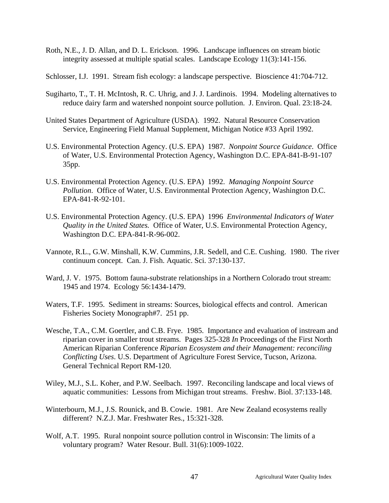- Roth, N.E., J. D. Allan, and D. L. Erickson. 1996. Landscape influences on stream biotic integrity assessed at multiple spatial scales. Landscape Ecology 11(3):141-156.
- Schlosser, I.J. 1991. Stream fish ecology: a landscape perspective. Bioscience 41:704-712.
- Sugiharto, T., T. H. McIntosh, R. C. Uhrig, and J. J. Lardinois. 1994. Modeling alternatives to reduce dairy farm and watershed nonpoint source pollution. J. Environ. Qual. 23:18-24.
- United States Department of Agriculture (USDA). 1992. Natural Resource Conservation Service, Engineering Field Manual Supplement, Michigan Notice #33 April 1992.
- U.S. Environmental Protection Agency. (U.S. EPA) 1987. *Nonpoint Source Guidance*. Office of Water, U.S. Environmental Protection Agency, Washington D.C. EPA-841-B-91-107 35pp.
- U.S. Environmental Protection Agency. (U.S. EPA) 1992. *Managing Nonpoint Source Pollution*. Office of Water, U.S. Environmental Protection Agency, Washington D.C. EPA-841-R-92-101.
- U.S. Environmental Protection Agency. (U.S. EPA) 1996 *Environmental Indicators of Water Quality in the United States.* Office of Water, U.S. Environmental Protection Agency, Washington D.C. EPA-841-R-96-002.
- Vannote, R.L., G.W. Minshall, K.W. Cummins, J.R. Sedell, and C.E. Cushing. 1980. The river continuum concept. Can. J. Fish. Aquatic. Sci. 37:130-137.
- Ward, J. V. 1975. Bottom fauna-substrate relationships in a Northern Colorado trout stream: 1945 and 1974. Ecology 56:1434-1479.
- Waters, T.F. 1995. Sediment in streams: Sources, biological effects and control. American Fisheries Society Monograph#7. 251 pp.
- Wesche, T.A., C.M. Goertler, and C.B. Frye. 1985. Importance and evaluation of instream and riparian cover in smaller trout streams. Pages 325-328 *In* Proceedings of the First North American Riparian Conference *Riparian Ecosystem and their Management: reconciling Conflicting Uses*. U.S. Department of Agriculture Forest Service, Tucson, Arizona. General Technical Report RM-120.
- Wiley, M.J., S.L. Koher, and P.W. Seelbach. 1997. Reconciling landscape and local views of aquatic communities: Lessons from Michigan trout streams. Freshw. Biol. 37:133-148.
- Winterbourn, M.J., J.S. Rounick, and B. Cowie. 1981. Are New Zealand ecosystems really different? N.Z.J. Mar. Freshwater Res., 15:321-328.
- Wolf, A.T. 1995. Rural nonpoint source pollution control in Wisconsin: The limits of a voluntary program? Water Resour. Bull. 31(6):1009-1022.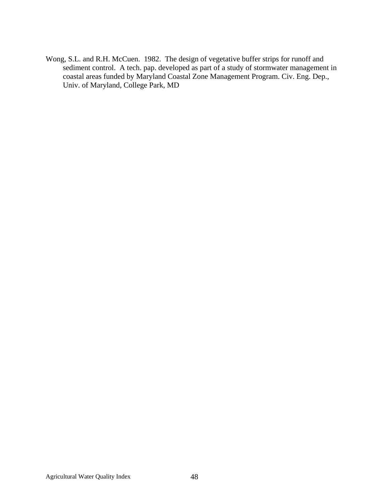Wong, S.L. and R.H. McCuen. 1982. The design of vegetative buffer strips for runoff and sediment control. A tech. pap. developed as part of a study of stormwater management in coastal areas funded by Maryland Coastal Zone Management Program. Civ. Eng. Dep., Univ. of Maryland, College Park, MD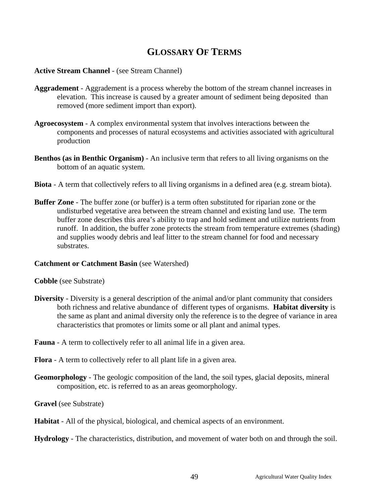# **GLOSSARY OF TERMS**

### **Active Stream Channel** - (see Stream Channel)

- **Aggradement** Aggradement is a process whereby the bottom of the stream channel increases in elevation. This increase is caused by a greater amount of sediment being deposited than removed (more sediment import than export).
- **Agroecosystem**  A complex environmental system that involves interactions between the components and processes of natural ecosystems and activities associated with agricultural production
- **Benthos (as in Benthic Organism)** An inclusive term that refers to all living organisms on the bottom of an aquatic system.
- **Biota** A term that collectively refers to all living organisms in a defined area (e.g. stream biota).
- **Buffer Zone** The buffer zone (or buffer) is a term often substituted for riparian zone or the undisturbed vegetative area between the stream channel and existing land use. The term buffer zone describes this area's ability to trap and hold sediment and utilize nutrients from runoff. In addition, the buffer zone protects the stream from temperature extremes (shading) and supplies woody debris and leaf litter to the stream channel for food and necessary substrates.

#### **Catchment or Catchment Basin** (see Watershed)

#### **Cobble** (see Substrate)

- **Diversity** Diversity is a general description of the animal and/or plant community that considers both richness and relative abundance of different types of organisms. **Habitat diversity** is the same as plant and animal diversity only the reference is to the degree of variance in area characteristics that promotes or limits some or all plant and animal types.
- **Fauna**  A term to collectively refer to all animal life in a given area.
- **Flora** A term to collectively refer to all plant life in a given area.
- **Geomorphology** The geologic composition of the land, the soil types, glacial deposits, mineral composition, etc. is referred to as an areas geomorphology.
- **Gravel** (see Substrate)
- **Habitat** All of the physical, biological, and chemical aspects of an environment.
- **Hydrology**  The characteristics, distribution, and movement of water both on and through the soil.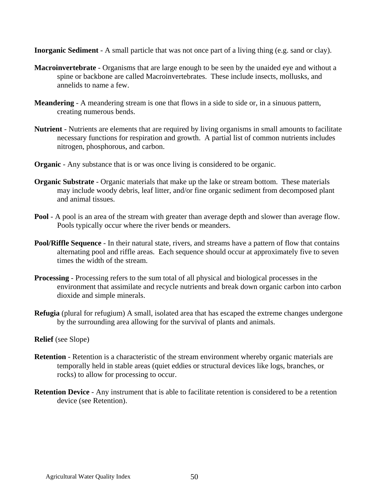**Inorganic Sediment** - A small particle that was not once part of a living thing (e.g. sand or clay).

- **Macroinvertebrate** Organisms that are large enough to be seen by the unaided eye and without a spine or backbone are called Macroinvertebrates. These include insects, mollusks, and annelids to name a few.
- **Meandering** A meandering stream is one that flows in a side to side or, in a sinuous pattern, creating numerous bends.
- **Nutrient** Nutrients are elements that are required by living organisms in small amounts to facilitate necessary functions for respiration and growth. A partial list of common nutrients includes nitrogen, phosphorous, and carbon.
- **Organic** Any substance that is or was once living is considered to be organic.
- **Organic Substrate** Organic materials that make up the lake or stream bottom. These materials may include woody debris, leaf litter, and/or fine organic sediment from decomposed plant and animal tissues.
- **Pool** A pool is an area of the stream with greater than average depth and slower than average flow. Pools typically occur where the river bends or meanders.
- **Pool/Riffle Sequence** In their natural state, rivers, and streams have a pattern of flow that contains alternating pool and riffle areas. Each sequence should occur at approximately five to seven times the width of the stream.
- **Processing** Processing refers to the sum total of all physical and biological processes in the environment that assimilate and recycle nutrients and break down organic carbon into carbon dioxide and simple minerals.
- **Refugia** (plural for refugium) A small, isolated area that has escaped the extreme changes undergone by the surrounding area allowing for the survival of plants and animals.

### **Relief** (see Slope)

- **Retention** Retention is a characteristic of the stream environment whereby organic materials are temporally held in stable areas (quiet eddies or structural devices like logs, branches, or rocks) to allow for processing to occur.
- **Retention Device** Any instrument that is able to facilitate retention is considered to be a retention device (see Retention).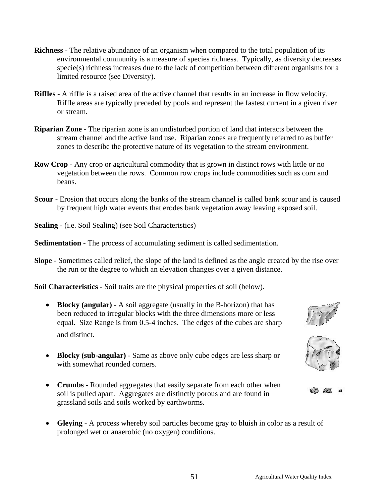- **Richness** The relative abundance of an organism when compared to the total population of its environmental community is a measure of species richness. Typically, as diversity decreases specie(s) richness increases due to the lack of competition between different organisms for a limited resource (see Diversity).
- **Riffles**  A riffle is a raised area of the active channel that results in an increase in flow velocity. Riffle areas are typically preceded by pools and represent the fastest current in a given river or stream.
- **Riparian Zone** The riparian zone is an undisturbed portion of land that interacts between the stream channel and the active land use. Riparian zones are frequently referred to as buffer zones to describe the protective nature of its vegetation to the stream environment.
- **Row Crop** Any crop or agricultural commodity that is grown in distinct rows with little or no vegetation between the rows. Common row crops include commodities such as corn and beans.
- **Scour** Erosion that occurs along the banks of the stream channel is called bank scour and is caused by frequent high water events that erodes bank vegetation away leaving exposed soil.

**Sealing** - (i.e. Soil Sealing) (see Soil Characteristics)

**Sedimentation** - The process of accumulating sediment is called sedimentation.

**Slope** - Sometimes called relief, the slope of the land is defined as the angle created by the rise over the run or the degree to which an elevation changes over a given distance.

**Soil Characteristics** - Soil traits are the physical properties of soil (below).

- **Blocky (angular)** A soil aggregate (usually in the B-horizon) that has been reduced to irregular blocks with the three dimensions more or less equal. Size Range is from 0.5-4 inches. The edges of the cubes are sharp and distinct.
- **Blocky (sub-angular)** Same as above only cube edges are less sharp or with somewhat rounded corners.
- **Crumbs**  Rounded aggregates that easily separate from each other when soil is pulled apart. Aggregates are distinctly porous and are found in grassland soils and soils worked by earthworms.
- Gleying A process whereby soil particles become gray to bluish in color as a result of prolonged wet or anaerobic (no oxygen) conditions.





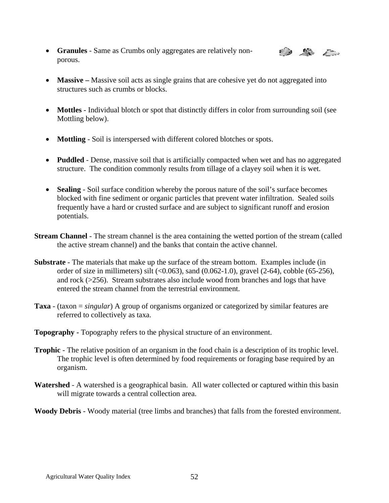• **Granules** - Same as Crumbs only aggregates are relatively nonporous.



- **Massive** Massive soil acts as single grains that are cohesive yet do not aggregated into structures such as crumbs or blocks.
- **Mottles** Individual blotch or spot that distinctly differs in color from surrounding soil (see Mottling below).
- **Mottling** Soil is interspersed with different colored blotches or spots.
- **Puddled** Dense, massive soil that is artificially compacted when wet and has no aggregated structure. The condition commonly results from tillage of a clayey soil when it is wet.
- **Sealing** Soil surface condition whereby the porous nature of the soil's surface becomes blocked with fine sediment or organic particles that prevent water infiltration. Sealed soils frequently have a hard or crusted surface and are subject to significant runoff and erosion potentials.
- **Stream Channel** The stream channel is the area containing the wetted portion of the stream (called the active stream channel) and the banks that contain the active channel.
- **Substrate** The materials that make up the surface of the stream bottom. Examples include (in order of size in millimeters) silt  $(\leq 0.063)$ , sand  $(0.062-1.0)$ , gravel  $(2-64)$ , cobble  $(65-256)$ , and rock (>256). Stream substrates also include wood from branches and logs that have entered the stream channel from the terrestrial environment.
- **Taxa** (taxon = *singular*) A group of organisms organized or categorized by similar features are referred to collectively as taxa.
- **Topography** Topography refers to the physical structure of an environment.
- **Trophic** The relative position of an organism in the food chain is a description of its trophic level. The trophic level is often determined by food requirements or foraging base required by an organism.
- **Watershed** A watershed is a geographical basin. All water collected or captured within this basin will migrate towards a central collection area.

**Woody Debris** - Woody material (tree limbs and branches) that falls from the forested environment.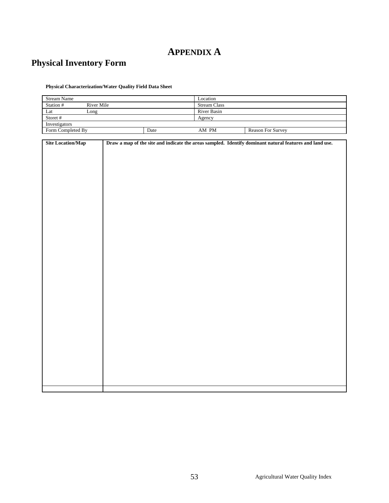# **APPENDIX A**

# **Physical Inventory Form**

**Physical Characterization/Water Quality Field Data Sheet** 

| <b>Stream Name</b> |            |      | Location            |                          |  |  |  |  |  |
|--------------------|------------|------|---------------------|--------------------------|--|--|--|--|--|
| Station #          | River Mile |      | <b>Stream Class</b> |                          |  |  |  |  |  |
| Lat                | Long       |      | River Basin         |                          |  |  |  |  |  |
| Storet #           |            |      | Agency              |                          |  |  |  |  |  |
| Investigators      |            |      |                     |                          |  |  |  |  |  |
| Form Completed By  |            | Date | AM PM               | <b>Reason For Survey</b> |  |  |  |  |  |

| <b>Site Location/Map</b> | Draw a map of the site and indicate the areas sampled. Identify dominant natural features and land use. |
|--------------------------|---------------------------------------------------------------------------------------------------------|
|                          |                                                                                                         |
|                          |                                                                                                         |
|                          |                                                                                                         |
|                          |                                                                                                         |
|                          |                                                                                                         |
|                          |                                                                                                         |
|                          |                                                                                                         |
|                          |                                                                                                         |
|                          |                                                                                                         |
|                          |                                                                                                         |
|                          |                                                                                                         |
|                          |                                                                                                         |
|                          |                                                                                                         |
|                          |                                                                                                         |
|                          |                                                                                                         |
|                          |                                                                                                         |
|                          |                                                                                                         |
|                          |                                                                                                         |
|                          |                                                                                                         |
|                          |                                                                                                         |
|                          |                                                                                                         |
|                          |                                                                                                         |
|                          |                                                                                                         |
|                          |                                                                                                         |
|                          |                                                                                                         |
|                          |                                                                                                         |
|                          |                                                                                                         |
|                          |                                                                                                         |
|                          |                                                                                                         |
|                          |                                                                                                         |
|                          |                                                                                                         |
|                          |                                                                                                         |
|                          |                                                                                                         |
|                          |                                                                                                         |
|                          |                                                                                                         |
|                          |                                                                                                         |
|                          |                                                                                                         |
|                          |                                                                                                         |
|                          |                                                                                                         |
|                          |                                                                                                         |
|                          |                                                                                                         |
|                          |                                                                                                         |
|                          |                                                                                                         |
|                          |                                                                                                         |
|                          |                                                                                                         |
|                          |                                                                                                         |
|                          |                                                                                                         |
|                          |                                                                                                         |
|                          |                                                                                                         |
|                          |                                                                                                         |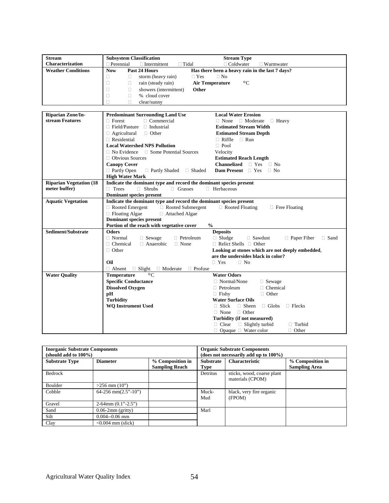| <b>Stream</b>                  | <b>Subsystem Classification</b>                                    | <b>Stream Type</b>                                                                     |
|--------------------------------|--------------------------------------------------------------------|----------------------------------------------------------------------------------------|
| Characterization               | $\Box$ Perennial<br>$\Box$ Intermittent<br>$\Box$ Tidal            | $\Box$ Coldwater<br>$\Box$ Warmwater                                                   |
| <b>Weather Conditions</b>      | <b>Now</b><br>Past 24 Hours                                        | Has there been a heavy rain in the last 7 days?                                        |
|                                | $\Box$<br>storm (heavy rain)<br>$\Box$ Yes<br>$\Box$               | $\Box$ No                                                                              |
|                                | $\Box$<br>rain (steady rain)<br>$\Box$                             | <b>Air Temperature</b><br>$\circ$ C                                                    |
|                                | $\Box$<br>showers (intermittent)<br>Other<br>$\Box$                |                                                                                        |
|                                | $\Box$<br>$\Box$<br>% cloud cover                                  |                                                                                        |
|                                | Ω<br>П<br>clear/sunny                                              |                                                                                        |
|                                |                                                                    |                                                                                        |
| <b>Riparian Zone/In-</b>       | <b>Predominant Surrounding Land Use</b>                            | <b>Local Water Erosion</b>                                                             |
| stream Features                | $\Box$ Commercial<br>$\Box$ Forest                                 | $\Box$ Moderate $\Box$ Heavy<br>$\Box$ None                                            |
|                                | $\Box$ Field/Pasture<br>$\Box$ Industrial                          | <b>Estimated Stream Width</b>                                                          |
|                                | $\Box$ Agricultural<br>$\Box$ Other                                | <b>Estimated Stream Depth</b>                                                          |
|                                | $\Box$ Residential                                                 | $\Box$ Riffle<br>$\Box$ Run                                                            |
|                                | <b>Local Watershed NPS Pollution</b>                               | $\Box$ Pool                                                                            |
|                                | □ Some Potential Sources<br>$\Box$ No Evidence                     | Velocity                                                                               |
|                                | $\Box$ Obvious Sources                                             | <b>Estimated Reach Length</b>                                                          |
|                                | <b>Canopy Cover</b>                                                | <b>Channelized</b> $\Box$ Yes $\Box$ No                                                |
|                                | □ Partly Open<br>$\Box$ Partly Shaded $\Box$ Shaded                | <b>Dam Present</b> $\Box$ Yes $\Box$ No                                                |
|                                | <b>High Water Mark</b>                                             |                                                                                        |
| <b>Riparian Vegetation (18</b> | Indicate the dominant type and record the dominant species present |                                                                                        |
| meter buffer)                  | $\Box$ Trees<br>$\Box$ Shrubs<br>$\Box$ Grasses                    | □ Herbaceous                                                                           |
|                                | <b>Dominant species present</b>                                    |                                                                                        |
| <b>Aquatic Vegetation</b>      | Indicate the dominant type and record the dominant species present |                                                                                        |
|                                | $\Box$ Rooted Emergent<br>□ Rooted Submergent                      | $\Box$ Rooted Floating<br>$\Box$ Free Floating                                         |
|                                | □ Floating Algae<br>□ Attached Algae                               |                                                                                        |
|                                | <b>Dominant species present</b>                                    |                                                                                        |
|                                | Portion of the reach with vegetative cover                         | $\frac{0}{0}$                                                                          |
| Sediment/Substrate             | <b>Odors</b>                                                       | <b>Deposits</b>                                                                        |
|                                | $\Box$ Normal<br>$\Box$ Sewage<br>$\Box$ Petroleum                 | $\Box$ Sludge<br>$\Box$ Sawdust<br><b>Paper Fiber</b><br>$\Box$ Sand                   |
|                                | $\Box$ Anaerobic<br>$\Box$ Chemical<br>$\Box$ None                 | $\Box$ Relict Shells $\Box$ Other                                                      |
|                                | $\Box$ Other                                                       | Looking at stones which are not deeply embedded,<br>are the undersides black in color? |
|                                | Oil                                                                | $\Box$ Yes<br>$\Box$ No                                                                |
|                                | $\Box$ Absent                                                      |                                                                                        |
| <b>Water Quality</b>           | $\Box$ Slight $\Box$ Moderate<br>$\Box$ Profuse<br>$\circ$ C       | <b>Water Odors</b>                                                                     |
|                                | <b>Temperature</b><br><b>Specific Conductance</b>                  | $\Box$ Normal/None                                                                     |
|                                | <b>Dissolved Oxygen</b>                                            | $\Box$ Sewage<br>□ Chemical<br>$\Box$ Petroleum                                        |
|                                | pH                                                                 | $\Box$ Other<br>$\Box$ Fishy                                                           |
|                                | <b>Turbidity</b>                                                   | <b>Water Surface Oils</b>                                                              |
|                                | <b>WQ Instrument Used</b>                                          | $\Box$ Slick<br>$\Box$ Sheen<br>$\Box$ Globs<br>$\Box$ Flecks                          |
|                                |                                                                    | $\Box$ Other<br>$\Box$ None                                                            |
|                                |                                                                    | Turbidity (if not measured)                                                            |
|                                |                                                                    | $\Box$ Clear<br>$\Box$ Slightly turbid<br>$\Box$ Turbid                                |
|                                |                                                                    | $\Box$ Opaque $\Box$ Water color<br>$\Box$ Other                                       |

| <b>Inorganic Substrate Components</b><br>(should add to 100%) |                           |                                           | <b>Organic Substrate Components</b><br>(does not necessarily add up to $100\%$ ) |                                                |                                          |  |  |  |  |  |
|---------------------------------------------------------------|---------------------------|-------------------------------------------|----------------------------------------------------------------------------------|------------------------------------------------|------------------------------------------|--|--|--|--|--|
| <b>Substrate Type</b>                                         | <b>Diameter</b>           | % Composition in<br><b>Sampling Reach</b> | <b>Substrate</b><br>Type                                                         | <b>Characteristic</b>                          | % Composition in<br><b>Sampling Area</b> |  |  |  |  |  |
| <b>Bedrock</b>                                                |                           |                                           | Detritus                                                                         | sticks, wood, coarse plant<br>materials (CPOM) |                                          |  |  |  |  |  |
| Boulder                                                       | $>256$ mm $(10")$         |                                           |                                                                                  |                                                |                                          |  |  |  |  |  |
| Cobble                                                        | $64-256$ mm $(2.5"$ -10") |                                           | Muck-<br>Mud                                                                     | black, very fire organic<br>(FPOM)             |                                          |  |  |  |  |  |
| Gravel                                                        | $2-64$ mm $(0.1" - 2.5")$ |                                           |                                                                                  |                                                |                                          |  |  |  |  |  |
| Sand                                                          | $0.06-2mm$ (gritty)       |                                           | Marl                                                                             |                                                |                                          |  |  |  |  |  |
| Silt                                                          | $0.004 - 0.06$ mm         |                                           |                                                                                  |                                                |                                          |  |  |  |  |  |
| Clay                                                          | $\leq 0.004$ mm (slick)   |                                           |                                                                                  |                                                |                                          |  |  |  |  |  |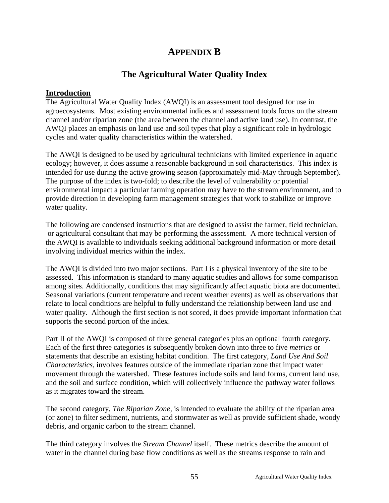# **APPENDIX B**

# **The Agricultural Water Quality Index**

### **Introduction**

The Agricultural Water Quality Index (AWQI) is an assessment tool designed for use in agroecosystems. Most existing environmental indices and assessment tools focus on the stream channel and/or riparian zone (the area between the channel and active land use). In contrast, the AWQI places an emphasis on land use and soil types that play a significant role in hydrologic cycles and water quality characteristics within the watershed.

The AWQI is designed to be used by agricultural technicians with limited experience in aquatic ecology; however, it does assume a reasonable background in soil characteristics. This index is intended for use during the active growing season (approximately mid-May through September). The purpose of the index is two-fold; to describe the level of vulnerability or potential environmental impact a particular farming operation may have to the stream environment, and to provide direction in developing farm management strategies that work to stabilize or improve water quality.

The following are condensed instructions that are designed to assist the farmer, field technician, or agricultural consultant that may be performing the assessment. A more technical version of the AWQI is available to individuals seeking additional background information or more detail involving individual metrics within the index.

The AWQI is divided into two major sections. Part I is a physical inventory of the site to be assessed. This information is standard to many aquatic studies and allows for some comparison among sites. Additionally, conditions that may significantly affect aquatic biota are documented. Seasonal variations (current temperature and recent weather events) as well as observations that relate to local conditions are helpful to fully understand the relationship between land use and water quality. Although the first section is not scored, it does provide important information that supports the second portion of the index.

Part II of the AWQI is composed of three general categories plus an optional fourth category. Each of the first three categories is subsequently broken down into three to five *metrics* or statements that describe an existing habitat condition. The first category, *Land Use And Soil Characteristics*, involves features outside of the immediate riparian zone that impact water movement through the watershed. These features include soils and land forms, current land use, and the soil and surface condition, which will collectively influence the pathway water follows as it migrates toward the stream.

The second category, *The Riparian Zone,* is intended to evaluate the ability of the riparian area (or zone) to filter sediment, nutrients, and stormwater as well as provide sufficient shade, woody debris, and organic carbon to the stream channel.

The third category involves the *Stream Channel* itself. These metrics describe the amount of water in the channel during base flow conditions as well as the streams response to rain and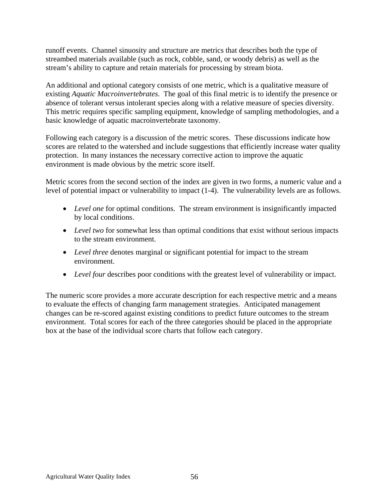runoff events. Channel sinuosity and structure are metrics that describes both the type of streambed materials available (such as rock, cobble, sand, or woody debris) as well as the stream's ability to capture and retain materials for processing by stream biota.

An additional and optional category consists of one metric, which is a qualitative measure of existing *Aquatic Macroinvertebrates*. The goal of this final metric is to identify the presence or absence of tolerant versus intolerant species along with a relative measure of species diversity. This metric requires specific sampling equipment, knowledge of sampling methodologies, and a basic knowledge of aquatic macroinvertebrate taxonomy.

Following each category is a discussion of the metric scores. These discussions indicate how scores are related to the watershed and include suggestions that efficiently increase water quality protection. In many instances the necessary corrective action to improve the aquatic environment is made obvious by the metric score itself.

Metric scores from the second section of the index are given in two forms, a numeric value and a level of potential impact or vulnerability to impact (1-4). The vulnerability levels are as follows.

- *Level one* for optimal conditions. The stream environment is insignificantly impacted by local conditions.
- *Level two* for somewhat less than optimal conditions that exist without serious impacts to the stream environment.
- *Level three* denotes marginal or significant potential for impact to the stream environment.
- *Level four* describes poor conditions with the greatest level of vulnerability or impact.

The numeric score provides a more accurate description for each respective metric and a means to evaluate the effects of changing farm management strategies. Anticipated management changes can be re-scored against existing conditions to predict future outcomes to the stream environment. Total scores for each of the three categories should be placed in the appropriate box at the base of the individual score charts that follow each category.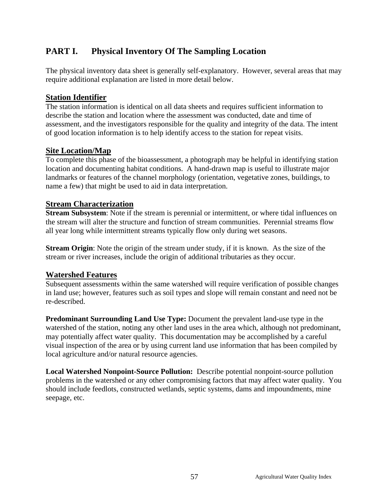# **PART I. Physical Inventory Of The Sampling Location**

The physical inventory data sheet is generally self-explanatory. However, several areas that may require additional explanation are listed in more detail below.

### **Station Identifier**

The station information is identical on all data sheets and requires sufficient information to describe the station and location where the assessment was conducted, date and time of assessment, and the investigators responsible for the quality and integrity of the data. The intent of good location information is to help identify access to the station for repeat visits.

### **Site Location/Map**

To complete this phase of the bioassessment, a photograph may be helpful in identifying station location and documenting habitat conditions. A hand-drawn map is useful to illustrate major landmarks or features of the channel morphology (orientation, vegetative zones, buildings, to name a few) that might be used to aid in data interpretation.

### **Stream Characterization**

**Stream Subsystem**: Note if the stream is perennial or intermittent, or where tidal influences on the stream will alter the structure and function of stream communities. Perennial streams flow all year long while intermittent streams typically flow only during wet seasons.

**Stream Origin:** Note the origin of the stream under study, if it is known. As the size of the stream or river increases, include the origin of additional tributaries as they occur.

## **Watershed Features**

Subsequent assessments within the same watershed will require verification of possible changes in land use; however, features such as soil types and slope will remain constant and need not be re-described.

**Predominant Surrounding Land Use Type:** Document the prevalent land-use type in the watershed of the station, noting any other land uses in the area which, although not predominant, may potentially affect water quality. This documentation may be accomplished by a careful visual inspection of the area or by using current land use information that has been compiled by local agriculture and/or natural resource agencies.

**Local Watershed Nonpoint-Source Pollution:** Describe potential nonpoint-source pollution problems in the watershed or any other compromising factors that may affect water quality. You should include feedlots, constructed wetlands, septic systems, dams and impoundments, mine seepage, etc.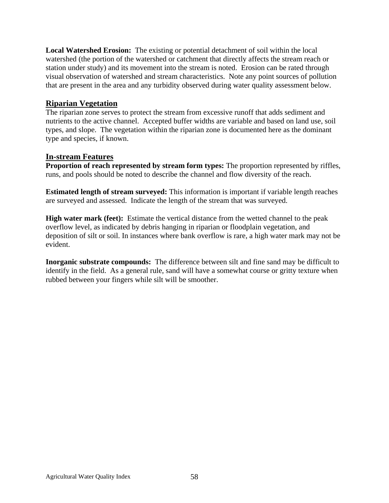**Local Watershed Erosion:** The existing or potential detachment of soil within the local watershed (the portion of the watershed or catchment that directly affects the stream reach or station under study) and its movement into the stream is noted. Erosion can be rated through visual observation of watershed and stream characteristics. Note any point sources of pollution that are present in the area and any turbidity observed during water quality assessment below.

### **Riparian Vegetation**

The riparian zone serves to protect the stream from excessive runoff that adds sediment and nutrients to the active channel. Accepted buffer widths are variable and based on land use, soil types, and slope. The vegetation within the riparian zone is documented here as the dominant type and species, if known.

### **In-stream Features**

**Proportion of reach represented by stream form types:** The proportion represented by riffles, runs, and pools should be noted to describe the channel and flow diversity of the reach.

**Estimated length of stream surveyed:** This information is important if variable length reaches are surveyed and assessed. Indicate the length of the stream that was surveyed.

**High water mark (feet):** Estimate the vertical distance from the wetted channel to the peak overflow level, as indicated by debris hanging in riparian or floodplain vegetation, and deposition of silt or soil. In instances where bank overflow is rare, a high water mark may not be evident.

**Inorganic substrate compounds:** The difference between silt and fine sand may be difficult to identify in the field. As a general rule, sand will have a somewhat course or gritty texture when rubbed between your fingers while silt will be smoother.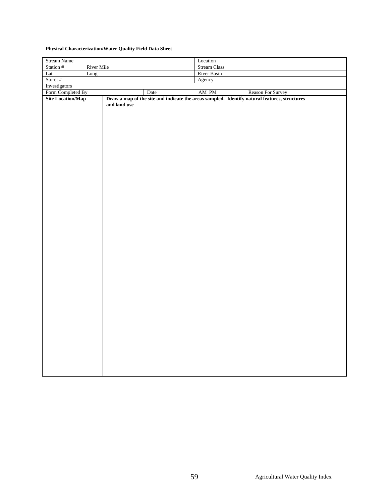#### **Physical Characterization/Water Quality Field Data Sheet**

| Stream Name              |              |              | Location |                                                                                              |
|--------------------------|--------------|--------------|----------|----------------------------------------------------------------------------------------------|
| Station #<br>River Mile  |              | Stream Class |          |                                                                                              |
| Lat<br>Long              |              | River Basin  |          |                                                                                              |
| Storet #                 |              |              | Agency   |                                                                                              |
| Investigators            |              |              |          |                                                                                              |
| Form Completed By        |              | Date         | AM PM    | Reason For Survey                                                                            |
| <b>Site Location/Map</b> |              |              |          | Draw a map of the site and indicate the areas sampled. Identify natural features, structures |
|                          | and land use |              |          |                                                                                              |
|                          |              |              |          |                                                                                              |
|                          |              |              |          |                                                                                              |
|                          |              |              |          |                                                                                              |
|                          |              |              |          |                                                                                              |
|                          |              |              |          |                                                                                              |
|                          |              |              |          |                                                                                              |
|                          |              |              |          |                                                                                              |
|                          |              |              |          |                                                                                              |
|                          |              |              |          |                                                                                              |
|                          |              |              |          |                                                                                              |
|                          |              |              |          |                                                                                              |
|                          |              |              |          |                                                                                              |
|                          |              |              |          |                                                                                              |
|                          |              |              |          |                                                                                              |
|                          |              |              |          |                                                                                              |
|                          |              |              |          |                                                                                              |
|                          |              |              |          |                                                                                              |
|                          |              |              |          |                                                                                              |
|                          |              |              |          |                                                                                              |
|                          |              |              |          |                                                                                              |
|                          |              |              |          |                                                                                              |
|                          |              |              |          |                                                                                              |
|                          |              |              |          |                                                                                              |
|                          |              |              |          |                                                                                              |
|                          |              |              |          |                                                                                              |
|                          |              |              |          |                                                                                              |
|                          |              |              |          |                                                                                              |
|                          |              |              |          |                                                                                              |
|                          |              |              |          |                                                                                              |
|                          |              |              |          |                                                                                              |
|                          |              |              |          |                                                                                              |
|                          |              |              |          |                                                                                              |
|                          |              |              |          |                                                                                              |
|                          |              |              |          |                                                                                              |
|                          |              |              |          |                                                                                              |
|                          |              |              |          |                                                                                              |
|                          |              |              |          |                                                                                              |
|                          |              |              |          |                                                                                              |
|                          |              |              |          |                                                                                              |
|                          |              |              |          |                                                                                              |
|                          |              |              |          |                                                                                              |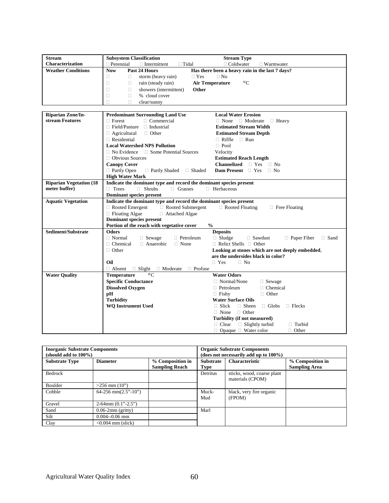| <b>Stream</b>                  | <b>Subsystem Classification</b>                                    | <b>Stream Type</b>                                                   |  |  |
|--------------------------------|--------------------------------------------------------------------|----------------------------------------------------------------------|--|--|
| Characterization               | $\Box$ Perennial<br>$\Box$ Intermittent<br>$\Box$ Tidal            | $\Box$ Coldwater<br>$\Box$ Warmwater                                 |  |  |
| <b>Weather Conditions</b>      | <b>Now</b><br>Past 24 Hours                                        | Has there been a heavy rain in the last 7 days?                      |  |  |
|                                | $\Box$<br>storm (heavy rain)<br>$\Box$ Yes<br>$\Box$               | $\Box$ No                                                            |  |  |
|                                | $\Box$<br>rain (steady rain)<br>$\Box$                             | <b>Air Temperature</b><br>$\circ$ C                                  |  |  |
|                                | $\Box$<br>showers (intermittent)<br>Other<br>$\Box$                |                                                                      |  |  |
|                                | $\Box$<br>$\Box$<br>% cloud cover                                  |                                                                      |  |  |
|                                | Ω<br>П<br>clear/sunny                                              |                                                                      |  |  |
|                                |                                                                    |                                                                      |  |  |
| <b>Riparian Zone/In-</b>       | <b>Predominant Surrounding Land Use</b>                            | <b>Local Water Erosion</b>                                           |  |  |
| stream Features                | $\Box$ Commercial<br>$\Box$ Forest                                 | $\Box$ Moderate $\Box$ Heavy<br>$\Box$ None                          |  |  |
|                                | $\Box$ Field/Pasture<br>$\Box$ Industrial                          | <b>Estimated Stream Width</b>                                        |  |  |
|                                | $\Box$ Agricultural<br>$\Box$ Other                                | <b>Estimated Stream Depth</b>                                        |  |  |
|                                | $\Box$ Residential                                                 | $\Box$ Riffle<br>$\Box$ Run                                          |  |  |
|                                | <b>Local Watershed NPS Pollution</b>                               | $\Box$ Pool                                                          |  |  |
|                                | □ Some Potential Sources<br>$\Box$ No Evidence                     | Velocity                                                             |  |  |
|                                | $\Box$ Obvious Sources                                             | <b>Estimated Reach Length</b>                                        |  |  |
|                                | <b>Canopy Cover</b>                                                | <b>Channelized</b> $\Box$ Yes $\Box$ No                              |  |  |
|                                | □ Partly Open<br>$\Box$ Partly Shaded $\Box$ Shaded                | <b>Dam Present</b> $\Box$ Yes $\Box$ No                              |  |  |
|                                | <b>High Water Mark</b>                                             |                                                                      |  |  |
| <b>Riparian Vegetation (18</b> | Indicate the dominant type and record the dominant species present |                                                                      |  |  |
| meter buffer)                  | $\Box$ Trees<br>$\Box$ Shrubs<br>$\Box$ Grasses                    | □ Herbaceous                                                         |  |  |
|                                | <b>Dominant species present</b>                                    |                                                                      |  |  |
| <b>Aquatic Vegetation</b>      | Indicate the dominant type and record the dominant species present |                                                                      |  |  |
|                                | $\Box$ Rooted Emergent<br>□ Rooted Submergent                      | $\Box$ Rooted Floating<br>$\Box$ Free Floating                       |  |  |
|                                | □ Floating Algae<br>□ Attached Algae                               |                                                                      |  |  |
|                                | <b>Dominant species present</b>                                    |                                                                      |  |  |
|                                | Portion of the reach with vegetative cover                         | $\frac{0}{0}$                                                        |  |  |
| Sediment/Substrate             | <b>Odors</b>                                                       | <b>Deposits</b>                                                      |  |  |
|                                | $\Box$ Normal<br>$\Box$ Sewage<br>$\Box$ Petroleum                 | $\Box$ Sludge<br>$\Box$ Sawdust<br><b>Paper Fiber</b><br>$\Box$ Sand |  |  |
|                                | $\Box$ Anaerobic<br>$\Box$ Chemical<br>$\Box$ None                 | $\Box$ Relict Shells $\Box$ Other                                    |  |  |
|                                | $\Box$ Other                                                       | Looking at stones which are not deeply embedded,                     |  |  |
|                                | are the undersides black in color?                                 |                                                                      |  |  |
|                                | Oil                                                                | $\Box$ Yes<br>$\Box$ No                                              |  |  |
|                                | $\Box$ Absent<br>$\Box$ Slight $\Box$ Moderate<br>$\Box$ Profuse   |                                                                      |  |  |
| <b>Water Quality</b>           | <b>Temperature</b><br>$\circ$ C                                    | <b>Water Odors</b>                                                   |  |  |
|                                | <b>Specific Conductance</b>                                        | $\Box$ Normal/None<br>$\Box$ Sewage                                  |  |  |
|                                | <b>Dissolved Oxygen</b>                                            | □ Chemical<br>$\Box$ Petroleum                                       |  |  |
|                                | pH                                                                 | $\Box$ Other<br>$\Box$ Fishy                                         |  |  |
|                                | <b>Turbidity</b>                                                   | <b>Water Surface Oils</b>                                            |  |  |
|                                | <b>WQ Instrument Used</b>                                          | $\Box$ Slick<br>$\Box$ Sheen<br>$\Box$ Globs<br>$\Box$ Flecks        |  |  |
|                                | $\Box$ Other<br>$\Box$ None                                        |                                                                      |  |  |
|                                | Turbidity (if not measured)                                        |                                                                      |  |  |
|                                |                                                                    | $\Box$ Clear<br>$\Box$ Slightly turbid<br>$\Box$ Turbid              |  |  |
|                                |                                                                    | $\Box$ Opaque $\Box$ Water color<br>$\Box$ Other                     |  |  |

| <b>Inorganic Substrate Components</b><br>(should add to $100\%$ ) |                           |                                           | <b>Organic Substrate Components</b><br>(does not necessarily add up to $100\%$ ) |                                                |                                          |
|-------------------------------------------------------------------|---------------------------|-------------------------------------------|----------------------------------------------------------------------------------|------------------------------------------------|------------------------------------------|
| <b>Substrate Type</b>                                             | <b>Diameter</b>           | % Composition in<br><b>Sampling Reach</b> | <b>Substrate</b><br><b>Type</b>                                                  | <b>Characteristic</b>                          | % Composition in<br><b>Sampling Area</b> |
| <b>Bedrock</b>                                                    |                           |                                           | Detritus                                                                         | sticks, wood, coarse plant<br>materials (CPOM) |                                          |
| Boulder                                                           | $>256$ mm $(10")$         |                                           |                                                                                  |                                                |                                          |
| Cobble                                                            | $64-256$ mm $(2.5"$ -10") |                                           | Muck-<br>Mud                                                                     | black, very fire organic<br>(FPOM)             |                                          |
| Gravel                                                            | $2-64$ mm $(0.1" - 2.5")$ |                                           |                                                                                  |                                                |                                          |
| Sand                                                              | $0.06-2mm$ (gritty)       |                                           | Marl                                                                             |                                                |                                          |
| Silt                                                              | $0.004 - 0.06$ mm         |                                           |                                                                                  |                                                |                                          |
| Clay                                                              | $\leq 0.004$ mm (slick)   |                                           |                                                                                  |                                                |                                          |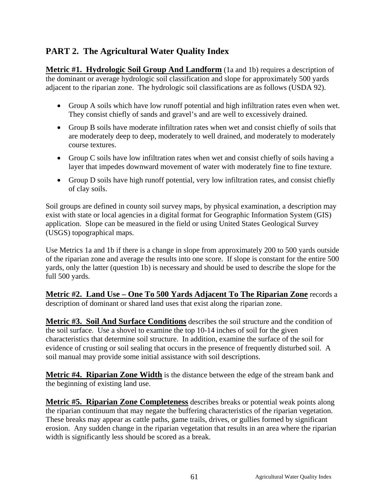# **PART 2. The Agricultural Water Quality Index**

**Metric #1. Hydrologic Soil Group And Landform** (1a and 1b) requires a description of the dominant or average hydrologic soil classification and slope for approximately 500 yards adjacent to the riparian zone. The hydrologic soil classifications are as follows (USDA 92).

- Group A soils which have low runoff potential and high infiltration rates even when wet. They consist chiefly of sands and gravel's and are well to excessively drained.
- Group B soils have moderate infiltration rates when wet and consist chiefly of soils that are moderately deep to deep, moderately to well drained, and moderately to moderately course textures.
- Group C soils have low infiltration rates when wet and consist chiefly of soils having a layer that impedes downward movement of water with moderately fine to fine texture.
- Group D soils have high runoff potential, very low infiltration rates, and consist chiefly of clay soils.

Soil groups are defined in county soil survey maps, by physical examination, a description may exist with state or local agencies in a digital format for Geographic Information System (GIS) application. Slope can be measured in the field or using United States Geological Survey (USGS) topographical maps.

Use Metrics 1a and 1b if there is a change in slope from approximately 200 to 500 yards outside of the riparian zone and average the results into one score. If slope is constant for the entire 500 yards, only the latter (question 1b) is necessary and should be used to describe the slope for the full 500 yards.

**Metric #2. Land Use – One To 500 Yards Adjacent To The Riparian Zone** records a description of dominant or shared land uses that exist along the riparian zone.

**Metric #3. Soil And Surface Conditions** describes the soil structure and the condition of the soil surface. Use a shovel to examine the top 10-14 inches of soil for the given characteristics that determine soil structure. In addition, examine the surface of the soil for evidence of crusting or soil sealing that occurs in the presence of frequently disturbed soil. A soil manual may provide some initial assistance with soil descriptions.

**Metric #4. Riparian Zone Width** is the distance between the edge of the stream bank and the beginning of existing land use.

**Metric #5. Riparian Zone Completeness** describes breaks or potential weak points along the riparian continuum that may negate the buffering characteristics of the riparian vegetation. These breaks may appear as cattle paths, game trails, drives, or gullies formed by significant erosion. Any sudden change in the riparian vegetation that results in an area where the riparian width is significantly less should be scored as a break.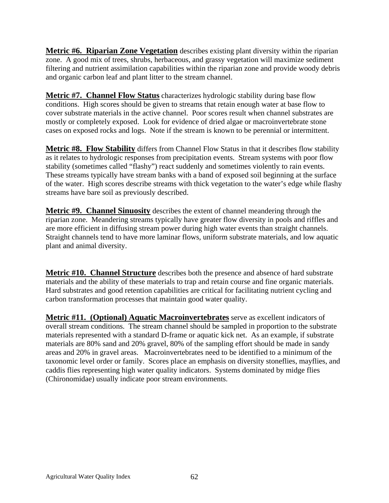**Metric #6. Riparian Zone Vegetation** describes existing plant diversity within the riparian zone. A good mix of trees, shrubs, herbaceous, and grassy vegetation will maximize sediment filtering and nutrient assimilation capabilities within the riparian zone and provide woody debris and organic carbon leaf and plant litter to the stream channel.

**Metric #7. Channel Flow Status** characterizes hydrologic stability during base flow conditions. High scores should be given to streams that retain enough water at base flow to cover substrate materials in the active channel. Poor scores result when channel substrates are mostly or completely exposed. Look for evidence of dried algae or macroinvertebrate stone cases on exposed rocks and logs. Note if the stream is known to be perennial or intermittent.

**Metric #8. Flow Stability** differs from Channel Flow Status in that it describes flow stability as it relates to hydrologic responses from precipitation events. Stream systems with poor flow stability (sometimes called "flashy") react suddenly and sometimes violently to rain events. These streams typically have stream banks with a band of exposed soil beginning at the surface of the water. High scores describe streams with thick vegetation to the water's edge while flashy streams have bare soil as previously described.

**Metric #9. Channel Sinuosity** describes the extent of channel meandering through the riparian zone. Meandering streams typically have greater flow diversity in pools and riffles and are more efficient in diffusing stream power during high water events than straight channels. Straight channels tend to have more laminar flows, uniform substrate materials, and low aquatic plant and animal diversity.

**Metric #10. Channel Structure** describes both the presence and absence of hard substrate materials and the ability of these materials to trap and retain course and fine organic materials. Hard substrates and good retention capabilities are critical for facilitating nutrient cycling and carbon transformation processes that maintain good water quality.

**Metric #11. (Optional) Aquatic Macroinvertebrates** serve as excellent indicators of overall stream conditions. The stream channel should be sampled in proportion to the substrate materials represented with a standard D-frame or aquatic kick net. As an example, if substrate materials are 80% sand and 20% gravel, 80% of the sampling effort should be made in sandy areas and 20% in gravel areas. Macroinvertebrates need to be identified to a minimum of the taxonomic level order or family. Scores place an emphasis on diversity stoneflies, mayflies, and caddis flies representing high water quality indicators. Systems dominated by midge flies (Chironomidae) usually indicate poor stream environments.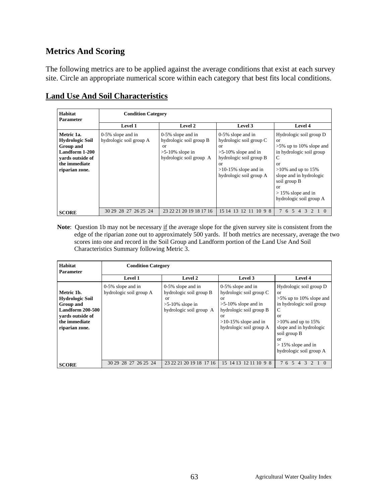## **Metrics And Scoring**

The following metrics are to be applied against the average conditions that exist at each survey site. Circle an appropriate numerical score within each category that best fits local conditions.

| Habitat<br><b>Parameter</b>                                                                                                | <b>Condition Category</b>                       |                                                                                                     |                                                                                                                                                                                |                                                                                                                                                                                                                                         |  |
|----------------------------------------------------------------------------------------------------------------------------|-------------------------------------------------|-----------------------------------------------------------------------------------------------------|--------------------------------------------------------------------------------------------------------------------------------------------------------------------------------|-----------------------------------------------------------------------------------------------------------------------------------------------------------------------------------------------------------------------------------------|--|
|                                                                                                                            | <b>Level 1</b>                                  | <b>Level 2</b>                                                                                      | Level 3                                                                                                                                                                        | Level 4                                                                                                                                                                                                                                 |  |
| Metric 1a.<br><b>Hydrologic Soil</b><br>Group and<br>Landform 1-200<br>vards outside of<br>the immediate<br>riparian zone. | $0-5\%$ slope and in<br>hydrologic soil group A | 0-5% slope and in<br>hydrologic soil group B<br>or<br>$>5-10\%$ slope in<br>hydrologic soil group A | 0-5% slope and in<br>hydrologic soil group C<br>or<br>$>5-10\%$ slope and in<br>hydrologic soil group B<br><sub>or</sub><br>$>10-15\%$ slope and in<br>hydrologic soil group A | Hydrologic soil group D<br><b>or</b><br>$>5\%$ up to 10% slope and<br>in hydrologic soil group<br>C<br>or<br>$>10\%$ and up to 15%<br>slope and in hydrologic<br>soil group B<br>or<br>$> 15\%$ slope and in<br>hydrologic soil group A |  |
| <b>SCORE</b>                                                                                                               | 30 29 28 27 26 25 24                            | 23 22 21 20 19 18 17 16                                                                             | 15 14 13 12 11 10 9 8                                                                                                                                                          | $\overline{5}$<br>6<br>$\Delta$                                                                                                                                                                                                         |  |

## **Land Use And Soil Characteristics**

Note: Question 1b may not be necessary if the average slope for the given survey site is consistent from the edge of the riparian zone out to approximately 500 yards. If both metrics are necessary, average the two scores into one and record in the Soil Group and Landform portion of the Land Use And Soil Characteristics Summary following Metric 3.

| Habitat<br><b>Parameter</b>                                                                                                  | <b>Condition Category</b>                       |                                                                                                        |                                                                                                                                                                        |                                                                                                                                                                                                                                                    |  |
|------------------------------------------------------------------------------------------------------------------------------|-------------------------------------------------|--------------------------------------------------------------------------------------------------------|------------------------------------------------------------------------------------------------------------------------------------------------------------------------|----------------------------------------------------------------------------------------------------------------------------------------------------------------------------------------------------------------------------------------------------|--|
|                                                                                                                              | <b>Level 1</b>                                  | <b>Level 2</b>                                                                                         | Level 3                                                                                                                                                                | <b>Level 4</b>                                                                                                                                                                                                                                     |  |
| Metric 1b.<br><b>Hydrologic Soil</b><br>Group and<br>Landform 200-500<br>vards outside of<br>the immediate<br>riparian zone. | $0-5\%$ slope and in<br>hydrologic soil group A | $0-5\%$ slope and in<br>hydrologic soil group B<br>or<br>$>5-10\%$ slope in<br>hydrologic soil group A | $0-5\%$ slope and in<br>hydrologic soil group C<br>or<br>$>5-10\%$ slope and in<br>hydrologic soil group B<br>or<br>$>10-15\%$ slope and in<br>hydrologic soil group A | Hydrologic soil group D<br><sub>or</sub><br>$>5\%$ up to 10% slope and<br>in hydrologic soil group<br>C<br>or<br>$>10\%$ and up to 15%<br>slope and in hydrologic<br>soil group B<br><b>or</b><br>$> 15\%$ slope and in<br>hydrologic soil group A |  |
| <b>SCORE</b>                                                                                                                 | 30 29 28 27 26 25 24                            | 23 22 21 20 19 18 17 16                                                                                | 15 14 13 12 11 10 9 8                                                                                                                                                  | $\overline{5}$<br>76<br>3<br>$\overline{4}$                                                                                                                                                                                                        |  |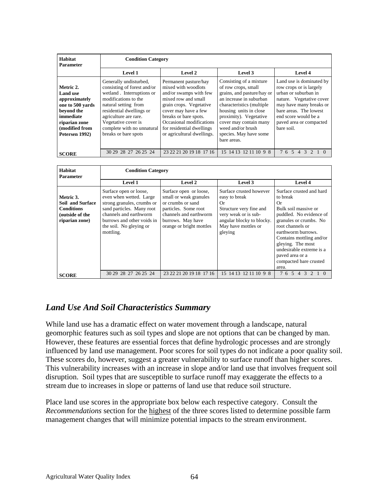| Habitat<br><b>Parameter</b>                                                                                                                       |                                                                                                                                                                                                                                                                      | <b>Condition Category</b>                                                                                                                                                                                                                                        |                                                                                                                                                                                                                                                                                   |                                                                                                                                                                                                                               |  |  |  |  |  |  |  |  |  |  |  |
|---------------------------------------------------------------------------------------------------------------------------------------------------|----------------------------------------------------------------------------------------------------------------------------------------------------------------------------------------------------------------------------------------------------------------------|------------------------------------------------------------------------------------------------------------------------------------------------------------------------------------------------------------------------------------------------------------------|-----------------------------------------------------------------------------------------------------------------------------------------------------------------------------------------------------------------------------------------------------------------------------------|-------------------------------------------------------------------------------------------------------------------------------------------------------------------------------------------------------------------------------|--|--|--|--|--|--|--|--|--|--|--|
|                                                                                                                                                   | <b>Level 1</b>                                                                                                                                                                                                                                                       | Level 2                                                                                                                                                                                                                                                          | Level 3                                                                                                                                                                                                                                                                           | Level 4                                                                                                                                                                                                                       |  |  |  |  |  |  |  |  |  |  |  |
| Metric 2.<br><b>Land</b> use<br>approximately<br>one to 500 vards<br>beyond the<br>immediate<br>riparian zone<br>(modified from<br>Petersen 1992) | Generally undisturbed,<br>consisting of forest and/or<br>wetland. Interruptions or<br>modifications to the<br>natural setting from<br>residential dwellings or<br>agriculture are rare.<br>Vegetative cover is<br>complete with no unnatural<br>breaks or bare spots | Permanent pasture/hay<br>mixed with woodlots<br>and/or swamps with few<br>mixed row and small<br>grain crops. Vegetative<br>cover may have a few<br>breaks or bare spots.<br>Occasional modifications<br>for residential dwellings<br>or agricultural dwellings. | Consisting of a mixture<br>of row crops, small<br>grains, and pasture/hay or<br>an increase in suburban<br>characteristics (multiple)<br>housing units in close<br>proximity). Vegetative<br>cover may contain many<br>weed and/or brush<br>species. May have some<br>bare areas. | Land use is dominated by<br>row crops or is largely<br>urban or suburban in<br>nature. Vegetative cover<br>may have many breaks or<br>bare areas. The lowest<br>end score would be a<br>paved area or compacted<br>bare soil. |  |  |  |  |  |  |  |  |  |  |  |
| <b>SCORE</b>                                                                                                                                      | 30 29 28 27 26 25 24                                                                                                                                                                                                                                                 | 23 22 21 20 19 18 17 16                                                                                                                                                                                                                                          | 15 14 13 12 11 10 9 8                                                                                                                                                                                                                                                             | 76543<br>2 1 0                                                                                                                                                                                                                |  |  |  |  |  |  |  |  |  |  |  |

| Habitat<br><b>Parameter</b>                                                                    | <b>Condition Category</b>                                                                                                                                                                                    |                                                                                                                                                                          |                                                                                                                                                                  |                                                                                                                                                                                                                                                                                                      |  |  |  |  |  |  |  |  |  |  |
|------------------------------------------------------------------------------------------------|--------------------------------------------------------------------------------------------------------------------------------------------------------------------------------------------------------------|--------------------------------------------------------------------------------------------------------------------------------------------------------------------------|------------------------------------------------------------------------------------------------------------------------------------------------------------------|------------------------------------------------------------------------------------------------------------------------------------------------------------------------------------------------------------------------------------------------------------------------------------------------------|--|--|--|--|--|--|--|--|--|--|
|                                                                                                | <b>Level 1</b>                                                                                                                                                                                               | Level 2                                                                                                                                                                  | Level 3                                                                                                                                                          | <b>Level 4</b>                                                                                                                                                                                                                                                                                       |  |  |  |  |  |  |  |  |  |  |
| Metric 3.<br><b>Soil and Surface</b><br><b>Conditions</b><br>(outside of the<br>riparian zone) | Surface open or loose,<br>even when wetted. Large<br>strong granules, crumbs or<br>sand particles. Many root<br>channels and earthworm<br>burrows and other voids in<br>the soil. No gleying or<br>mottling. | Surface open or loose,<br>small or weak granules<br>or crumbs or sand<br>particles. Some root<br>channels and earthworm<br>burrows. May have<br>orange or bright mottles | Surface crusted however<br>easy to break<br>0r<br>Structure very fine and<br>very weak or is sub-<br>angular blocky to blocky.<br>May have mottles or<br>gleying | Surface crusted and hard<br>to break<br>Or<br>Bulk soil massive or<br>puddled. No evidence of<br>granules or crumbs. No<br>root channels or<br>earthworm burrows.<br>Contains mottling and/or<br>gleying. The most<br>undesirable extreme is a<br>paved area or a<br>compacted bare crusted<br>area. |  |  |  |  |  |  |  |  |  |  |
| <b>SCORE</b>                                                                                   | 30 29 28 27 26 25 24                                                                                                                                                                                         | 23 22 21 20 19 18 17 16                                                                                                                                                  | 15 14 13 12 11 10 9 8                                                                                                                                            | 76543210                                                                                                                                                                                                                                                                                             |  |  |  |  |  |  |  |  |  |  |

# *Land Use And Soil Characteristics Summary*

While land use has a dramatic effect on water movement through a landscape, natural geomorphic features such as soil types and slope are not options that can be changed by man. However, these features are essential forces that define hydrologic processes and are strongly influenced by land use management. Poor scores for soil types do not indicate a poor quality soil. These scores do, however, suggest a greater vulnerability to surface runoff than higher scores. This vulnerability increases with an increase in slope and/or land use that involves frequent soil disruption. Soil types that are susceptible to surface runoff may exaggerate the effects to a stream due to increases in slope or patterns of land use that reduce soil structure.

Place land use scores in the appropriate box below each respective category. Consult the *Recommendations* section for the highest of the three scores listed to determine possible farm management changes that will minimize potential impacts to the stream environment.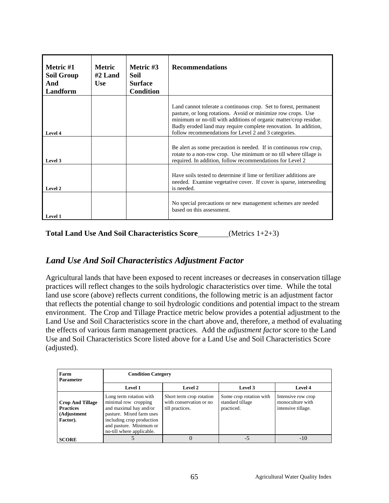| Metric #1<br><b>Soil Group</b><br>And<br>Landform | <b>Metric</b><br>$#2$ Land<br><b>Use</b> | Metric #3<br>Soil<br><b>Surface</b><br><b>Condition</b> | <b>Recommendations</b>                                                                                                                                                                                                                                                                                                           |
|---------------------------------------------------|------------------------------------------|---------------------------------------------------------|----------------------------------------------------------------------------------------------------------------------------------------------------------------------------------------------------------------------------------------------------------------------------------------------------------------------------------|
| Level 4                                           |                                          |                                                         | Land cannot tolerate a continuous crop. Set to forest, permanent<br>pasture, or long rotations. Avoid or minimize row crops. Use<br>minimum or no-till with additions of organic matter/crop residue.<br>Badly eroded land may require complete renovation. In addition,<br>follow recommendations for Level 2 and 3 categories. |
| Level 3                                           |                                          |                                                         | Be alert as some precaution is needed. If in continuous row crop,<br>rotate to a non-row crop. Use minimum or no till where tillage is<br>required. In addition, follow recommendations for Level 2                                                                                                                              |
| Level 2                                           |                                          |                                                         | Have soils tested to determine if lime or fertilizer additions are<br>needed. Examine vegetative cover. If cover is sparse, interseeding<br>is needed.                                                                                                                                                                           |
| Level 1                                           |                                          |                                                         | No special precautions or new management schemes are needed<br>based on this assessment.                                                                                                                                                                                                                                         |

**Total Land Use And Soil Characteristics Score** (Metrics 1+2+3)

# *Land Use And Soil Characteristics Adjustment Factor*

Agricultural lands that have been exposed to recent increases or decreases in conservation tillage practices will reflect changes to the soils hydrologic characteristics over time. While the total land use score (above) reflects current conditions, the following metric is an adjustment factor that reflects the potential change to soil hydrologic conditions and potential impact to the stream environment. The Crop and Tillage Practice metric below provides a potential adjustment to the Land Use and Soil Characteristics score in the chart above and, therefore, a method of evaluating the effects of various farm management practices. Add the *adjustment factor* score to the Land Use and Soil Characteristics Score listed above for a Land Use and Soil Characteristics Score (adjusted).

| Farm<br><b>Parameter</b>                                               |                                                                                                                                                                                            | <b>Condition Category</b>                                              |                                                           |                                                              |  |  |  |  |  |  |  |  |  |  |
|------------------------------------------------------------------------|--------------------------------------------------------------------------------------------------------------------------------------------------------------------------------------------|------------------------------------------------------------------------|-----------------------------------------------------------|--------------------------------------------------------------|--|--|--|--|--|--|--|--|--|--|
|                                                                        | Level 1                                                                                                                                                                                    | <b>Level 2</b>                                                         | Level 3                                                   | Level 4                                                      |  |  |  |  |  |  |  |  |  |  |
| <b>Crop And Tillage</b><br><b>Practices</b><br>(Adjustment<br>Factor). | Long term rotation with<br>minimal row cropping<br>and maximal hay and/or<br>pasture. Mixed farm uses<br>including crop production<br>and pasture. Minimum or<br>no-till where applicable. | Short term crop rotation<br>with conservation or no<br>till practices. | Some crop rotation with<br>standard tillage<br>practiced. | Intensive row crop<br>monoculture with<br>intensive tillage. |  |  |  |  |  |  |  |  |  |  |
| <b>SCORE</b>                                                           |                                                                                                                                                                                            |                                                                        | $-5$                                                      | $-10$                                                        |  |  |  |  |  |  |  |  |  |  |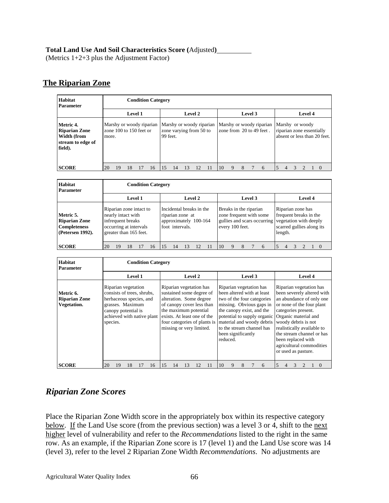#### **Total Land Use And Soil Characteristics Score (**Adjusted**)**

(Metrics 1+2+3 plus the Adjustment Factor)

#### **The Riparian Zone**

| <b>Habitat</b><br><b>Parameter</b>                                               | <b>Condition Category</b> |    |                |                             |                          |          |                         |    |    |                          |         |   |   |  |                                                      |  |                                              |  |  |  |                              |
|----------------------------------------------------------------------------------|---------------------------|----|----------------|-----------------------------|--------------------------|----------|-------------------------|----|----|--------------------------|---------|---|---|--|------------------------------------------------------|--|----------------------------------------------|--|--|--|------------------------------|
|                                                                                  |                           |    | <b>Level 1</b> |                             |                          | Level 2  |                         |    |    |                          | Level 3 |   |   |  |                                                      |  | Level 4                                      |  |  |  |                              |
| Metric 4.<br><b>Riparian Zone</b><br>Width (from<br>stream to edge of<br>field). | more.                     |    |                | zone $100$ to $150$ feet or | Marshy or woody riparian | 99 feet. | zone varying from 50 to |    |    | Marshy or woody riparian |         |   |   |  | Marshy or woody riparian<br>zone from 20 to 49 feet. |  | Marshy or woody<br>riparian zone essentially |  |  |  | absent or less than 20 feet. |
| <b>SCORE</b>                                                                     | 20                        | 19 | 18             |                             | 16                       | 15       | 14                      | 13 | 12 |                          | 10      | 9 | 8 |  | 6                                                    |  | 4                                            |  |  |  | $\theta$                     |

| Habitat<br>Parameter                                                         | <b>Condition Category</b>                                                                                              |                                                                                          |                                                                                                                            |                                                                                     |
|------------------------------------------------------------------------------|------------------------------------------------------------------------------------------------------------------------|------------------------------------------------------------------------------------------|----------------------------------------------------------------------------------------------------------------------------|-------------------------------------------------------------------------------------|
|                                                                              | Level 1                                                                                                                | Level 2                                                                                  | Level 3                                                                                                                    | Level 4                                                                             |
| Metric 5.<br><b>Riparian Zone</b><br><b>Completeness</b><br>(Petersen 1992). | Riparian zone intact to<br>nearly intact with<br>infrequent breaks<br>occurring at intervals<br>greater than 165 feet. | Incidental breaks in the<br>riparian zone at<br>approximately 100-164<br>foot intervals. | Breaks in the riparian<br>zone frequent with some<br>gullies and scars occurring vegetation with deeply<br>every 100 feet. | Riparian zone has<br>frequent breaks in the<br>scarred gullies along its<br>length. |
| <b>SCORE</b>                                                                 | 20<br>16<br>19<br>18                                                                                                   | 14<br>13<br>11                                                                           | 1 <sub>0</sub><br>6<br>9                                                                                                   | 5<br>$\overline{4}$                                                                 |

| Habitat<br><b>Parameter</b>                      | <b>Condition Category</b>                                                                                                                                         |                                                                                                                                                                                                 |                                                                                                                                                                                                                                                                                                      |                                                                                                                                                                                                                                                                                                                          |  |  |  |  |  |  |  |  |  |  |  |
|--------------------------------------------------|-------------------------------------------------------------------------------------------------------------------------------------------------------------------|-------------------------------------------------------------------------------------------------------------------------------------------------------------------------------------------------|------------------------------------------------------------------------------------------------------------------------------------------------------------------------------------------------------------------------------------------------------------------------------------------------------|--------------------------------------------------------------------------------------------------------------------------------------------------------------------------------------------------------------------------------------------------------------------------------------------------------------------------|--|--|--|--|--|--|--|--|--|--|--|
|                                                  | Level 1                                                                                                                                                           | Level 2                                                                                                                                                                                         | Level 3                                                                                                                                                                                                                                                                                              | <b>Level 4</b>                                                                                                                                                                                                                                                                                                           |  |  |  |  |  |  |  |  |  |  |  |
| Metric 6.<br><b>Riparian Zone</b><br>Vegetation. | Riparian vegetation<br>consists of trees, shrubs,<br>herbaceous species, and<br>grasses. Maximum<br>canopy potential is<br>achieved with native plant<br>species. | Riparian vegetation has<br>sustained some degree of<br>alteration. Some degree<br>of canopy cover less than<br>the maximum potential<br>exists. At least one of the<br>missing or very limited. | Riparian vegetation has<br>been altered with at least<br>two of the four categories<br>missing. Obvious gaps in<br>the canopy exist, and the<br>potential to supply organic<br>four categories of plants is material and woody debris<br>to the stream channel has<br>been significantly<br>reduced. | Riparian vegetation has<br>been severely altered with<br>an abundance of only one<br>or none of the four plant<br>categories present.<br>Organic material and<br>woody debris is not<br>realistically available to<br>the stream channel or has<br>been replaced with<br>agricultural commodities<br>or used as pasture. |  |  |  |  |  |  |  |  |  |  |  |
| <b>SCORE</b>                                     | 19<br>18<br>16<br>20                                                                                                                                              | 15<br>14<br>13<br>12<br>11                                                                                                                                                                      | 6<br>10<br>9<br>8                                                                                                                                                                                                                                                                                    | 5<br>3<br>$\Omega$<br>4                                                                                                                                                                                                                                                                                                  |  |  |  |  |  |  |  |  |  |  |  |

# *Riparian Zone Scores*

Place the Riparian Zone Width score in the appropriately box within its respective category below. If the Land Use score (from the previous section) was a level 3 or 4, shift to the next higher level of vulnerability and refer to the *Recommendations* listed to the right in the same row. As an example, if the Riparian Zone score is 17 (level 1) and the Land Use score was 14 (level 3), refer to the level 2 Riparian Zone Width *Recommendations*. No adjustments are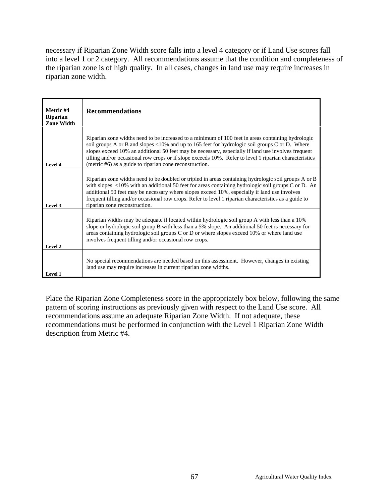necessary if Riparian Zone Width score falls into a level 4 category or if Land Use scores fall into a level 1 or 2 category. All recommendations assume that the condition and completeness of the riparian zone is of high quality. In all cases, changes in land use may require increases in riparian zone width.

| Metric #4<br><b>Riparian</b><br><b>Zone Width</b> | <b>Recommendations</b>                                                                                                                                                                                                                                                                                                                                                                                                                                                         |
|---------------------------------------------------|--------------------------------------------------------------------------------------------------------------------------------------------------------------------------------------------------------------------------------------------------------------------------------------------------------------------------------------------------------------------------------------------------------------------------------------------------------------------------------|
| Level 4                                           | Riparian zone widths need to be increased to a minimum of 100 feet in areas containing hydrologic<br>soil groups A or B and slopes <10% and up to 165 feet for hydrologic soil groups C or D. Where<br>slopes exceed 10% an additional 50 feet may be necessary, especially if land use involves frequent<br>tilling and/or occasional row crops or if slope exceeds 10%. Refer to level 1 riparian characteristics<br>(metric #6) as a guide to riparian zone reconstruction. |
| Level 3                                           | Riparian zone widths need to be doubled or tripled in areas containing hydrologic soil groups A or B<br>with slopes $\langle 10\% \text{ with an additional 50 feet for areas containing hydrologic soil groups C or D. An}$<br>additional 50 feet may be necessary where slopes exceed 10%, especially if land use involves<br>frequent tilling and/or occasional row crops. Refer to level 1 riparian characteristics as a guide to<br>riparian zone reconstruction.         |
| Level 2                                           | Riparian widths may be adequate if located within hydrologic soil group A with less than a 10%<br>slope or hydrologic soil group B with less than a 5% slope. An additional 50 feet is necessary for<br>areas containing hydrologic soil groups C or D or where slopes exceed 10% or where land use<br>involves frequent tilling and/or occasional row crops.                                                                                                                  |
| Level 1                                           | No special recommendations are needed based on this assessment. However, changes in existing<br>land use may require increases in current riparian zone widths.                                                                                                                                                                                                                                                                                                                |

Place the Riparian Zone Completeness score in the appropriately box below, following the same pattern of scoring instructions as previously given with respect to the Land Use score. All recommendations assume an adequate Riparian Zone Width. If not adequate, these recommendations must be performed in conjunction with the Level 1 Riparian Zone Width description from Metric #4.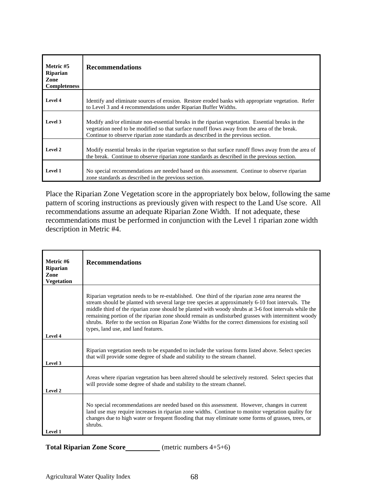| Metric #5<br><b>Riparian</b><br>Zone<br><b>Completeness</b> | <b>Recommendations</b>                                                                                                                                                                                                                                                                |
|-------------------------------------------------------------|---------------------------------------------------------------------------------------------------------------------------------------------------------------------------------------------------------------------------------------------------------------------------------------|
| Level 4                                                     | Identify and eliminate sources of erosion. Restore eroded banks with appropriate vegetation. Refer<br>to Level 3 and 4 recommendations under Riparian Buffer Widths.                                                                                                                  |
| Level 3                                                     | Modify and/or eliminate non-essential breaks in the riparian vegetation. Essential breaks in the<br>vegetation need to be modified so that surface runoff flows away from the area of the break.<br>Continue to observe riparian zone standards as described in the previous section. |
| Level 2                                                     | Modify essential breaks in the riparian vegetation so that surface runoff flows away from the area of<br>the break. Continue to observe riparian zone standards as described in the previous section.                                                                                 |
| Level 1                                                     | No special recommendations are needed based on this assessment. Continue to observe riparian<br>zone standards as described in the previous section.                                                                                                                                  |

Place the Riparian Zone Vegetation score in the appropriately box below, following the same pattern of scoring instructions as previously given with respect to the Land Use score. All recommendations assume an adequate Riparian Zone Width. If not adequate, these recommendations must be performed in conjunction with the Level 1 riparian zone width description in Metric #4.

| Metric #6<br>Riparian<br>Zone<br><b>Vegetation</b> | <b>Recommendations</b>                                                                                                                                                                                                                                                                                                                                                                                                                                                                                                                                            |
|----------------------------------------------------|-------------------------------------------------------------------------------------------------------------------------------------------------------------------------------------------------------------------------------------------------------------------------------------------------------------------------------------------------------------------------------------------------------------------------------------------------------------------------------------------------------------------------------------------------------------------|
| Level 4                                            | Riparian vegetation needs to be re-established. One third of the riparian zone area nearest the<br>stream should be planted with several large tree species at approximately 6-10 foot intervals. The<br>middle third of the riparian zone should be planted with woody shrubs at 3-6 foot intervals while the<br>remaining portion of the riparian zone should remain as undisturbed grasses with intermittent woody<br>shrubs. Refer to the section on Riparian Zone Widths for the correct dimensions for existing soil<br>types, land use, and land features. |
| Level 3                                            | Riparian vegetation needs to be expanded to include the various forms listed above. Select species<br>that will provide some degree of shade and stability to the stream channel.                                                                                                                                                                                                                                                                                                                                                                                 |
| Level 2                                            | Areas where riparian vegetation has been altered should be selectively restored. Select species that<br>will provide some degree of shade and stability to the stream channel.                                                                                                                                                                                                                                                                                                                                                                                    |
| Level 1                                            | No special recommendations are needed based on this assessment. However, changes in current<br>land use may require increases in riparian zone widths. Continue to monitor vegetation quality for<br>changes due to high water or frequent flooding that may eliminate some forms of grasses, trees, or<br>shrubs.                                                                                                                                                                                                                                                |

**Total Riparian Zone Score** (metric numbers 4+5+6)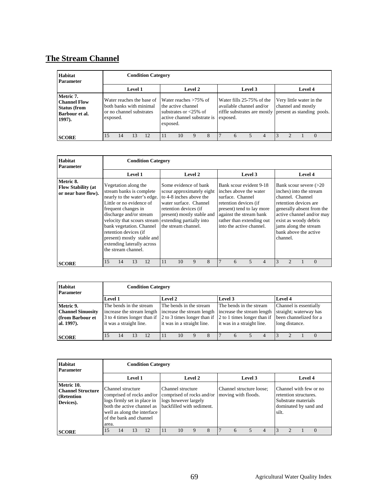# **The Stream Channel**

| Habitat<br><b>Parameter</b>                                                        |                                                                                              | <b>Condition Category</b> |    |                |          |                                                                                                                          |   |   |         |                                                                   |  |                                                                                                           |  |  |  |          |
|------------------------------------------------------------------------------------|----------------------------------------------------------------------------------------------|---------------------------|----|----------------|----------|--------------------------------------------------------------------------------------------------------------------------|---|---|---------|-------------------------------------------------------------------|--|-----------------------------------------------------------------------------------------------------------|--|--|--|----------|
|                                                                                    |                                                                                              | <b>Level 1</b>            |    | <b>Level 2</b> |          |                                                                                                                          |   |   | Level 3 |                                                                   |  | <b>Level 4</b>                                                                                            |  |  |  |          |
| Metric 7.<br><b>Channel Flow</b><br><b>Status (from</b><br>Barbour et al.<br>1997. | Water reaches the base of<br>both banks with minimal<br>or no channel substrates<br>exposed. |                           |    |                | exposed. | Water reaches $>75\%$ of<br>the active channel<br>substrates or $\langle 25\% \rangle$ of<br>active channel substrate is |   |   |         | Water fills 25-75% of the<br>available channel and/or<br>exposed. |  | Very little water in the<br>channel and mostly<br>riffle substrates are mostly present as standing pools. |  |  |  |          |
| <b>SCORE</b>                                                                       | 15                                                                                           | 14                        | 13 | 12             |          | 10                                                                                                                       | 9 | 8 |         | 6                                                                 |  | 4                                                                                                         |  |  |  | $\Omega$ |

| <b>Habitat</b><br><b>Parameter</b>                            |                                                                                                                                                                                                                                                                                                                                                               |    |         | <b>Condition Category</b> |    |                                                                                                                                                                                       |         |                                                                                                                                                                                                                 |   |   |                          |                |                                                                                                                      |                                                                                                               |  |          |  |  |  |
|---------------------------------------------------------------|---------------------------------------------------------------------------------------------------------------------------------------------------------------------------------------------------------------------------------------------------------------------------------------------------------------------------------------------------------------|----|---------|---------------------------|----|---------------------------------------------------------------------------------------------------------------------------------------------------------------------------------------|---------|-----------------------------------------------------------------------------------------------------------------------------------------------------------------------------------------------------------------|---|---|--------------------------|----------------|----------------------------------------------------------------------------------------------------------------------|---------------------------------------------------------------------------------------------------------------|--|----------|--|--|--|
|                                                               |                                                                                                                                                                                                                                                                                                                                                               |    | Level 1 |                           |    |                                                                                                                                                                                       | Level 2 |                                                                                                                                                                                                                 |   |   | Level 3                  |                | Level 4                                                                                                              |                                                                                                               |  |          |  |  |  |
| Metric 8.<br><b>Flow Stability (at</b><br>or near base flow). | Vegetation along the<br>stream banks is complete<br>nearly to the water's edge.<br>Little or no evidence of<br>frequent changes in<br>discharge and/or stream<br>velocity that scours stream extending partially into<br>bank vegetation. Channel<br>retention devices (if<br>present) mostly stable and<br>extending laterally across<br>the stream channel. |    |         |                           |    | Some evidence of bank<br>scour approximately eight<br>to 4-8 inches above the<br>water surface. Channel<br>retention devices (if<br>present) mostly stable and<br>the stream channel. |         | Bank scour evident 9-18<br>inches above the water<br>surface. Channel<br>retention devices (if<br>present) tend to lay more<br>against the stream bank<br>rather than extending out<br>into the active channel. |   |   | channel.                 |                | channel. Channel<br>retention devices are<br>exist as woody debris<br>jams along the stream<br>bank above the active | Bank scour severe $(>20$<br>inches) into the stream<br>generally absent from the<br>active channel and/or may |  |          |  |  |  |
| <b>SCORE</b>                                                  | 15                                                                                                                                                                                                                                                                                                                                                            | 14 | 13      | 12                        | 11 | 10                                                                                                                                                                                    | 9       | 8                                                                                                                                                                                                               | 7 | 6 | $\overline{\phantom{0}}$ | $\overline{4}$ | 3                                                                                                                    | $\mathcal{D}$                                                                                                 |  | $\Omega$ |  |  |  |

| <b>Habitat</b><br><b>Parameter</b> | <b>Condition Category</b>                                                                                  |    |  |                         |  |                            |   |   |         |                            |                        |                        |  |  |  |  |
|------------------------------------|------------------------------------------------------------------------------------------------------------|----|--|-------------------------|--|----------------------------|---|---|---------|----------------------------|------------------------|------------------------|--|--|--|--|
|                                    | <b>Level 1</b>                                                                                             |    |  |                         |  | Level 2                    |   |   | Level 3 |                            |                        | <b>Level 4</b>         |  |  |  |  |
| Metric 9.                          |                                                                                                            |    |  | The bends in the stream |  | The bends in the stream    |   |   |         | The bends in the stream    |                        | Channel is essentially |  |  |  |  |
| <b>Channel Sinuosity</b>           | increase the stream length                                                                                 |    |  |                         |  | increase the stream length |   |   |         | increase the stream length | straight; waterway has |                        |  |  |  |  |
| (from Barbour et                   | 3 to 4 times longer than if 2 to 3 times longer than if 2 to 1 times longer than if been channelized for a |    |  |                         |  |                            |   |   |         |                            |                        |                        |  |  |  |  |
| al. 1997).                         | it was a straight line.                                                                                    |    |  |                         |  | it was in a straight line. |   |   |         | it was in a straight line. |                        | long distance.         |  |  |  |  |
|                                    |                                                                                                            |    |  |                         |  |                            |   |   |         |                            |                        |                        |  |  |  |  |
| <b>SCORE</b>                       |                                                                                                            | 14 |  | 12                      |  | 10                         | Q | 8 |         | 6                          |                        | 4                      |  |  |  |  |

| Habitat<br><b>Parameter</b>                                        | <b>Condition Category</b>                                                                                                                                                      |    |         |    |  |                                                                                                     |         |                                                 |  |   |                                                                                                          |                |               |               |  |          |  |  |
|--------------------------------------------------------------------|--------------------------------------------------------------------------------------------------------------------------------------------------------------------------------|----|---------|----|--|-----------------------------------------------------------------------------------------------------|---------|-------------------------------------------------|--|---|----------------------------------------------------------------------------------------------------------|----------------|---------------|---------------|--|----------|--|--|
|                                                                    |                                                                                                                                                                                |    | Level 1 |    |  |                                                                                                     | Level 2 |                                                 |  |   | Level 3                                                                                                  |                | Level 4       |               |  |          |  |  |
| Metric 10.<br><b>Channel Structure</b><br>(Retention)<br>Devices). | Channel structure<br>comprised of rocks and/or<br>logs firmly set in place in<br>both the active channel as<br>well as along the interface<br>of the bank and channel<br>area. |    |         |    |  | Channel structure<br>comprised of rocks and/or<br>logs however largely<br>backfilled with sediment. |         | Channel structure loose;<br>moving with floods. |  |   | Channel with few or no<br>retention structures.<br>Substrate materials<br>dominated by sand and<br>silt. |                |               |               |  |          |  |  |
| <b>SCORE</b>                                                       | 15                                                                                                                                                                             | 14 | 13      | 12 |  | 10                                                                                                  | 9       | 8                                               |  | 6 | 5                                                                                                        | $\overline{4}$ | $\mathcal{R}$ | $\mathcal{D}$ |  | $\Omega$ |  |  |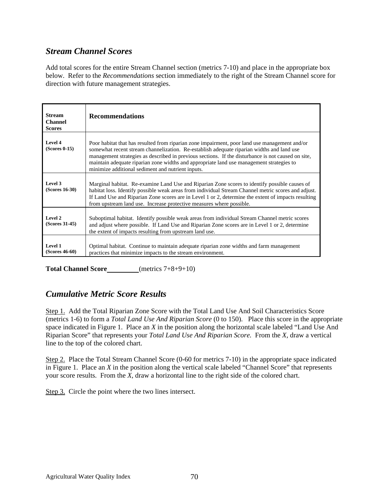### *Stream Channel Scores*

Add total scores for the entire Stream Channel section (metrics 7-10) and place in the appropriate box below. Refer to the *Recommendations* section immediately to the right of the Stream Channel score for direction with future management strategies.

| <b>Stream</b><br><b>Channel</b><br><b>Scores</b> | <b>Recommendations</b>                                                                                                                                                                                                                                                                                                                                                                                                                            |
|--------------------------------------------------|---------------------------------------------------------------------------------------------------------------------------------------------------------------------------------------------------------------------------------------------------------------------------------------------------------------------------------------------------------------------------------------------------------------------------------------------------|
| Level 4<br>$(Scores 0-15)$                       | Poor habitat that has resulted from riparian zone impairment, poor land use management and/or<br>somewhat recent stream channelization. Re-establish adequate riparian widths and land use<br>management strategies as described in previous sections. If the disturbance is not caused on site,<br>maintain adequate riparian zone widths and appropriate land use management strategies to<br>minimize additional sediment and nutrient inputs. |
| Level 3<br>$(Scores 16-30)$                      | Marginal habitat. Re-examine Land Use and Riparian Zone scores to identify possible causes of<br>habitat loss. Identify possible weak areas from individual Stream Channel metric scores and adjust.<br>If Land Use and Riparian Zone scores are in Level 1 or 2, determine the extent of impacts resulting<br>from upstream land use. Increase protective measures where possible.                                                               |
| Level 2<br>(Scores 31-45)                        | Suboptimal habitat. Identify possible weak areas from individual Stream Channel metric scores<br>and adjust where possible. If Land Use and Riparian Zone scores are in Level 1 or 2, determine<br>the extent of impacts resulting from upstream land use.                                                                                                                                                                                        |
| Level 1<br>$(Scores 46-60)$                      | Optimal habitat. Continue to maintain adequate riparian zone widths and farm management<br>practices that minimize impacts to the stream environment.                                                                                                                                                                                                                                                                                             |

Total Channel Score<br>
<u>(metrics 7+8+9+10)</u>

#### *Cumulative Metric Score Results*

Step 1. Add the Total Riparian Zone Score with the Total Land Use And Soil Characteristics Score (metrics 1-6) to form a *Total Land Use And Riparian Score* (0 to 150). Place this score in the appropriate space indicated in Figure 1. Place an *X* in the position along the horizontal scale labeled "Land Use And Riparian Score" that represents your *Total Land Use And Riparian Score.* From the *X,* draw a vertical line to the top of the colored chart.

Step 2. Place the Total Stream Channel Score (0-60 for metrics 7-10) in the appropriate space indicated in Figure 1. Place an *X* in the position along the vertical scale labeled "Channel Score" that represents your score results. From the *X,* draw a horizontal line to the right side of the colored chart.

Step 3. Circle the point where the two lines intersect.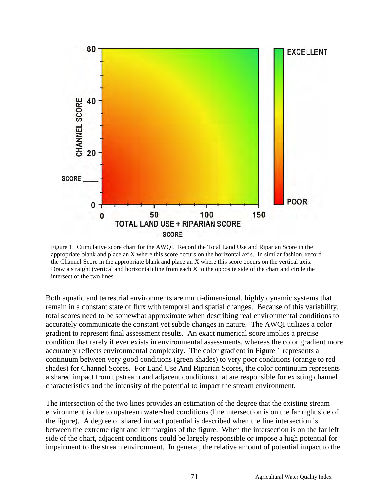

Figure 1. Cumulative score chart for the AWQI. Record the Total Land Use and Riparian Score in the appropriate blank and place an X where this score occurs on the horizontal axis. In similar fashion, record the Channel Score in the appropriate blank and place an X where this score occurs on the vertical axis. Draw a straight (vertical and horizontal) line from each X to the opposite side of the chart and circle the intersect of the two lines.

Both aquatic and terrestrial environments are multi-dimensional, highly dynamic systems that remain in a constant state of flux with temporal and spatial changes. Because of this variability, total scores need to be somewhat approximate when describing real environmental conditions to accurately communicate the constant yet subtle changes in nature. The AWQI utilizes a color gradient to represent final assessment results. An exact numerical score implies a precise condition that rarely if ever exists in environmental assessments, whereas the color gradient more accurately reflects environmental complexity. The color gradient in Figure 1 represents a continuum between very good conditions (green shades) to very poor conditions (orange to red shades) for Channel Scores. For Land Use And Riparian Scores, the color continuum represents a shared impact from upstream and adjacent conditions that are responsible for existing channel characteristics and the intensity of the potential to impact the stream environment.

The intersection of the two lines provides an estimation of the degree that the existing stream environment is due to upstream watershed conditions (line intersection is on the far right side of the figure). A degree of shared impact potential is described when the line intersection is between the extreme right and left margins of the figure. When the intersection is on the far left side of the chart, adjacent conditions could be largely responsible or impose a high potential for impairment to the stream environment. In general, the relative amount of potential impact to the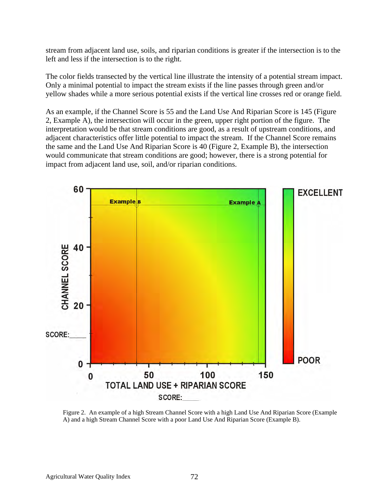stream from adjacent land use, soils, and riparian conditions is greater if the intersection is to the left and less if the intersection is to the right.

The color fields transected by the vertical line illustrate the intensity of a potential stream impact. Only a minimal potential to impact the stream exists if the line passes through green and/or yellow shades while a more serious potential exists if the vertical line crosses red or orange field.

As an example, if the Channel Score is 55 and the Land Use And Riparian Score is 145 (Figure 2, Example A), the intersection will occur in the green, upper right portion of the figure. The interpretation would be that stream conditions are good, as a result of upstream conditions, and adjacent characteristics offer little potential to impact the stream. If the Channel Score remains the same and the Land Use And Riparian Score is 40 (Figure 2, Example B), the intersection would communicate that stream conditions are good; however, there is a strong potential for impact from adjacent land use, soil, and/or riparian conditions.



Figure 2. An example of a high Stream Channel Score with a high Land Use And Riparian Score (Example A) and a high Stream Channel Score with a poor Land Use And Riparian Score (Example B).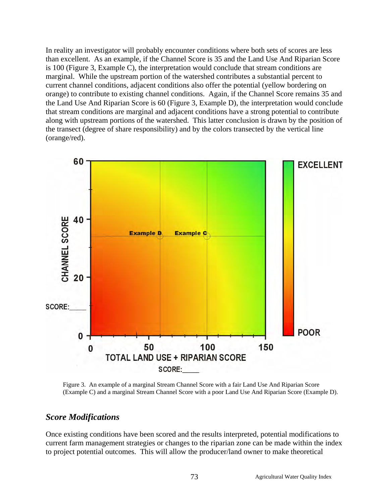In reality an investigator will probably encounter conditions where both sets of scores are less than excellent. As an example, if the Channel Score is 35 and the Land Use And Riparian Score is 100 (Figure 3, Example C), the interpretation would conclude that stream conditions are marginal. While the upstream portion of the watershed contributes a substantial percent to current channel conditions, adjacent conditions also offer the potential (yellow bordering on orange) to contribute to existing channel conditions. Again, if the Channel Score remains 35 and the Land Use And Riparian Score is 60 (Figure 3, Example D), the interpretation would conclude that stream conditions are marginal and adjacent conditions have a strong potential to contribute along with upstream portions of the watershed. This latter conclusion is drawn by the position of the transect (degree of share responsibility) and by the colors transected by the vertical line (orange/red).



Figure 3. An example of a marginal Stream Channel Score with a fair Land Use And Riparian Score (Example C) and a marginal Stream Channel Score with a poor Land Use And Riparian Score (Example D).

#### *Score Modifications*

Once existing conditions have been scored and the results interpreted, potential modifications to current farm management strategies or changes to the riparian zone can be made within the index to project potential outcomes. This will allow the producer/land owner to make theoretical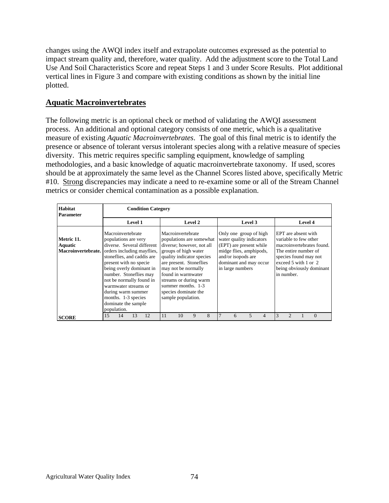changes using the AWQI index itself and extrapolate outcomes expressed as the potential to impact stream quality and, therefore, water quality. Add the adjustment score to the Total Land Use And Soil Characteristics Score and repeat Steps 1 and 3 under Score Results. Plot additional vertical lines in Figure 3 and compare with existing conditions as shown by the initial line plotted.

#### **Aquatic Macroinvertebrates**

The following metric is an optional check or method of validating the AWQI assessment process. An additional and optional category consists of one metric, which is a qualitative measure of existing *Aquatic Macroinvertebrates*. The goal of this final metric is to identify the presence or absence of tolerant versus intolerant species along with a relative measure of species diversity. This metric requires specific sampling equipment, knowledge of sampling methodologies, and a basic knowledge of aquatic macroinvertebrate taxonomy. If used, scores should be at approximately the same level as the Channel Scores listed above, specifically Metric #10. Strong discrepancies may indicate a need to re-examine some or all of the Stream Channel metrics or consider chemical contamination as a possible explanation.

| Habitat<br><b>Parameter</b>                 |                                                                                                                                                                                                                                                                                                                               |    |                | <b>Condition Category</b>  |    |                                                               |                                                                                                                                                                                                                                      |   |                  |                                                                                                                                                          |                |                |                                                                                                            |  |                                                                                |  |  |  |
|---------------------------------------------|-------------------------------------------------------------------------------------------------------------------------------------------------------------------------------------------------------------------------------------------------------------------------------------------------------------------------------|----|----------------|----------------------------|----|---------------------------------------------------------------|--------------------------------------------------------------------------------------------------------------------------------------------------------------------------------------------------------------------------------------|---|------------------|----------------------------------------------------------------------------------------------------------------------------------------------------------|----------------|----------------|------------------------------------------------------------------------------------------------------------|--|--------------------------------------------------------------------------------|--|--|--|
|                                             |                                                                                                                                                                                                                                                                                                                               |    | <b>Level 1</b> |                            |    |                                                               | Level 2                                                                                                                                                                                                                              |   |                  | Level 3                                                                                                                                                  |                | <b>Level 4</b> |                                                                                                            |  |                                                                                |  |  |  |
| Metric 11.<br>Aquatic<br>Macroinvertebrate. | Macroinvertebrate<br>populations are very<br>orders including mayflies,<br>stoneflies, and caddis are<br>present with no specie.<br>being overly dominant in<br>number. Stoneflies may<br>not be normally found in<br>warmwater streams or<br>during warm summer<br>months. 1-3 species<br>dominate the sample<br>population. |    |                | diverse. Several different |    | Macroinvertebrate<br>found in warmwater<br>sample population. | populations are somewhat<br>diverse; however, not all<br>groups of high water<br>quality indicator species<br>are present. Stoneflies<br>may not be normally<br>streams or during warm<br>summer months. 1-3<br>species dominate the |   | in large numbers | Only one group of high<br>water quality indicators<br>(EPT) are present while<br>midge flies, amphipods,<br>and/or isopods are<br>dominant and may occur |                |                | EPT are absent with<br>variable to few other<br>The entire number of<br>exceed 5 with 1 or 2<br>in number. |  | macroinvertebrates found.<br>species found may not<br>being obviously dominant |  |  |  |
| <b>SCORE</b>                                | 15                                                                                                                                                                                                                                                                                                                            | 14 | 13             | 12                         | 11 | 10                                                            | 9                                                                                                                                                                                                                                    | 8 | 6                | 5                                                                                                                                                        | $\overline{4}$ | 3              |                                                                                                            |  | $\Omega$                                                                       |  |  |  |